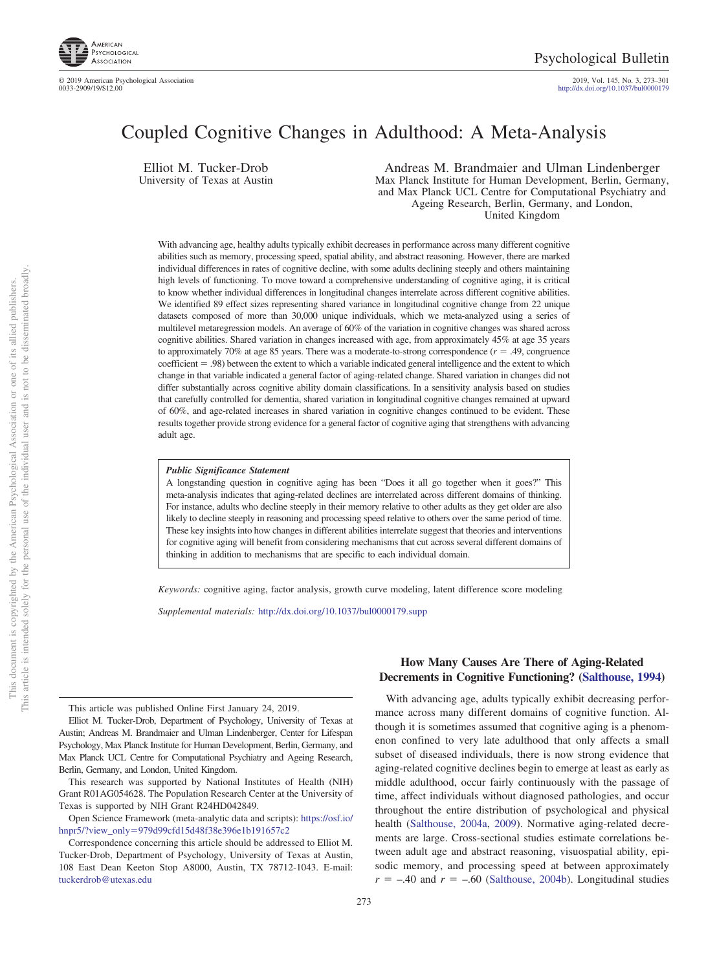

2019, Vol. 145, No. 3, 273–301<br>http://dx.doi.org[/10.1037/bul0000179](http://dx.doi.org/10.1037/bul0000179)

# Coupled Cognitive Changes in Adulthood: A Meta-Analysis

Elliot M. Tucker-Drob University of Texas at Austin

Andreas M. Brandmaier and Ulman Lindenberger Max Planck Institute for Human Development, Berlin, Germany, and Max Planck UCL Centre for Computational Psychiatry and Ageing Research, Berlin, Germany, and London, United Kingdom

With advancing age, healthy adults typically exhibit decreases in performance across many different cognitive abilities such as memory, processing speed, spatial ability, and abstract reasoning. However, there are marked individual differences in rates of cognitive decline, with some adults declining steeply and others maintaining high levels of functioning. To move toward a comprehensive understanding of cognitive aging, it is critical to know whether individual differences in longitudinal changes interrelate across different cognitive abilities. We identified 89 effect sizes representing shared variance in longitudinal cognitive change from 22 unique datasets composed of more than 30,000 unique individuals, which we meta-analyzed using a series of multilevel metaregression models. An average of 60% of the variation in cognitive changes was shared across cognitive abilities. Shared variation in changes increased with age, from approximately 45% at age 35 years to approximately 70% at age 85 years. There was a moderate-to-strong correspondence  $(r = .49,$  congruence coefficient = .98) between the extent to which a variable indicated general intelligence and the extent to which change in that variable indicated a general factor of aging-related change. Shared variation in changes did not differ substantially across cognitive ability domain classifications. In a sensitivity analysis based on studies that carefully controlled for dementia, shared variation in longitudinal cognitive changes remained at upward of 60%, and age-related increases in shared variation in cognitive changes continued to be evident. These results together provide strong evidence for a general factor of cognitive aging that strengthens with advancing adult age.

#### *Public Significance Statement*

A longstanding question in cognitive aging has been "Does it all go together when it goes?" This meta-analysis indicates that aging-related declines are interrelated across different domains of thinking. For instance, adults who decline steeply in their memory relative to other adults as they get older are also likely to decline steeply in reasoning and processing speed relative to others over the same period of time. These key insights into how changes in different abilities interrelate suggest that theories and interventions for cognitive aging will benefit from considering mechanisms that cut across several different domains of thinking in addition to mechanisms that are specific to each individual domain.

*Keywords:* cognitive aging, factor analysis, growth curve modeling, latent difference score modeling

*Supplemental materials:* http://dx.doi.org/10.1037/bul0000179.supp

This article was published Online First January 24, 2019.

This research was supported by National Institutes of Health (NIH) Grant R01AG054628. The Population Research Center at the University of Texas is supported by NIH Grant R24HD042849.

Open Science Framework (meta-analytic data and scripts): [https://osf.io/](https://osf.io/hnpr5/?view_only=979d99cfd15d48f38e396e1b191657c2) hnpr5/?view\_only-[979d99cfd15d48f38e396e1b191657c2](https://osf.io/hnpr5/?view_only=979d99cfd15d48f38e396e1b191657c2)

# With advancing age, adults typically exhibit decreasing perfor-

**How Many Causes Are There of Aging-Related Decrements in Cognitive Functioning? [\(Salthouse, 1994\)](#page-25-0)**

mance across many different domains of cognitive function. Although it is sometimes assumed that cognitive aging is a phenomenon confined to very late adulthood that only affects a small subset of diseased individuals, there is now strong evidence that aging-related cognitive declines begin to emerge at least as early as middle adulthood, occur fairly continuously with the passage of time, affect individuals without diagnosed pathologies, and occur throughout the entire distribution of psychological and physical health [\(Salthouse, 2004a,](#page-25-1) [2009\)](#page-25-2). Normative aging-related decrements are large. Cross-sectional studies estimate correlations between adult age and abstract reasoning, visuospatial ability, episodic memory, and processing speed at between approximately  $r = -.40$  and  $r = -.60$  [\(Salthouse, 2004b\)](#page-25-3). Longitudinal studies

Elliot M. Tucker-Drob, Department of Psychology, University of Texas at Austin; Andreas M. Brandmaier and Ulman Lindenberger, Center for Lifespan Psychology, Max Planck Institute for Human Development, Berlin, Germany, and Max Planck UCL Centre for Computational Psychiatry and Ageing Research, Berlin, Germany, and London, United Kingdom.

Correspondence concerning this article should be addressed to Elliot M. Tucker-Drob, Department of Psychology, University of Texas at Austin, 108 East Dean Keeton Stop A8000, Austin, TX 78712-1043. E-mail: [tuckerdrob@utexas.edu](mailto:tuckerdrob@utexas.edu)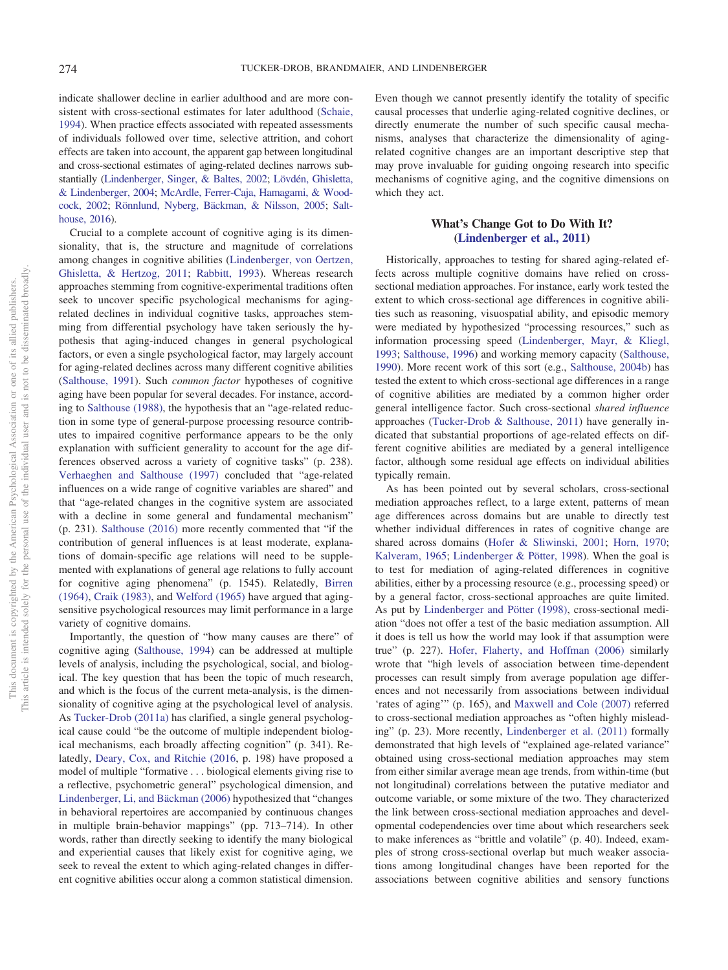indicate shallower decline in earlier adulthood and are more consistent with cross-sectional estimates for later adulthood [\(Schaie,](#page-25-4) [1994\)](#page-25-4). When practice effects associated with repeated assessments of individuals followed over time, selective attrition, and cohort effects are taken into account, the apparent gap between longitudinal and cross-sectional estimates of aging-related declines narrows substantially [\(Lindenberger, Singer, & Baltes, 2002;](#page-24-0) [Lövdén, Ghisletta,](#page-24-1) [& Lindenberger, 2004;](#page-24-1) [McArdle, Ferrer-Caja, Hamagami, & Wood](#page-24-2)[cock, 2002;](#page-24-2) [Rönnlund, Nyberg, Bäckman, & Nilsson, 2005;](#page-25-5) [Salt](#page-25-6)[house, 2016\)](#page-25-6).

Crucial to a complete account of cognitive aging is its dimensionality, that is, the structure and magnitude of correlations among changes in cognitive abilities [\(Lindenberger, von Oertzen,](#page-24-3) [Ghisletta, & Hertzog, 2011;](#page-24-3) [Rabbitt, 1993\)](#page-24-4). Whereas research approaches stemming from cognitive-experimental traditions often seek to uncover specific psychological mechanisms for agingrelated declines in individual cognitive tasks, approaches stemming from differential psychology have taken seriously the hypothesis that aging-induced changes in general psychological factors, or even a single psychological factor, may largely account for aging-related declines across many different cognitive abilities [\(Salthouse, 1991\)](#page-25-7). Such *common factor* hypotheses of cognitive aging have been popular for several decades. For instance, according to [Salthouse \(1988\),](#page-25-8) the hypothesis that an "age-related reduction in some type of general-purpose processing resource contributes to impaired cognitive performance appears to be the only explanation with sufficient generality to account for the age differences observed across a variety of cognitive tasks" (p. 238). [Verhaeghen and Salthouse \(1997\)](#page-26-0) concluded that "age-related influences on a wide range of cognitive variables are shared" and that "age-related changes in the cognitive system are associated with a decline in some general and fundamental mechanism" (p. 231). [Salthouse \(2016\)](#page-25-6) more recently commented that "if the contribution of general influences is at least moderate, explanations of domain-specific age relations will need to be supplemented with explanations of general age relations to fully account for cognitive aging phenomena" (p. 1545). Relatedly, [Birren](#page-23-0) [\(1964\),](#page-23-0) [Craik \(1983\),](#page-23-1) and [Welford \(1965\)](#page-26-1) have argued that agingsensitive psychological resources may limit performance in a large variety of cognitive domains.

Importantly, the question of "how many causes are there" of cognitive aging [\(Salthouse, 1994\)](#page-25-0) can be addressed at multiple levels of analysis, including the psychological, social, and biological. The key question that has been the topic of much research, and which is the focus of the current meta-analysis, is the dimensionality of cognitive aging at the psychological level of analysis. As [Tucker-Drob \(2011a\)](#page-25-9) has clarified, a single general psychological cause could "be the outcome of multiple independent biological mechanisms, each broadly affecting cognition" (p. 341). Relatedly, [Deary, Cox, and Ritchie \(2016,](#page-23-2) p. 198) have proposed a model of multiple "formative... biological elements giving rise to a reflective, psychometric general" psychological dimension, and [Lindenberger, Li, and Bäckman \(2006\)](#page-24-5) hypothesized that "changes in behavioral repertoires are accompanied by continuous changes in multiple brain-behavior mappings" (pp. 713–714). In other words, rather than directly seeking to identify the many biological and experiential causes that likely exist for cognitive aging, we seek to reveal the extent to which aging-related changes in different cognitive abilities occur along a common statistical dimension.

Even though we cannot presently identify the totality of specific causal processes that underlie aging-related cognitive declines, or directly enumerate the number of such specific causal mechanisms, analyses that characterize the dimensionality of agingrelated cognitive changes are an important descriptive step that may prove invaluable for guiding ongoing research into specific mechanisms of cognitive aging, and the cognitive dimensions on which they act.

# **What's Change Got to Do With It? [\(Lindenberger et al., 2011\)](#page-24-3)**

Historically, approaches to testing for shared aging-related effects across multiple cognitive domains have relied on crosssectional mediation approaches. For instance, early work tested the extent to which cross-sectional age differences in cognitive abilities such as reasoning, visuospatial ability, and episodic memory were mediated by hypothesized "processing resources," such as information processing speed [\(Lindenberger, Mayr, & Kliegl,](#page-24-6) [1993;](#page-24-6) [Salthouse, 1996\)](#page-25-10) and working memory capacity [\(Salthouse,](#page-25-11) [1990\)](#page-25-11). More recent work of this sort (e.g., [Salthouse, 2004b\)](#page-25-3) has tested the extent to which cross-sectional age differences in a range of cognitive abilities are mediated by a common higher order general intelligence factor. Such cross-sectional *shared influence* approaches [\(Tucker-Drob & Salthouse, 2011\)](#page-26-2) have generally indicated that substantial proportions of age-related effects on different cognitive abilities are mediated by a general intelligence factor, although some residual age effects on individual abilities typically remain.

As has been pointed out by several scholars, cross-sectional mediation approaches reflect, to a large extent, patterns of mean age differences across domains but are unable to directly test whether individual differences in rates of cognitive change are shared across domains [\(Hofer & Sliwinski, 2001;](#page-24-7) [Horn, 1970;](#page-24-8) [Kalveram, 1965;](#page-24-9) [Lindenberger & Pötter, 1998\)](#page-24-10). When the goal is to test for mediation of aging-related differences in cognitive abilities, either by a processing resource (e.g., processing speed) or by a general factor, cross-sectional approaches are quite limited. As put by [Lindenberger and Pötter \(1998\),](#page-24-10) cross-sectional mediation "does not offer a test of the basic mediation assumption. All it does is tell us how the world may look if that assumption were true" (p. 227). [Hofer, Flaherty, and Hoffman \(2006\)](#page-24-11) similarly wrote that "high levels of association between time-dependent processes can result simply from average population age differences and not necessarily from associations between individual 'rates of aging'" (p. 165), and [Maxwell and Cole \(2007\)](#page-24-12) referred to cross-sectional mediation approaches as "often highly misleading" (p. 23). More recently, [Lindenberger et al. \(2011\)](#page-24-3) formally demonstrated that high levels of "explained age-related variance" obtained using cross-sectional mediation approaches may stem from either similar average mean age trends, from within-time (but not longitudinal) correlations between the putative mediator and outcome variable, or some mixture of the two. They characterized the link between cross-sectional mediation approaches and developmental codependencies over time about which researchers seek to make inferences as "brittle and volatile" (p. 40). Indeed, examples of strong cross-sectional overlap but much weaker associations among longitudinal changes have been reported for the associations between cognitive abilities and sensory functions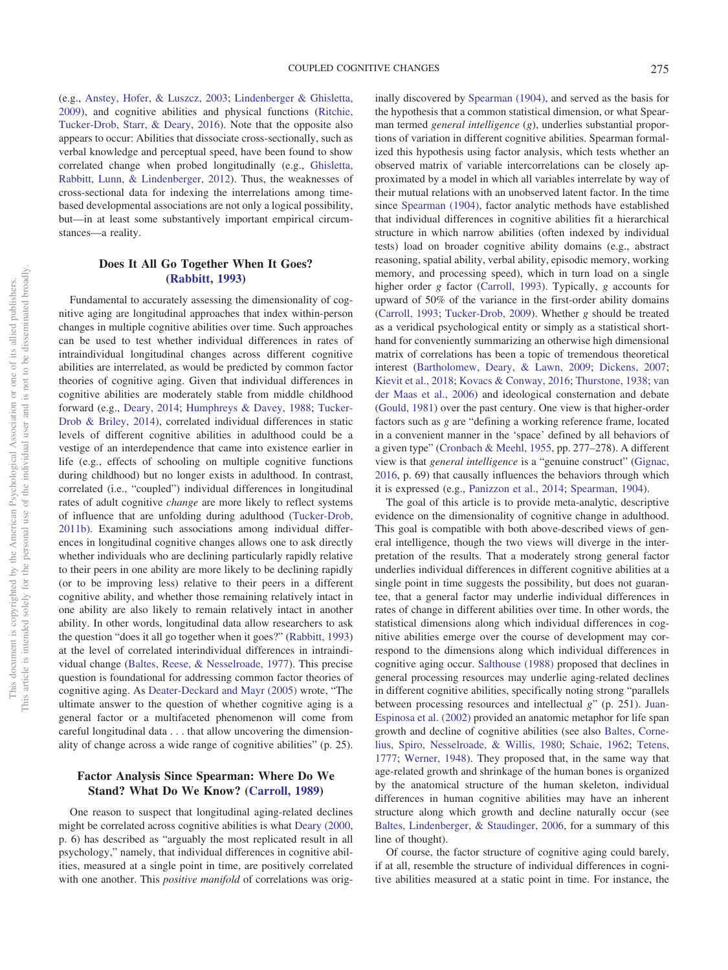(e.g., [Anstey, Hofer, & Luszcz, 2003;](#page-22-0) [Lindenberger & Ghisletta,](#page-24-13) [2009\)](#page-24-13), and cognitive abilities and physical functions [\(Ritchie,](#page-25-12) [Tucker-Drob, Starr, & Deary, 2016\)](#page-25-12). Note that the opposite also appears to occur: Abilities that dissociate cross-sectionally, such as verbal knowledge and perceptual speed, have been found to show correlated change when probed longitudinally (e.g., [Ghisletta,](#page-23-3) [Rabbitt, Lunn, & Lindenberger, 2012\)](#page-23-3). Thus, the weaknesses of cross-sectional data for indexing the interrelations among timebased developmental associations are not only a logical possibility, but—in at least some substantively important empirical circumstances—a reality.

# **Does It All Go Together When It Goes? [\(Rabbitt, 1993\)](#page-24-4)**

Fundamental to accurately assessing the dimensionality of cognitive aging are longitudinal approaches that index within-person changes in multiple cognitive abilities over time. Such approaches can be used to test whether individual differences in rates of intraindividual longitudinal changes across different cognitive abilities are interrelated, as would be predicted by common factor theories of cognitive aging. Given that individual differences in cognitive abilities are moderately stable from middle childhood forward (e.g., [Deary, 2014;](#page-23-4) [Humphreys & Davey, 1988;](#page-24-14) [Tucker-](#page-25-13)[Drob & Briley, 2014\)](#page-25-13), correlated individual differences in static levels of different cognitive abilities in adulthood could be a vestige of an interdependence that came into existence earlier in life (e.g., effects of schooling on multiple cognitive functions during childhood) but no longer exists in adulthood. In contrast, correlated (i.e., "coupled") individual differences in longitudinal rates of adult cognitive *change* are more likely to reflect systems of influence that are unfolding during adulthood [\(Tucker-Drob,](#page-25-14) [2011b\)](#page-25-14). Examining such associations among individual differences in longitudinal cognitive changes allows one to ask directly whether individuals who are declining particularly rapidly relative to their peers in one ability are more likely to be declining rapidly (or to be improving less) relative to their peers in a different cognitive ability, and whether those remaining relatively intact in one ability are also likely to remain relatively intact in another ability. In other words, longitudinal data allow researchers to ask the question "does it all go together when it goes?" [\(Rabbitt, 1993\)](#page-24-4) at the level of correlated interindividual differences in intraindividual change [\(Baltes, Reese, & Nesselroade, 1977\)](#page-23-5). This precise question is foundational for addressing common factor theories of cognitive aging. As [Deater-Deckard and Mayr \(2005\)](#page-23-6) wrote, "The ultimate answer to the question of whether cognitive aging is a general factor or a multifaceted phenomenon will come from careful longitudinal data... that allow uncovering the dimensionality of change across a wide range of cognitive abilities" (p. 25).

# **Factor Analysis Since Spearman: Where Do We Stand? What Do We Know? [\(Carroll, 1989\)](#page-23-7)**

One reason to suspect that longitudinal aging-related declines might be correlated across cognitive abilities is what [Deary \(2000,](#page-23-8) p. 6) has described as "arguably the most replicated result in all psychology," namely, that individual differences in cognitive abilities, measured at a single point in time, are positively correlated with one another. This *positive manifold* of correlations was originally discovered by [Spearman \(1904\),](#page-25-15) and served as the basis for the hypothesis that a common statistical dimension, or what Spearman termed *general intelligence* (*g*), underlies substantial proportions of variation in different cognitive abilities. Spearman formalized this hypothesis using factor analysis, which tests whether an observed matrix of variable intercorrelations can be closely approximated by a model in which all variables interrelate by way of their mutual relations with an unobserved latent factor. In the time since [Spearman \(1904\),](#page-25-15) factor analytic methods have established that individual differences in cognitive abilities fit a hierarchical structure in which narrow abilities (often indexed by individual tests) load on broader cognitive ability domains (e.g., abstract reasoning, spatial ability, verbal ability, episodic memory, working memory, and processing speed), which in turn load on a single higher order *g* factor [\(Carroll, 1993\)](#page-23-9). Typically, *g* accounts for upward of 50% of the variance in the first-order ability domains [\(Carroll, 1993;](#page-23-9) [Tucker-Drob, 2009\)](#page-25-16). Whether *g* should be treated as a veridical psychological entity or simply as a statistical shorthand for conveniently summarizing an otherwise high dimensional matrix of correlations has been a topic of tremendous theoretical interest [\(Bartholomew, Deary, & Lawn, 2009;](#page-23-10) [Dickens, 2007;](#page-23-11) [Kievit et al., 2018;](#page-24-15) [Kovacs & Conway, 2016;](#page-24-16) [Thurstone, 1938;](#page-25-17) [van](#page-26-3) [der Maas et al., 2006\)](#page-26-3) and ideological consternation and debate [\(Gould, 1981\)](#page-23-12) over the past century. One view is that higher-order factors such as *g* are "defining a working reference frame, located in a convenient manner in the 'space' defined by all behaviors of a given type" [\(Cronbach & Meehl, 1955,](#page-23-13) pp. 277–278). A different view is that *general intelligence* is a "genuine construct" [\(Gignac,](#page-23-14) [2016,](#page-23-14) p. 69) that causally influences the behaviors through which it is expressed (e.g., [Panizzon et al., 2014;](#page-24-17) [Spearman, 1904\)](#page-25-15).

The goal of this article is to provide meta-analytic, descriptive evidence on the dimensionality of cognitive change in adulthood. This goal is compatible with both above-described views of general intelligence, though the two views will diverge in the interpretation of the results. That a moderately strong general factor underlies individual differences in different cognitive abilities at a single point in time suggests the possibility, but does not guarantee, that a general factor may underlie individual differences in rates of change in different abilities over time. In other words, the statistical dimensions along which individual differences in cognitive abilities emerge over the course of development may correspond to the dimensions along which individual differences in cognitive aging occur. [Salthouse \(1988\)](#page-25-8) proposed that declines in general processing resources may underlie aging-related declines in different cognitive abilities, specifically noting strong "parallels between processing resources and intellectual *g*" (p. 251). [Juan-](#page-24-18)[Espinosa et al. \(2002\)](#page-24-18) provided an anatomic metaphor for life span growth and decline of cognitive abilities (see also [Baltes, Corne](#page-22-1)[lius, Spiro, Nesselroade, & Willis, 1980;](#page-22-1) [Schaie, 1962;](#page-25-18) [Tetens,](#page-25-19) [1777;](#page-25-19) [Werner, 1948\)](#page-26-4). They proposed that, in the same way that age-related growth and shrinkage of the human bones is organized by the anatomical structure of the human skeleton, individual differences in human cognitive abilities may have an inherent structure along which growth and decline naturally occur (see [Baltes, Lindenberger, & Staudinger, 2006,](#page-22-2) for a summary of this line of thought).

Of course, the factor structure of cognitive aging could barely, if at all, resemble the structure of individual differences in cognitive abilities measured at a static point in time. For instance, the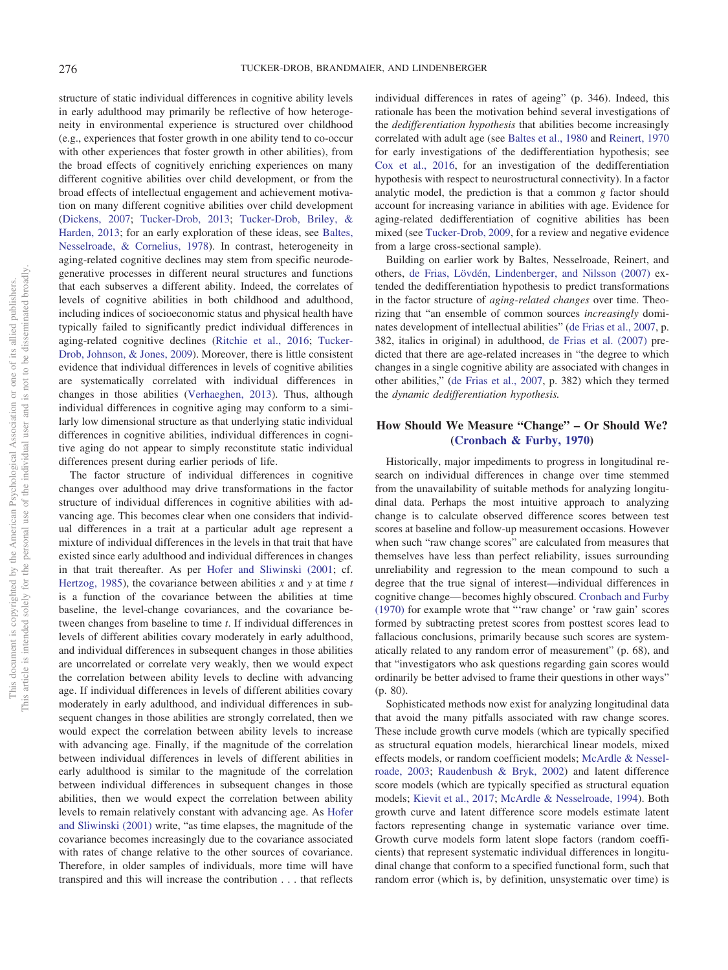structure of static individual differences in cognitive ability levels in early adulthood may primarily be reflective of how heterogeneity in environmental experience is structured over childhood (e.g., experiences that foster growth in one ability tend to co-occur with other experiences that foster growth in other abilities), from the broad effects of cognitively enriching experiences on many different cognitive abilities over child development, or from the broad effects of intellectual engagement and achievement motivation on many different cognitive abilities over child development [\(Dickens, 2007;](#page-23-11) [Tucker-Drob, 2013;](#page-25-20) [Tucker-Drob, Briley, &](#page-25-21) [Harden, 2013;](#page-25-21) for an early exploration of these ideas, see [Baltes,](#page-22-3) [Nesselroade, & Cornelius, 1978\)](#page-22-3). In contrast, heterogeneity in aging-related cognitive declines may stem from specific neurodegenerative processes in different neural structures and functions that each subserves a different ability. Indeed, the correlates of levels of cognitive abilities in both childhood and adulthood, including indices of socioeconomic status and physical health have typically failed to significantly predict individual differences in aging-related cognitive declines [\(Ritchie et al., 2016;](#page-25-22) [Tucker-](#page-25-23)[Drob, Johnson, & Jones, 2009\)](#page-25-23). Moreover, there is little consistent evidence that individual differences in levels of cognitive abilities are systematically correlated with individual differences in changes in those abilities [\(Verhaeghen, 2013\)](#page-26-5). Thus, although individual differences in cognitive aging may conform to a similarly low dimensional structure as that underlying static individual differences in cognitive abilities, individual differences in cognitive aging do not appear to simply reconstitute static individual differences present during earlier periods of life.

The factor structure of individual differences in cognitive changes over adulthood may drive transformations in the factor structure of individual differences in cognitive abilities with advancing age. This becomes clear when one considers that individual differences in a trait at a particular adult age represent a mixture of individual differences in the levels in that trait that have existed since early adulthood and individual differences in changes in that trait thereafter. As per [Hofer and Sliwinski \(2001;](#page-24-7) cf. [Hertzog, 1985\)](#page-23-15), the covariance between abilities *x* and *y* at time *t* is a function of the covariance between the abilities at time baseline, the level-change covariances, and the covariance between changes from baseline to time *t*. If individual differences in levels of different abilities covary moderately in early adulthood, and individual differences in subsequent changes in those abilities are uncorrelated or correlate very weakly, then we would expect the correlation between ability levels to decline with advancing age. If individual differences in levels of different abilities covary moderately in early adulthood, and individual differences in subsequent changes in those abilities are strongly correlated, then we would expect the correlation between ability levels to increase with advancing age. Finally, if the magnitude of the correlation between individual differences in levels of different abilities in early adulthood is similar to the magnitude of the correlation between individual differences in subsequent changes in those abilities, then we would expect the correlation between ability levels to remain relatively constant with advancing age. As [Hofer](#page-24-7) [and Sliwinski \(2001\)](#page-24-7) write, "as time elapses, the magnitude of the covariance becomes increasingly due to the covariance associated with rates of change relative to the other sources of covariance. Therefore, in older samples of individuals, more time will have transpired and this will increase the contribution... that reflects

individual differences in rates of ageing" (p. 346). Indeed, this rationale has been the motivation behind several investigations of the *dedifferentiation hypothesis* that abilities become increasingly correlated with adult age (see [Baltes et al., 1980](#page-22-1) and [Reinert, 1970](#page-25-24) for early investigations of the dedifferentiation hypothesis; see [Cox et al., 2016,](#page-23-16) for an investigation of the dedifferentiation hypothesis with respect to neurostructural connectivity). In a factor analytic model, the prediction is that a common *g* factor should account for increasing variance in abilities with age. Evidence for aging-related dedifferentiation of cognitive abilities has been mixed (see [Tucker-Drob, 2009,](#page-25-16) for a review and negative evidence from a large cross-sectional sample).

Building on earlier work by Baltes, Nesselroade, Reinert, and others, [de Frias, Lövdén, Lindenberger, and Nilsson \(2007\)](#page-23-17) extended the dedifferentiation hypothesis to predict transformations in the factor structure of *aging-related changes* over time. Theorizing that "an ensemble of common sources *increasingly* dominates development of intellectual abilities" [\(de Frias et al., 2007,](#page-23-17) p. 382, italics in original) in adulthood, [de Frias et al. \(2007\)](#page-23-17) predicted that there are age-related increases in "the degree to which changes in a single cognitive ability are associated with changes in other abilities," [\(de Frias et al., 2007,](#page-23-17) p. 382) which they termed the *dynamic dedifferentiation hypothesis.*

### **How Should We Measure "Change" – Or Should We? [\(Cronbach & Furby, 1970\)](#page-23-18)**

Historically, major impediments to progress in longitudinal research on individual differences in change over time stemmed from the unavailability of suitable methods for analyzing longitudinal data. Perhaps the most intuitive approach to analyzing change is to calculate observed difference scores between test scores at baseline and follow-up measurement occasions. However when such "raw change scores" are calculated from measures that themselves have less than perfect reliability, issues surrounding unreliability and regression to the mean compound to such a degree that the true signal of interest—individual differences in cognitive change— becomes highly obscured. [Cronbach and Furby](#page-23-18) [\(1970\)](#page-23-18) for example wrote that "'raw change' or 'raw gain' scores formed by subtracting pretest scores from posttest scores lead to fallacious conclusions, primarily because such scores are systematically related to any random error of measurement" (p. 68), and that "investigators who ask questions regarding gain scores would ordinarily be better advised to frame their questions in other ways" (p. 80).

Sophisticated methods now exist for analyzing longitudinal data that avoid the many pitfalls associated with raw change scores. These include growth curve models (which are typically specified as structural equation models, hierarchical linear models, mixed effects models, or random coefficient models; [McArdle & Nessel](#page-24-19)[roade, 2003;](#page-24-19) [Raudenbush & Bryk, 2002\)](#page-25-25) and latent difference score models (which are typically specified as structural equation models; [Kievit et al., 2017;](#page-24-20) [McArdle & Nesselroade, 1994\)](#page-24-21). Both growth curve and latent difference score models estimate latent factors representing change in systematic variance over time. Growth curve models form latent slope factors (random coefficients) that represent systematic individual differences in longitudinal change that conform to a specified functional form, such that random error (which is, by definition, unsystematic over time) is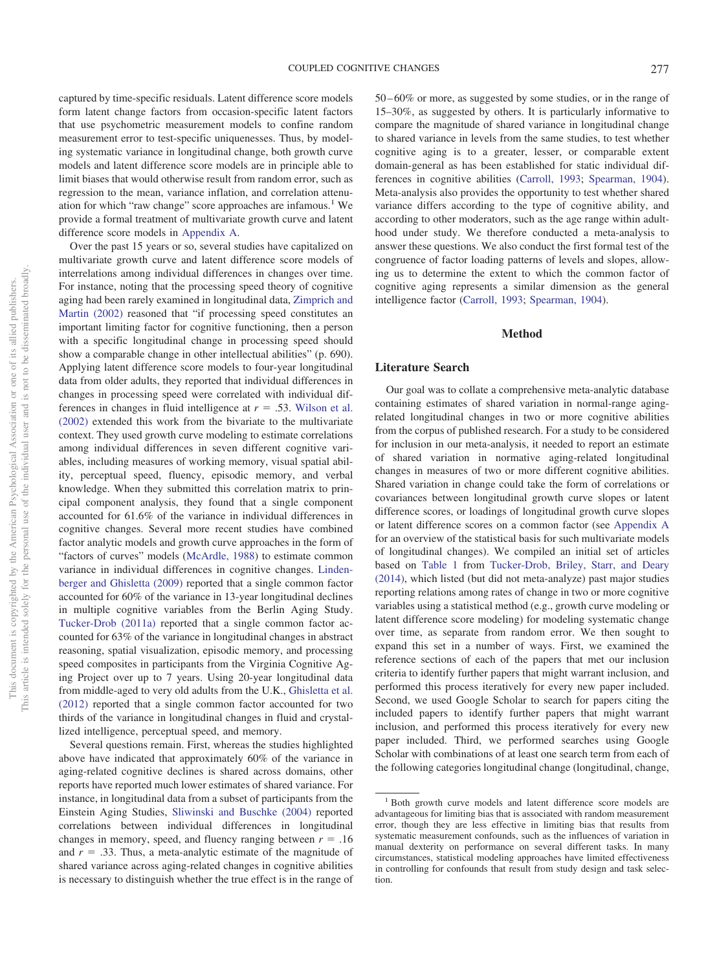captured by time-specific residuals. Latent difference score models form latent change factors from occasion-specific latent factors that use psychometric measurement models to confine random measurement error to test-specific uniquenesses. Thus, by modeling systematic variance in longitudinal change, both growth curve models and latent difference score models are in principle able to limit biases that would otherwise result from random error, such as regression to the mean, variance inflation, and correlation attenuation for which "raw change" score approaches are infamous.<sup>1</sup> We provide a formal treatment of multivariate growth curve and latent difference score models in [Appendix A.](#page-27-0)

Over the past 15 years or so, several studies have capitalized on multivariate growth curve and latent difference score models of interrelations among individual differences in changes over time. For instance, noting that the processing speed theory of cognitive aging had been rarely examined in longitudinal data, [Zimprich and](#page-26-6) [Martin \(2002\)](#page-26-6) reasoned that "if processing speed constitutes an important limiting factor for cognitive functioning, then a person with a specific longitudinal change in processing speed should show a comparable change in other intellectual abilities" (p. 690). Applying latent difference score models to four-year longitudinal data from older adults, they reported that individual differences in changes in processing speed were correlated with individual differences in changes in fluid intelligence at  $r = .53$ . [Wilson et al.](#page-26-7) [\(2002\)](#page-26-7) extended this work from the bivariate to the multivariate context. They used growth curve modeling to estimate correlations among individual differences in seven different cognitive variables, including measures of working memory, visual spatial ability, perceptual speed, fluency, episodic memory, and verbal knowledge. When they submitted this correlation matrix to principal component analysis, they found that a single component accounted for 61.6% of the variance in individual differences in cognitive changes. Several more recent studies have combined factor analytic models and growth curve approaches in the form of "factors of curves" models [\(McArdle, 1988\)](#page-24-22) to estimate common variance in individual differences in cognitive changes. [Linden](#page-24-13)[berger and Ghisletta \(2009\)](#page-24-13) reported that a single common factor accounted for 60% of the variance in 13-year longitudinal declines in multiple cognitive variables from the Berlin Aging Study. [Tucker-Drob \(2011a\)](#page-25-9) reported that a single common factor accounted for 63% of the variance in longitudinal changes in abstract reasoning, spatial visualization, episodic memory, and processing speed composites in participants from the Virginia Cognitive Aging Project over up to 7 years. Using 20-year longitudinal data from middle-aged to very old adults from the U.K., [Ghisletta et al.](#page-23-3) [\(2012\)](#page-23-3) reported that a single common factor accounted for two thirds of the variance in longitudinal changes in fluid and crystallized intelligence, perceptual speed, and memory.

Several questions remain. First, whereas the studies highlighted above have indicated that approximately 60% of the variance in aging-related cognitive declines is shared across domains, other reports have reported much lower estimates of shared variance. For instance, in longitudinal data from a subset of participants from the Einstein Aging Studies, [Sliwinski and Buschke \(2004\)](#page-25-26) reported correlations between individual differences in longitudinal changes in memory, speed, and fluency ranging between  $r = .16$ and  $r = .33$ . Thus, a meta-analytic estimate of the magnitude of shared variance across aging-related changes in cognitive abilities is necessary to distinguish whether the true effect is in the range of 50 – 60% or more, as suggested by some studies, or in the range of 15–30%, as suggested by others. It is particularly informative to compare the magnitude of shared variance in longitudinal change to shared variance in levels from the same studies, to test whether cognitive aging is to a greater, lesser, or comparable extent domain-general as has been established for static individual differences in cognitive abilities [\(Carroll, 1993;](#page-23-9) [Spearman, 1904\)](#page-25-15). Meta-analysis also provides the opportunity to test whether shared variance differs according to the type of cognitive ability, and according to other moderators, such as the age range within adulthood under study. We therefore conducted a meta-analysis to answer these questions. We also conduct the first formal test of the congruence of factor loading patterns of levels and slopes, allowing us to determine the extent to which the common factor of cognitive aging represents a similar dimension as the general intelligence factor [\(Carroll, 1993;](#page-23-9) [Spearman, 1904\)](#page-25-15).

#### **Method**

#### **Literature Search**

Our goal was to collate a comprehensive meta-analytic database containing estimates of shared variation in normal-range agingrelated longitudinal changes in two or more cognitive abilities from the corpus of published research. For a study to be considered for inclusion in our meta-analysis, it needed to report an estimate of shared variation in normative aging-related longitudinal changes in measures of two or more different cognitive abilities. Shared variation in change could take the form of correlations or covariances between longitudinal growth curve slopes or latent difference scores, or loadings of longitudinal growth curve slopes or latent difference scores on a common factor (see [Appendix A](#page-27-0) for an overview of the statistical basis for such multivariate models of longitudinal changes). We compiled an initial set of articles based on [Table 1](#page-9-0) from [Tucker-Drob, Briley, Starr, and Deary](#page-25-27) [\(2014\),](#page-25-27) which listed (but did not meta-analyze) past major studies reporting relations among rates of change in two or more cognitive variables using a statistical method (e.g., growth curve modeling or latent difference score modeling) for modeling systematic change over time, as separate from random error. We then sought to expand this set in a number of ways. First, we examined the reference sections of each of the papers that met our inclusion criteria to identify further papers that might warrant inclusion, and performed this process iteratively for every new paper included. Second, we used Google Scholar to search for papers citing the included papers to identify further papers that might warrant inclusion, and performed this process iteratively for every new paper included. Third, we performed searches using Google Scholar with combinations of at least one search term from each of the following categories longitudinal change (longitudinal, change,

<sup>&</sup>lt;sup>1</sup> Both growth curve models and latent difference score models are advantageous for limiting bias that is associated with random measurement error, though they are less effective in limiting bias that results from systematic measurement confounds, such as the influences of variation in manual dexterity on performance on several different tasks. In many circumstances, statistical modeling approaches have limited effectiveness in controlling for confounds that result from study design and task selection.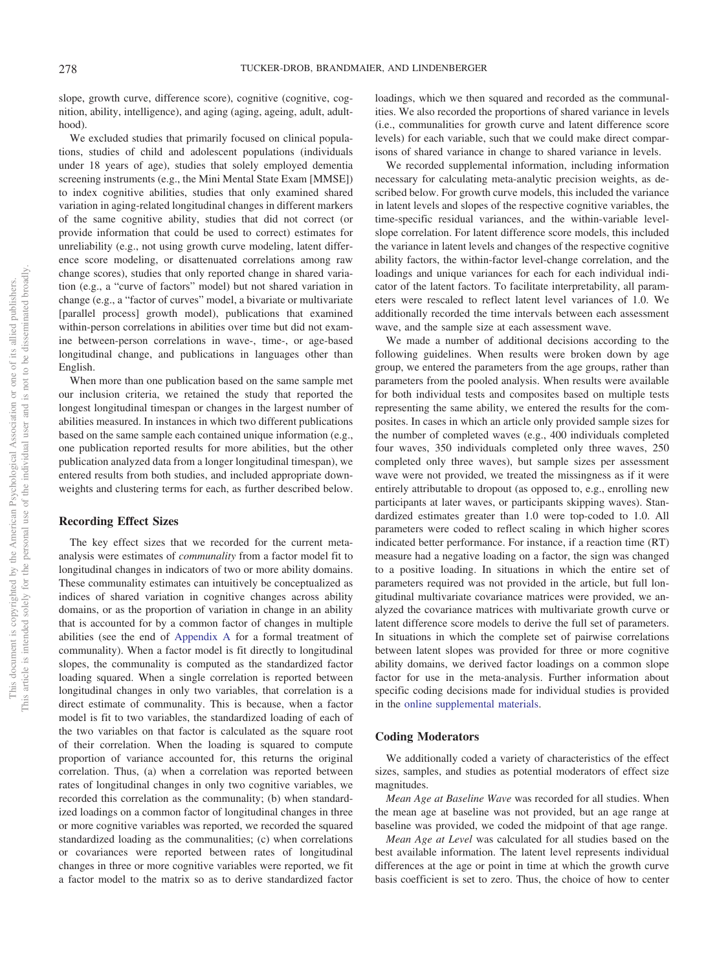slope, growth curve, difference score), cognitive (cognitive, cognition, ability, intelligence), and aging (aging, ageing, adult, adulthood).

We excluded studies that primarily focused on clinical populations, studies of child and adolescent populations (individuals under 18 years of age), studies that solely employed dementia screening instruments (e.g., the Mini Mental State Exam [MMSE]) to index cognitive abilities, studies that only examined shared variation in aging-related longitudinal changes in different markers of the same cognitive ability, studies that did not correct (or provide information that could be used to correct) estimates for unreliability (e.g., not using growth curve modeling, latent difference score modeling, or disattenuated correlations among raw change scores), studies that only reported change in shared variation (e.g., a "curve of factors" model) but not shared variation in change (e.g., a "factor of curves" model, a bivariate or multivariate [parallel process] growth model), publications that examined within-person correlations in abilities over time but did not examine between-person correlations in wave-, time-, or age-based longitudinal change, and publications in languages other than English.

When more than one publication based on the same sample met our inclusion criteria, we retained the study that reported the longest longitudinal timespan or changes in the largest number of abilities measured. In instances in which two different publications based on the same sample each contained unique information (e.g., one publication reported results for more abilities, but the other publication analyzed data from a longer longitudinal timespan), we entered results from both studies, and included appropriate downweights and clustering terms for each, as further described below.

# **Recording Effect Sizes**

The key effect sizes that we recorded for the current metaanalysis were estimates of *communality* from a factor model fit to longitudinal changes in indicators of two or more ability domains. These communality estimates can intuitively be conceptualized as indices of shared variation in cognitive changes across ability domains, or as the proportion of variation in change in an ability that is accounted for by a common factor of changes in multiple abilities (see the end of [Appendix A](#page-27-0) for a formal treatment of communality). When a factor model is fit directly to longitudinal slopes, the communality is computed as the standardized factor loading squared. When a single correlation is reported between longitudinal changes in only two variables, that correlation is a direct estimate of communality. This is because, when a factor model is fit to two variables, the standardized loading of each of the two variables on that factor is calculated as the square root of their correlation. When the loading is squared to compute proportion of variance accounted for, this returns the original correlation. Thus, (a) when a correlation was reported between rates of longitudinal changes in only two cognitive variables, we recorded this correlation as the communality; (b) when standardized loadings on a common factor of longitudinal changes in three or more cognitive variables was reported, we recorded the squared standardized loading as the communalities; (c) when correlations or covariances were reported between rates of longitudinal changes in three or more cognitive variables were reported, we fit a factor model to the matrix so as to derive standardized factor

loadings, which we then squared and recorded as the communalities. We also recorded the proportions of shared variance in levels (i.e., communalities for growth curve and latent difference score levels) for each variable, such that we could make direct comparisons of shared variance in change to shared variance in levels.

We recorded supplemental information, including information necessary for calculating meta-analytic precision weights, as described below. For growth curve models, this included the variance in latent levels and slopes of the respective cognitive variables, the time-specific residual variances, and the within-variable levelslope correlation. For latent difference score models, this included the variance in latent levels and changes of the respective cognitive ability factors, the within-factor level-change correlation, and the loadings and unique variances for each for each individual indicator of the latent factors. To facilitate interpretability, all parameters were rescaled to reflect latent level variances of 1.0. We additionally recorded the time intervals between each assessment wave, and the sample size at each assessment wave.

We made a number of additional decisions according to the following guidelines. When results were broken down by age group, we entered the parameters from the age groups, rather than parameters from the pooled analysis. When results were available for both individual tests and composites based on multiple tests representing the same ability, we entered the results for the composites. In cases in which an article only provided sample sizes for the number of completed waves (e.g., 400 individuals completed four waves, 350 individuals completed only three waves, 250 completed only three waves), but sample sizes per assessment wave were not provided, we treated the missingness as if it were entirely attributable to dropout (as opposed to, e.g., enrolling new participants at later waves, or participants skipping waves). Standardized estimates greater than 1.0 were top-coded to 1.0. All parameters were coded to reflect scaling in which higher scores indicated better performance. For instance, if a reaction time (RT) measure had a negative loading on a factor, the sign was changed to a positive loading. In situations in which the entire set of parameters required was not provided in the article, but full longitudinal multivariate covariance matrices were provided, we analyzed the covariance matrices with multivariate growth curve or latent difference score models to derive the full set of parameters. In situations in which the complete set of pairwise correlations between latent slopes was provided for three or more cognitive ability domains, we derived factor loadings on a common slope factor for use in the meta-analysis. Further information about specific coding decisions made for individual studies is provided in the [online supplemental materials.](http://dx.doi.org/10.1037/bul0000179.supp)

#### **Coding Moderators**

We additionally coded a variety of characteristics of the effect sizes, samples, and studies as potential moderators of effect size magnitudes.

*Mean Age at Baseline Wave* was recorded for all studies. When the mean age at baseline was not provided, but an age range at baseline was provided, we coded the midpoint of that age range.

*Mean Age at Level* was calculated for all studies based on the best available information. The latent level represents individual differences at the age or point in time at which the growth curve basis coefficient is set to zero. Thus, the choice of how to center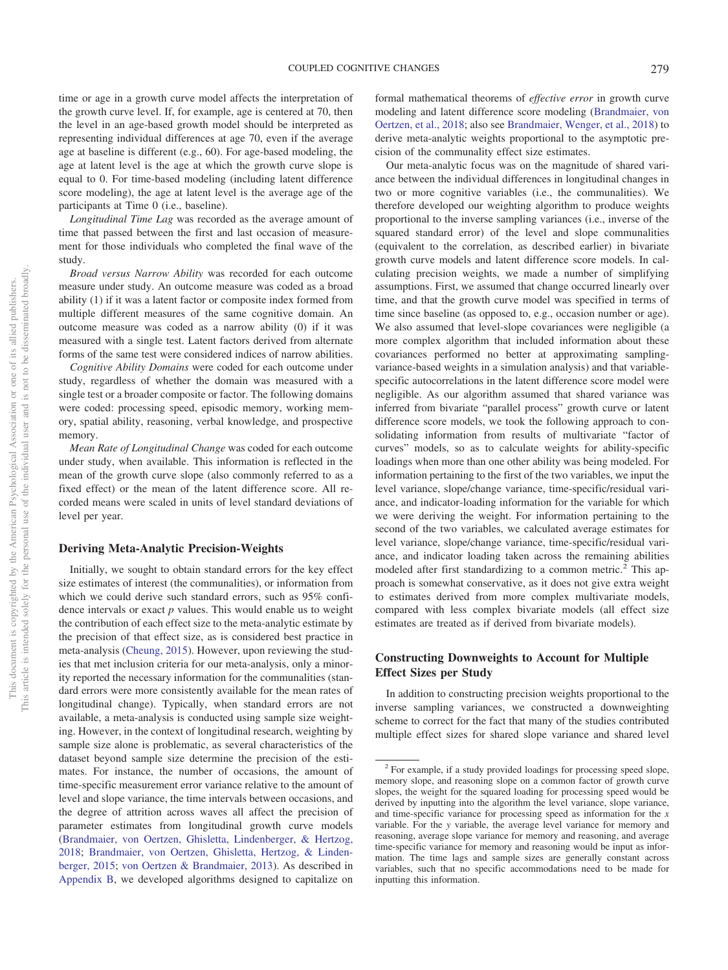time or age in a growth curve model affects the interpretation of the growth curve level. If, for example, age is centered at 70, then the level in an age-based growth model should be interpreted as representing individual differences at age 70, even if the average age at baseline is different (e.g., 60). For age-based modeling, the age at latent level is the age at which the growth curve slope is equal to 0. For time-based modeling (including latent difference score modeling), the age at latent level is the average age of the participants at Time 0 (i.e., baseline).

*Longitudinal Time Lag* was recorded as the average amount of time that passed between the first and last occasion of measurement for those individuals who completed the final wave of the study.

*Broad versus Narrow Ability* was recorded for each outcome measure under study. An outcome measure was coded as a broad ability (1) if it was a latent factor or composite index formed from multiple different measures of the same cognitive domain. An outcome measure was coded as a narrow ability (0) if it was measured with a single test. Latent factors derived from alternate forms of the same test were considered indices of narrow abilities.

*Cognitive Ability Domains* were coded for each outcome under study, regardless of whether the domain was measured with a single test or a broader composite or factor. The following domains were coded: processing speed, episodic memory, working memory, spatial ability, reasoning, verbal knowledge, and prospective memory.

*Mean Rate of Longitudinal Change* was coded for each outcome under study, when available. This information is reflected in the mean of the growth curve slope (also commonly referred to as a fixed effect) or the mean of the latent difference score. All recorded means were scaled in units of level standard deviations of level per year.

#### **Deriving Meta-Analytic Precision-Weights**

Initially, we sought to obtain standard errors for the key effect size estimates of interest (the communalities), or information from which we could derive such standard errors, such as 95% confidence intervals or exact *p* values. This would enable us to weight the contribution of each effect size to the meta-analytic estimate by the precision of that effect size, as is considered best practice in meta-analysis [\(Cheung, 2015\)](#page-23-19). However, upon reviewing the studies that met inclusion criteria for our meta-analysis, only a minority reported the necessary information for the communalities (standard errors were more consistently available for the mean rates of longitudinal change). Typically, when standard errors are not available, a meta-analysis is conducted using sample size weighting. However, in the context of longitudinal research, weighting by sample size alone is problematic, as several characteristics of the dataset beyond sample size determine the precision of the estimates. For instance, the number of occasions, the amount of time-specific measurement error variance relative to the amount of level and slope variance, the time intervals between occasions, and the degree of attrition across waves all affect the precision of parameter estimates from longitudinal growth curve models [\(Brandmaier, von Oertzen, Ghisletta, Lindenberger, & Hertzog,](#page-23-20) [2018;](#page-23-20) [Brandmaier, von Oertzen, Ghisletta, Hertzog, & Linden](#page-23-21)[berger, 2015;](#page-23-21) [von Oertzen & Brandmaier, 2013\)](#page-26-8). As described in [Appendix B,](#page-28-0) we developed algorithms designed to capitalize on formal mathematical theorems of *effective error* in growth curve modeling and latent difference score modeling [\(Brandmaier, von](#page-23-20) [Oertzen, et al., 2018;](#page-23-20) also see [Brandmaier, Wenger, et al., 2018\)](#page-23-22) to derive meta-analytic weights proportional to the asymptotic precision of the communality effect size estimates.

Our meta-analytic focus was on the magnitude of shared variance between the individual differences in longitudinal changes in two or more cognitive variables (i.e., the communalities). We therefore developed our weighting algorithm to produce weights proportional to the inverse sampling variances (i.e., inverse of the squared standard error) of the level and slope communalities (equivalent to the correlation, as described earlier) in bivariate growth curve models and latent difference score models. In calculating precision weights, we made a number of simplifying assumptions. First, we assumed that change occurred linearly over time, and that the growth curve model was specified in terms of time since baseline (as opposed to, e.g., occasion number or age). We also assumed that level-slope covariances were negligible (a more complex algorithm that included information about these covariances performed no better at approximating samplingvariance-based weights in a simulation analysis) and that variablespecific autocorrelations in the latent difference score model were negligible. As our algorithm assumed that shared variance was inferred from bivariate "parallel process" growth curve or latent difference score models, we took the following approach to consolidating information from results of multivariate "factor of curves" models, so as to calculate weights for ability-specific loadings when more than one other ability was being modeled. For information pertaining to the first of the two variables, we input the level variance, slope/change variance, time-specific/residual variance, and indicator-loading information for the variable for which we were deriving the weight. For information pertaining to the second of the two variables, we calculated average estimates for level variance, slope/change variance, time-specific/residual variance, and indicator loading taken across the remaining abilities modeled after first standardizing to a common metric.<sup>2</sup> This approach is somewhat conservative, as it does not give extra weight to estimates derived from more complex multivariate models, compared with less complex bivariate models (all effect size estimates are treated as if derived from bivariate models).

# **Constructing Downweights to Account for Multiple Effect Sizes per Study**

In addition to constructing precision weights proportional to the inverse sampling variances, we constructed a downweighting scheme to correct for the fact that many of the studies contributed multiple effect sizes for shared slope variance and shared level

<sup>&</sup>lt;sup>2</sup> For example, if a study provided loadings for processing speed slope, memory slope, and reasoning slope on a common factor of growth curve slopes, the weight for the squared loading for processing speed would be derived by inputting into the algorithm the level variance, slope variance, and time-specific variance for processing speed as information for the *x* variable. For the *y* variable, the average level variance for memory and reasoning, average slope variance for memory and reasoning, and average time-specific variance for memory and reasoning would be input as information. The time lags and sample sizes are generally constant across variables, such that no specific accommodations need to be made for inputting this information.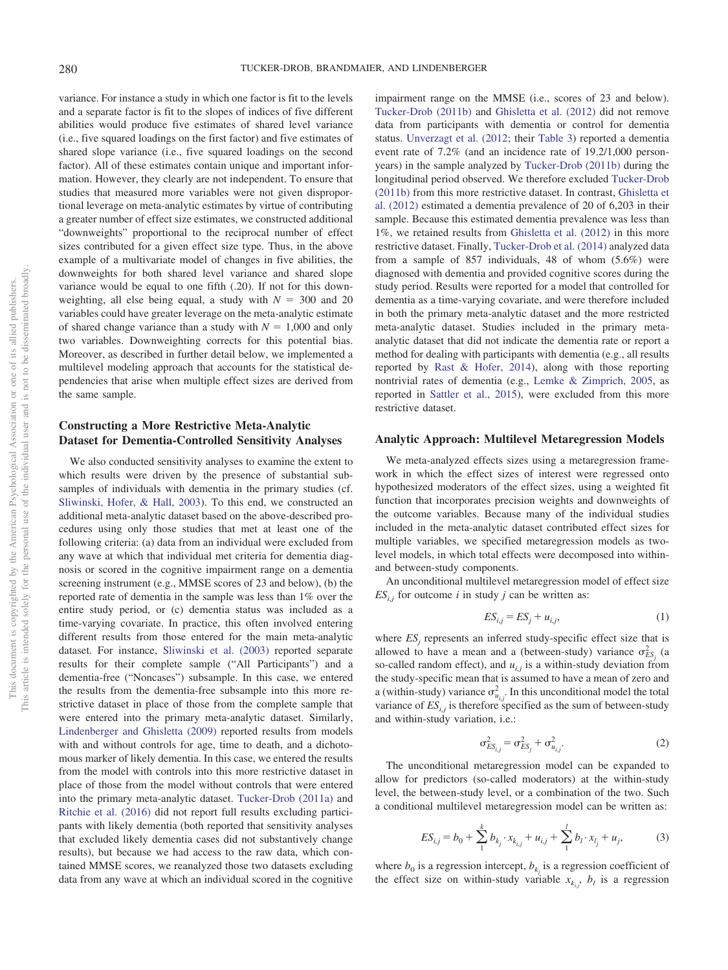variance. For instance a study in which one factor is fit to the levels and a separate factor is fit to the slopes of indices of five different abilities would produce five estimates of shared level variance (i.e., five squared loadings on the first factor) and five estimates of shared slope variance (i.e., five squared loadings on the second factor). All of these estimates contain unique and important information. However, they clearly are not independent. To ensure that studies that measured more variables were not given disproportional leverage on meta-analytic estimates by virtue of contributing a greater number of effect size estimates, we constructed additional "downweights" proportional to the reciprocal number of effect sizes contributed for a given effect size type. Thus, in the above example of a multivariate model of changes in five abilities, the downweights for both shared level variance and shared slope variance would be equal to one fifth (.20). If not for this downweighting, all else being equal, a study with  $N = 300$  and 20 variables could have greater leverage on the meta-analytic estimate of shared change variance than a study with  $N = 1,000$  and only two variables. Downweighting corrects for this potential bias. Moreover, as described in further detail below, we implemented a multilevel modeling approach that accounts for the statistical dependencies that arise when multiple effect sizes are derived from the same sample.

#### **Constructing a More Restrictive Meta-Analytic Dataset for Dementia-Controlled Sensitivity Analyses**

We also conducted sensitivity analyses to examine the extent to which results were driven by the presence of substantial subsamples of individuals with dementia in the primary studies (cf. [Sliwinski, Hofer, & Hall, 2003\)](#page-25-28). To this end, we constructed an additional meta-analytic dataset based on the above-described procedures using only those studies that met at least one of the following criteria: (a) data from an individual were excluded from any wave at which that individual met criteria for dementia diagnosis or scored in the cognitive impairment range on a dementia screening instrument (e.g., MMSE scores of 23 and below), (b) the reported rate of dementia in the sample was less than 1% over the entire study period, or (c) dementia status was included as a time-varying covariate. In practice, this often involved entering different results from those entered for the main meta-analytic dataset. For instance, [Sliwinski et al. \(2003\)](#page-25-28) reported separate results for their complete sample ("All Participants") and a dementia-free ("Noncases") subsample. In this case, we entered the results from the dementia-free subsample into this more restrictive dataset in place of those from the complete sample that were entered into the primary meta-analytic dataset. Similarly, [Lindenberger and Ghisletta \(2009\)](#page-24-13) reported results from models with and without controls for age, time to death, and a dichotomous marker of likely dementia. In this case, we entered the results from the model with controls into this more restrictive dataset in place of those from the model without controls that were entered into the primary meta-analytic dataset. [Tucker-Drob \(2011a\)](#page-25-9) and [Ritchie et al. \(2016\)](#page-25-22) did not report full results excluding participants with likely dementia (both reported that sensitivity analyses that excluded likely dementia cases did not substantively change results), but because we had access to the raw data, which contained MMSE scores, we reanalyzed those two datasets excluding data from any wave at which an individual scored in the cognitive

impairment range on the MMSE (i.e., scores of 23 and below). [Tucker-Drob \(2011b\)](#page-25-14) and [Ghisletta et al. \(2012\)](#page-23-3) did not remove data from participants with dementia or control for dementia status. [Unverzagt et al. \(2012;](#page-26-9) their [Table 3\)](#page-18-0) reported a dementia event rate of 7.2% (and an incidence rate of 19.2/1,000 personyears) in the sample analyzed by [Tucker-Drob \(2011b\)](#page-25-14) during the longitudinal period observed. We therefore excluded [Tucker-Drob](#page-25-14) [\(2011b\)](#page-25-14) from this more restrictive dataset. In contrast, [Ghisletta et](#page-23-3) [al. \(2012\)](#page-23-3) estimated a dementia prevalence of 20 of 6,203 in their sample. Because this estimated dementia prevalence was less than 1%, we retained results from [Ghisletta et al. \(2012\)](#page-23-3) in this more restrictive dataset. Finally, [Tucker-Drob et al. \(2014\)](#page-25-27) analyzed data from a sample of 857 individuals, 48 of whom (5.6%) were diagnosed with dementia and provided cognitive scores during the study period. Results were reported for a model that controlled for dementia as a time-varying covariate, and were therefore included in both the primary meta-analytic dataset and the more restricted meta-analytic dataset. Studies included in the primary metaanalytic dataset that did not indicate the dementia rate or report a method for dealing with participants with dementia (e.g., all results reported by [Rast & Hofer, 2014\)](#page-25-29), along with those reporting nontrivial rates of dementia (e.g., [Lemke & Zimprich, 2005,](#page-24-23) as reported in [Sattler et al., 2015\)](#page-25-30), were excluded from this more restrictive dataset.

#### **Analytic Approach: Multilevel Metaregression Models**

We meta-analyzed effects sizes using a metaregression framework in which the effect sizes of interest were regressed onto hypothesized moderators of the effect sizes, using a weighted fit function that incorporates precision weights and downweights of the outcome variables. Because many of the individual studies included in the meta-analytic dataset contributed effect sizes for multiple variables, we specified metaregression models as twolevel models, in which total effects were decomposed into withinand between-study components.

An unconditional multilevel metaregression model of effect size  $ES_{i,j}$  for outcome *i* in study *j* can be written as:

$$
ES_{i,j} = ES_j + u_{i,j},\tag{1}
$$

where  $ES_j$  represents an inferred study-specific effect size that is allowed to have a mean and a (between-study) variance  $\sigma_{ES_j}^2$  (a so-called random effect), and  $u_{i,j}$  is a within-study deviation from the study-specific mean that is assumed to have a mean of zero and a (within-study) variance  $\sigma_{u_{i,j}}^2$ . In this unconditional model the total variance of  $ES_{i,j}$  is therefore specified as the sum of between-study and within-study variation, i.e.:

$$
\sigma_{ES_{i,j}}^2 = \sigma_{ES_j}^2 + \sigma_{u_{i,j}}^2.
$$

The unconditional metaregression model can be expanded to allow for predictors (so-called moderators) at the within-study level, the between-study level, or a combination of the two. Such a conditional multilevel metaregression model can be written as:

$$
ES_{i,j} = b_0 + \sum_{1}^{k} b_{k_j} \cdot x_{k_{i,j}} + u_{i,j} + \sum_{1}^{l} b_l \cdot x_{l_j} + u_j,
$$
 (3)

where  $b_0$  is a regression intercept,  $b_{k_i}$  is a regression coefficient of the effect size on within-study variable  $x_{k_i}$ ,  $b_i$  is a regression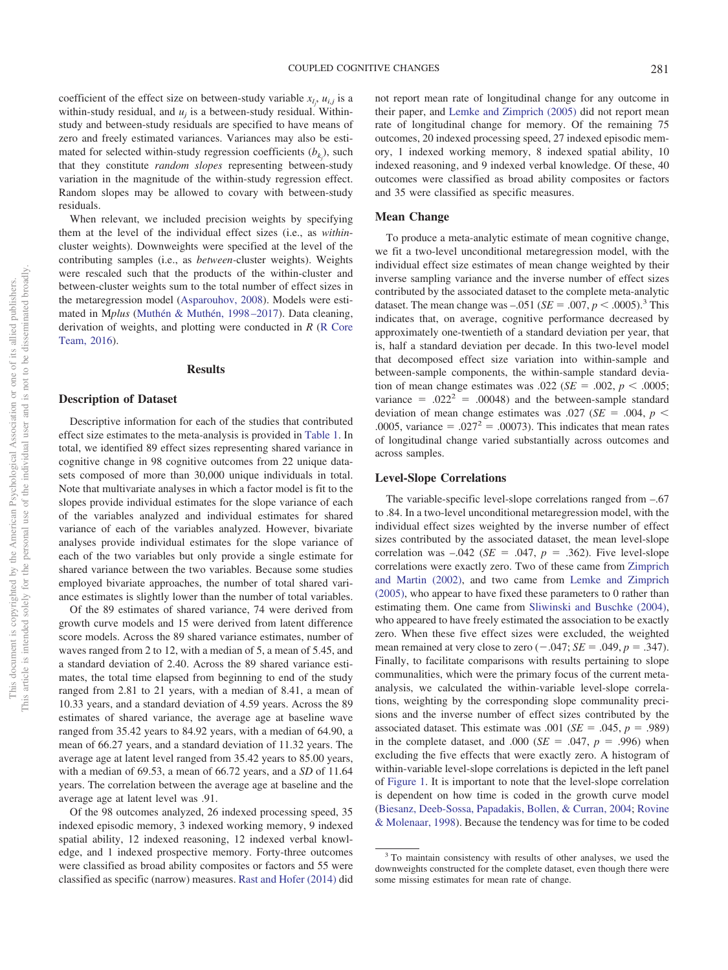coefficient of the effect size on between-study variable  $x_{l_j}$ ,  $u_{i,j}$  is a within-study residual, and  $u_i$  is a between-study residual. Withinstudy and between-study residuals are specified to have means of zero and freely estimated variances. Variances may also be estimated for selected within-study regression coefficients  $(b_{k_j})$ , such that they constitute *random slopes* representing between-study variation in the magnitude of the within-study regression effect. Random slopes may be allowed to covary with between-study residuals.

When relevant, we included precision weights by specifying them at the level of the individual effect sizes (i.e., as *within*cluster weights). Downweights were specified at the level of the contributing samples (i.e., as *between-*cluster weights). Weights were rescaled such that the products of the within-cluster and between-cluster weights sum to the total number of effect sizes in the metaregression model [\(Asparouhov, 2008\)](#page-22-4). Models were estimated in M*plus* [\(Muthén & Muthén, 1998 –2017\)](#page-24-24). Data cleaning, derivation of weights, and plotting were conducted in *R* [\(R Core](#page-25-31) [Team, 2016\)](#page-25-31).

#### **Results**

#### **Description of Dataset**

Descriptive information for each of the studies that contributed effect size estimates to the meta-analysis is provided in [Table 1.](#page-9-0) In total, we identified 89 effect sizes representing shared variance in cognitive change in 98 cognitive outcomes from 22 unique datasets composed of more than 30,000 unique individuals in total. Note that multivariate analyses in which a factor model is fit to the slopes provide individual estimates for the slope variance of each of the variables analyzed and individual estimates for shared variance of each of the variables analyzed. However, bivariate analyses provide individual estimates for the slope variance of each of the two variables but only provide a single estimate for shared variance between the two variables. Because some studies employed bivariate approaches, the number of total shared variance estimates is slightly lower than the number of total variables.

Of the 89 estimates of shared variance, 74 were derived from growth curve models and 15 were derived from latent difference score models. Across the 89 shared variance estimates, number of waves ranged from 2 to 12, with a median of 5, a mean of 5.45, and a standard deviation of 2.40. Across the 89 shared variance estimates, the total time elapsed from beginning to end of the study ranged from 2.81 to 21 years, with a median of 8.41, a mean of 10.33 years, and a standard deviation of 4.59 years. Across the 89 estimates of shared variance, the average age at baseline wave ranged from 35.42 years to 84.92 years, with a median of 64.90, a mean of 66.27 years, and a standard deviation of 11.32 years. The average age at latent level ranged from 35.42 years to 85.00 years, with a median of 69.53, a mean of 66.72 years, and a *SD* of 11.64 years. The correlation between the average age at baseline and the average age at latent level was .91.

Of the 98 outcomes analyzed, 26 indexed processing speed, 35 indexed episodic memory, 3 indexed working memory, 9 indexed spatial ability, 12 indexed reasoning, 12 indexed verbal knowledge, and 1 indexed prospective memory. Forty-three outcomes were classified as broad ability composites or factors and 55 were classified as specific (narrow) measures. [Rast and Hofer \(2014\)](#page-25-29) did

not report mean rate of longitudinal change for any outcome in their paper, and [Lemke and Zimprich \(2005\)](#page-24-23) did not report mean rate of longitudinal change for memory. Of the remaining 75 outcomes, 20 indexed processing speed, 27 indexed episodic memory, 1 indexed working memory, 8 indexed spatial ability, 10 indexed reasoning, and 9 indexed verbal knowledge. Of these, 40 outcomes were classified as broad ability composites or factors and 35 were classified as specific measures.

#### **Mean Change**

To produce a meta-analytic estimate of mean cognitive change, we fit a two-level unconditional metaregression model, with the individual effect size estimates of mean change weighted by their inverse sampling variance and the inverse number of effect sizes contributed by the associated dataset to the complete meta-analytic dataset. The mean change was  $-.051$  (*SE* = .007, *p* < .0005).<sup>3</sup> This indicates that, on average, cognitive performance decreased by approximately one-twentieth of a standard deviation per year, that is, half a standard deviation per decade. In this two-level model that decomposed effect size variation into within-sample and between-sample components, the within-sample standard deviation of mean change estimates was  $.022$  (*SE* =  $.002$ , *p* <  $.0005$ ; variance =  $.022^2$  = .00048) and the between-sample standard deviation of mean change estimates was .027 ( $SE = .004$ ,  $p <$ .0005, variance = .027<sup>2</sup> = .00073). This indicates that mean rates of longitudinal change varied substantially across outcomes and across samples.

#### **Level-Slope Correlations**

The variable-specific level-slope correlations ranged from –.67 to .84. In a two-level unconditional metaregression model, with the individual effect sizes weighted by the inverse number of effect sizes contributed by the associated dataset, the mean level-slope correlation was  $-.042$  (*SE* = .047,  $p = .362$ ). Five level-slope correlations were exactly zero. Two of these came from [Zimprich](#page-26-6) [and Martin \(2002\),](#page-26-6) and two came from [Lemke and Zimprich](#page-24-23) [\(2005\),](#page-24-23) who appear to have fixed these parameters to 0 rather than estimating them. One came from [Sliwinski and Buschke \(2004\),](#page-25-26) who appeared to have freely estimated the association to be exactly zero. When these five effect sizes were excluded, the weighted mean remained at very close to zero  $(-.047; SE = .049, p = .347)$ . Finally, to facilitate comparisons with results pertaining to slope communalities, which were the primary focus of the current metaanalysis, we calculated the within-variable level-slope correlations, weighting by the corresponding slope communality precisions and the inverse number of effect sizes contributed by the associated dataset. This estimate was  $.001$  (*SE* =  $.045$ , *p* =  $.989$ ) in the complete dataset, and .000 ( $SE = .047$ ,  $p = .996$ ) when excluding the five effects that were exactly zero. A histogram of within-variable level-slope correlations is depicted in the left panel of [Figure 1.](#page-11-0) It is important to note that the level-slope correlation is dependent on how time is coded in the growth curve model [\(Biesanz, Deeb-Sossa, Papadakis, Bollen, & Curran, 2004;](#page-23-23) [Rovine](#page-25-32) [& Molenaar, 1998\)](#page-25-32). Because the tendency was for time to be coded

<sup>&</sup>lt;sup>3</sup> To maintain consistency with results of other analyses, we used the downweights constructed for the complete dataset, even though there were some missing estimates for mean rate of change.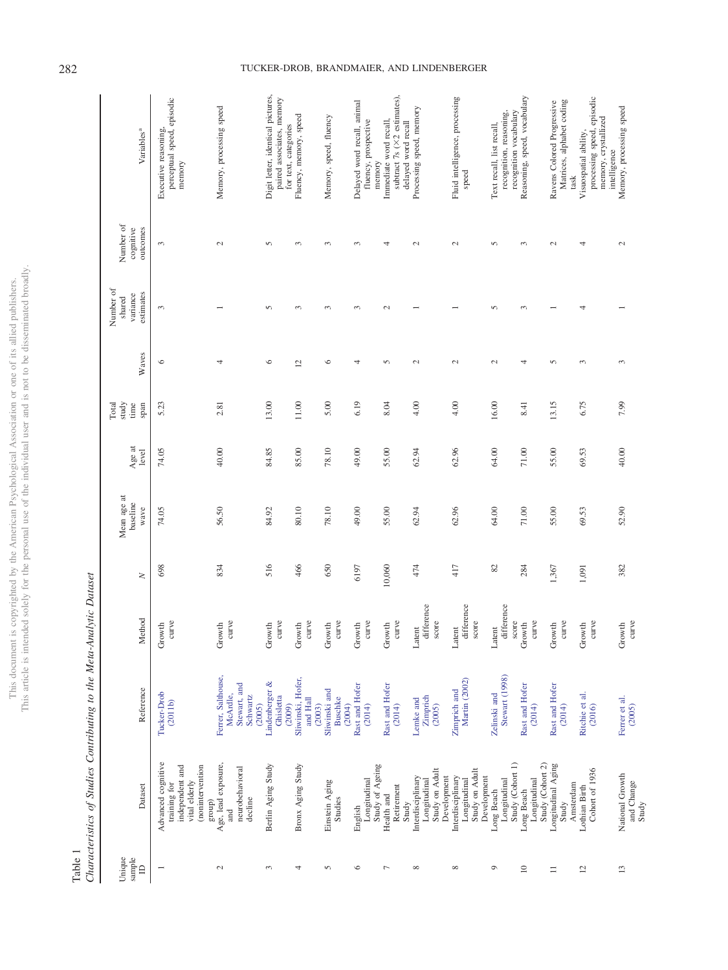| j                        |        |
|--------------------------|--------|
| š                        | Se Cre |
| ë<br>ĭ                   |        |
| t                        |        |
| í                        |        |
|                          |        |
|                          |        |
|                          | j      |
|                          |        |
|                          | COOP   |
|                          |        |
|                          |        |
|                          |        |
|                          |        |
|                          | J      |
|                          |        |
|                          |        |
|                          |        |
|                          |        |
|                          |        |
|                          |        |
| j                        |        |
|                          |        |
| ł                        |        |
|                          | j      |
|                          |        |
|                          |        |
|                          |        |
|                          | ¢      |
|                          |        |
| ion<br>ï                 | í      |
| J<br>j                   |        |
|                          |        |
| ł                        |        |
|                          |        |
|                          |        |
|                          |        |
| $\mathfrak{c}$           |        |
|                          |        |
|                          |        |
| $\overline{\phantom{a}}$ |        |
|                          |        |
| ì                        |        |
|                          |        |
|                          |        |
|                          |        |
| j                        |        |
|                          |        |
| ï                        | j      |
|                          |        |
| $\overline{1}$<br>j      |        |
| ì                        |        |
| Ĵ                        |        |
|                          |        |
| $-200$<br>i              |        |
| ï                        |        |
|                          |        |
|                          |        |
|                          |        |
|                          |        |
| ç                        |        |
| Ç                        |        |
| Į                        |        |
|                          |        |
| J                        |        |
|                          |        |
| l'his d                  |        |
|                          | ì      |
|                          | ł      |
|                          | t      |
|                          | l<br>í |
|                          |        |

<span id="page-9-0"></span>Table 1<br>Characteristics of Studies Contributing to the Meta-Analytic Dataset *Characteristics of Studies Contributing to the Meta-Analytic Dataset*

| Variables <sup>a</sup>                       | perceptual speed, episodic<br>Executive reasoning,<br>memory                                         | Memory, processing speed                                             | Digit letter, identical pictures,<br>paired associates, memory<br>for text, categories | Fluency, memory, speed                  | Memory, speed, fluency                    | Delayed word recall, animal<br>fluency, prospective<br>memory | subtract $7s$ ( $\times$ 2 estimates),<br>Immediate word recall,<br>delayed word recall | Processing speed, memory                                           | Fluid intelligence, processing<br>speed                            | recognition vocabulary<br>recognition, reasoning,<br>Text recall, list recall, | Reasoning, speed, vocabulary                   | Matrices, alphabet coding<br>Ravens Colored Progressive<br>task | processing speed, episodic<br>memory, crystallized<br>Visuospatial ability,<br>intelligence | Memory, processing speed               |
|----------------------------------------------|------------------------------------------------------------------------------------------------------|----------------------------------------------------------------------|----------------------------------------------------------------------------------------|-----------------------------------------|-------------------------------------------|---------------------------------------------------------------|-----------------------------------------------------------------------------------------|--------------------------------------------------------------------|--------------------------------------------------------------------|--------------------------------------------------------------------------------|------------------------------------------------|-----------------------------------------------------------------|---------------------------------------------------------------------------------------------|----------------------------------------|
| Number of<br>cognitive<br>outcomes           | 3                                                                                                    | $\sim$                                                               | $\sqrt{2}$                                                                             | 3                                       | $\epsilon$                                | $\infty$                                                      | 4                                                                                       | $\sim$                                                             | $\mathbf{\Omega}$                                                  | $\sqrt{2}$                                                                     | $\sim$                                         | $\sim$                                                          | 4                                                                                           | $\sim$                                 |
| Number of<br>estimates<br>variance<br>shared | 3                                                                                                    |                                                                      | $\sqrt{2}$                                                                             | $\infty$                                | $\infty$                                  | $\infty$                                                      | $\sim$                                                                                  |                                                                    |                                                                    | $\sqrt{2}$                                                                     | $\sim$                                         |                                                                 | 4                                                                                           |                                        |
| Waves                                        | $\circ$                                                                                              | 4                                                                    | $\circ$                                                                                | $\overline{c}$                          | 6                                         | 4                                                             | 5                                                                                       | $\mathbf{C}$                                                       | 2                                                                  | 2                                                                              | 4                                              | 5                                                               | 3                                                                                           | 3                                      |
| Total<br>study<br>time<br>span               | 5.23                                                                                                 | 2.81                                                                 | 13.00                                                                                  | 11.00                                   | 5.00                                      | 6.19                                                          | 8.04                                                                                    | 4.00                                                               | 4.00                                                               | 16.00                                                                          | 8.41                                           | 13.15                                                           | 6.75                                                                                        | 7.99                                   |
| Age at<br>level                              | 74.05                                                                                                | 40.00                                                                | 84.85                                                                                  | 85.00                                   | 78.10                                     | 49.00                                                         | 55.00                                                                                   | 62.94                                                              | 62.96                                                              | 64.00                                                                          | $71.00$                                        | 55.00                                                           | 69.53                                                                                       | 40.00                                  |
| Mean age at<br>baseline<br>wave              | 74.05                                                                                                | 56.50                                                                | 84.92                                                                                  | 80.10                                   | 78.10                                     | 49.00                                                         | 55.00                                                                                   | 62.94                                                              | 62.96                                                              | 64.00                                                                          | $71.00\,$                                      | 55.00                                                           | 69.53                                                                                       | 52.90                                  |
| $\geq$                                       | 698                                                                                                  | 834                                                                  | 516                                                                                    | 466                                     | 650                                       | 6197                                                          | 10,060                                                                                  | 474                                                                | 417                                                                | 82                                                                             | 284                                            | 1,367                                                           | 1,091                                                                                       | 382                                    |
| Method                                       | curve<br>Growth                                                                                      | curve<br>Growth                                                      | curve<br>Growth                                                                        | curve<br>Growth                         | curve<br>Growth                           | curve<br>Growth                                               | curve<br>Growth                                                                         | difference<br>score<br>Latent                                      | difference<br>score<br>Latent                                      | difference<br>score<br>Latent                                                  | curve<br>Growth                                | curve<br>Growth                                                 | curve<br>Growth                                                                             | curve<br>Growth                        |
| Reference                                    | Tucker-Drob<br>(2011b)                                                                               | Ferrer, Salthouse,<br>Stewart, and<br>McArdle,<br>Schwartz<br>(2005) | Lindenberger &<br>Ghisletta<br>(2009)                                                  | Sliwinski, Hofer,<br>and Hall<br>(2003) | Sliwinski and<br><b>Buschke</b><br>(2004) | Rast and Hofer<br>(2014)                                      | Rast and Hofer<br>(2014)                                                                | Zimprich<br>Lemke and<br>(2005)                                    | Martin (2002)<br>Zimprich and                                      | Stewart (1998)<br>Zelinski and                                                 | Rast and Hofer<br>(2014)                       | Rast and Hofer<br>(2014)                                        | Ritchie et al.<br>(2016)                                                                    | Ferrer et al.<br>(2005)                |
| Dataset                                      | Advanced cognitive<br>independent and<br>(nonintervention<br>vital elderly<br>training for<br>group) | Age, lead exposure,<br>neurobehavioral<br>decline<br>and             | Berlin Aging Study                                                                     | Bronx Aging Study                       | Einstein Aging<br>Studies                 | Study of Ageing<br>Longitudinal<br>English                    | Retirement<br>Health and<br>Study                                                       | Study on Adult<br>Development<br>Interdisciplinary<br>Longitudinal | Study on Adult<br>Interdisciplinary<br>Development<br>Longitudinal | Study (Cohort 1)<br>Longitudinal<br>Long Beach                                 | Study (Cohort 2)<br>Longitudinal<br>Long Beach | Longitudinal Aging<br>Amsterdam<br>Study                        | Cohort of 1936<br>Lothian Birth                                                             | National Growth<br>and Change<br>Study |
| Unique<br>sample<br>$\triangle$              |                                                                                                      | $\mathcal{L}$                                                        | 3                                                                                      | 4                                       | 5                                         | $\circ$                                                       | $\overline{ }$                                                                          | $\infty$                                                           | ${}^{\circ}$                                                       | $\circ$                                                                        | $\supseteq$                                    | $\equiv$                                                        | $\overline{c}$                                                                              | $\overline{13}$                        |

# 282 TUCKER-DROB, BRANDMAIER, AND LINDENBERGER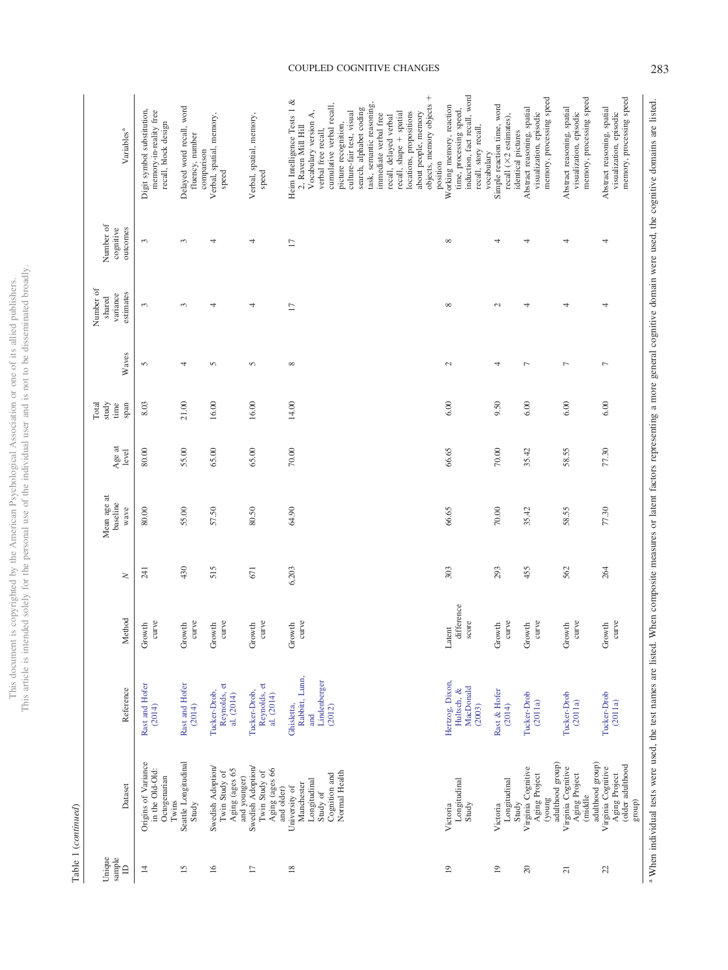|                                 | Tanning T (Communed)                                                                      |                                                               |                               |        |                                 |                 |                                |                |                                              |                                    |                                                                                                                                                                                                                   |
|---------------------------------|-------------------------------------------------------------------------------------------|---------------------------------------------------------------|-------------------------------|--------|---------------------------------|-----------------|--------------------------------|----------------|----------------------------------------------|------------------------------------|-------------------------------------------------------------------------------------------------------------------------------------------------------------------------------------------------------------------|
| sample<br>Unique<br>$\triangle$ | Dataset                                                                                   | Reference                                                     | Method                        | $\geq$ | Mean age at<br>baseline<br>wave | Age at<br>level | Total<br>study<br>time<br>span | Waves          | Number of<br>estimates<br>variance<br>shared | Number of<br>cognitive<br>outcomes | Variables <sup>a</sup>                                                                                                                                                                                            |
| $\overline{4}$                  | Origins of Variance<br>in the Old-Old:<br>Octogenarian<br>Twins                           | Rast and Hofer<br>(2014)                                      | curve<br>Growth               | 241    | 80.00                           | 80.00           | 8.03                           | 5              | 3                                            | 3                                  | Digit symbol substitution,<br>memory-in-reality free<br>recall, block design                                                                                                                                      |
| $\overline{15}$                 | Seattle Longitudinal<br>Study                                                             | Rast and Hofer<br>(2014)                                      | curve<br>Growth               | 430    | 55.00                           | 55.00           | 21.00                          | 4              | $\sim$                                       | 3                                  | Delayed word recall, word<br>fluency, number<br>comparison                                                                                                                                                        |
| $\overline{16}$                 | Swedish Adoption/<br>Aging (ages 65<br>Twin Study of<br>and younger)                      | Reynolds, et<br>Tucker-Drob,<br>al. (2014)                    | curve<br>Growth               | 515    | 57.50                           | 65.00           | 16.00                          | 5              | 4                                            | 4                                  | Verbal, spatial, memory,<br>speed                                                                                                                                                                                 |
| $\overline{1}$                  | Swedish Adoption/<br>Aging (ages 66<br>Twin Study of<br>and older)                        | Reynolds, et<br>Tucker-Drob,<br>al. (2014)                    | curve<br>Growth               | 671    | 80.50                           | 65.00           | 16.00                          | 5              | 4                                            | 4                                  | Verbal, spatial, memory,<br>speed                                                                                                                                                                                 |
| $\frac{8}{2}$                   | Normal Health<br>Cognition and<br>Longitudinal<br>Manchester<br>University of<br>Study of | Rabbitt, Lunn,<br>Lindenberger<br>Ghisletta.<br>(2012)<br>and | curve<br>Growth               | 6,203  | 64.90                           | 70.00           | 14.00                          | $\infty$       | $\overline{1}$                               | $\Box$                             | Heim Intelligence Tests $1 \&$<br>cumulative verbal recall,<br>search, alphabet coding<br>culture-fair test, visual<br>Vocabulary version A,<br>picture recognition,<br>2, Raven Mill Hill<br>verbal free recall, |
|                                 |                                                                                           |                                                               |                               |        |                                 |                 |                                |                |                                              |                                    | objects, memory objects +<br>task, semantic reasoning,<br>locations, propositions<br>recall, shape + spatial<br>about people, memory<br>immediate verbal free<br>recall, delayed verbal<br>position               |
| $\overline{0}$                  | Longitudinal<br>Study<br>Victoria                                                         | Hertzog, Dixon,<br>MacDonald<br>Hultsch, &<br>(2003)          | difference<br>score<br>Latent | 303    | 66.65                           | 66.65           | 6.00                           | $\sim$         | $\infty$                                     | ${}^{\infty}$                      | induction, fact recall, word<br>Working memory, reaction<br>time, processing speed,<br>recall, story recall,<br>vocabulary                                                                                        |
| $\overline{0}$                  | Longitudinal<br>Study<br>Victoria                                                         | Rast & Hofer<br>(2014)                                        | curve<br>Growth               | 293    | 70.00                           | 70.00           | 9.50                           | 4              | $\sim$                                       | 4                                  | Simple reaction time, word<br>recall (×2 estimates),<br>identical pictures                                                                                                                                        |
| $\approx$                       | adulthood group)<br>Virginia Cognitive<br>Aging Project<br>(young                         | Tucker-Drob<br>(2011a)                                        | curve<br>Growth               | 455    | 35.42                           | 35.42           | 6.00                           | Γ              | 4                                            | 4                                  | memory, processing speed<br>Abstract reasoning, spatial<br>visualization, episodic                                                                                                                                |
| $\overline{z}$                  | adulthood group)<br>Virginia Cognitive<br>Aging Project<br>(middle                        | Tucker-Drob<br>(2011a)                                        | curve<br>Growth               | 562    | 58.55                           | 58.55           | 6.00                           | Γ              | 4                                            | 4                                  | memory, processing speed<br>Abstract reasoning, spatial<br>visualization, episodic                                                                                                                                |
| 22                              | Aging Project<br>(older adulthood<br>Virginia Cognitive<br>$\operatorname*{group})$       | Tucker-Drob<br>(2011a)                                        | curve<br>Growth               | 264    | 77.30                           | 77.30           | 6.00                           | $\overline{ }$ | 4                                            | 4                                  | memory, processing speed<br>Abstract reasoning, spatial<br>visualization, episodic                                                                                                                                |

COUPLED COGNITIVE CHANGES 283

<sup>a</sup> When individual tests were used, the test names are listed. When composite measures or latent factors representing a more general cognitive domain were used, the cognitive domains are listed. When individual tests were used, the test names are listed. When composite measures or latent factors representing a more general cognitive domain were used, the cognitive domains are listed.

This document is copyrighted by the American Psychological Association or one of its allied publishers.<br>This article is intended solely for the personal use of the individual user and is not to be disseminated broadly. This article is intended solely for the personal use of the individual user and is not to be disseminated broadly. This document is copyrighted by the American Psychological Association or one of its allied publishers.

> Table 1 (continued) Table 1 (*continued*)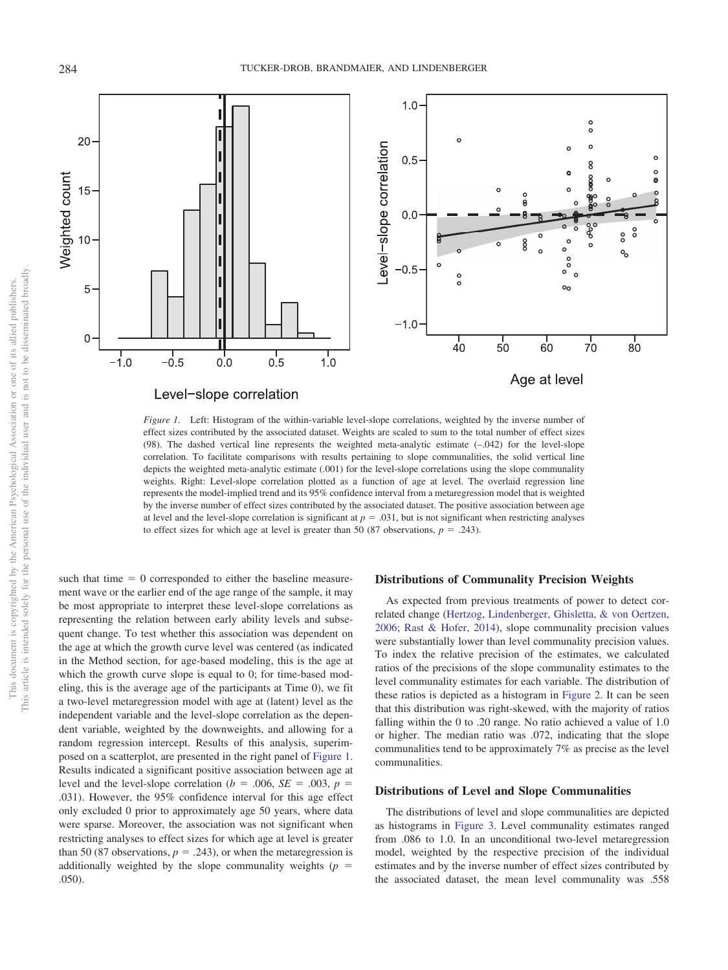

<span id="page-11-0"></span>*Figure 1.* Left: Histogram of the within-variable level-slope correlations, weighted by the inverse number of effect sizes contributed by the associated dataset. Weights are scaled to sum to the total number of effect sizes (98). The dashed vertical line represents the weighted meta-analytic estimate (–.042) for the level-slope correlation. To facilitate comparisons with results pertaining to slope communalities, the solid vertical line depicts the weighted meta-analytic estimate (.001) for the level-slope correlations using the slope communality weights. Right: Level-slope correlation plotted as a function of age at level. The overlaid regression line represents the model-implied trend and its 95% confidence interval from a metaregression model that is weighted by the inverse number of effect sizes contributed by the associated dataset. The positive association between age at level and the level-slope correlation is significant at  $p = .031$ , but is not significant when restricting analyses to effect sizes for which age at level is greater than 50 (87 observations,  $p = .243$ ).

such that time  $= 0$  corresponded to either the baseline measurement wave or the earlier end of the age range of the sample, it may be most appropriate to interpret these level-slope correlations as representing the relation between early ability levels and subsequent change. To test whether this association was dependent on the age at which the growth curve level was centered (as indicated in the Method section, for age-based modeling, this is the age at which the growth curve slope is equal to 0; for time-based modeling, this is the average age of the participants at Time 0), we fit a two-level metaregression model with age at (latent) level as the independent variable and the level-slope correlation as the dependent variable, weighted by the downweights, and allowing for a random regression intercept. Results of this analysis, superimposed on a scatterplot, are presented in the right panel of [Figure 1.](#page-11-0) Results indicated a significant positive association between age at level and the level-slope correlation ( $b = .006$ ,  $SE = .003$ ,  $p =$ .031). However, the 95% confidence interval for this age effect only excluded 0 prior to approximately age 50 years, where data were sparse. Moreover, the association was not significant when restricting analyses to effect sizes for which age at level is greater than 50 (87 observations,  $p = .243$ ), or when the metaregression is additionally weighted by the slope communality weights  $(p =$ .050).

#### **Distributions of Communality Precision Weights**

As expected from previous treatments of power to detect correlated change [\(Hertzog, Lindenberger, Ghisletta, & von Oertzen,](#page-23-26) [2006;](#page-23-26) [Rast & Hofer, 2014\)](#page-25-29), slope communality precision values were substantially lower than level communality precision values. To index the relative precision of the estimates, we calculated ratios of the precisions of the slope communality estimates to the level communality estimates for each variable. The distribution of these ratios is depicted as a histogram in [Figure 2.](#page-12-0) It can be seen that this distribution was right-skewed, with the majority of ratios falling within the 0 to .20 range. No ratio achieved a value of 1.0 or higher. The median ratio was .072, indicating that the slope communalities tend to be approximately 7% as precise as the level communalities.

#### **Distributions of Level and Slope Communalities**

The distributions of level and slope communalities are depicted as histograms in [Figure 3.](#page-13-0) Level communality estimates ranged from .086 to 1.0. In an unconditional two-level metaregression model, weighted by the respective precision of the individual estimates and by the inverse number of effect sizes contributed by the associated dataset, the mean level communality was .558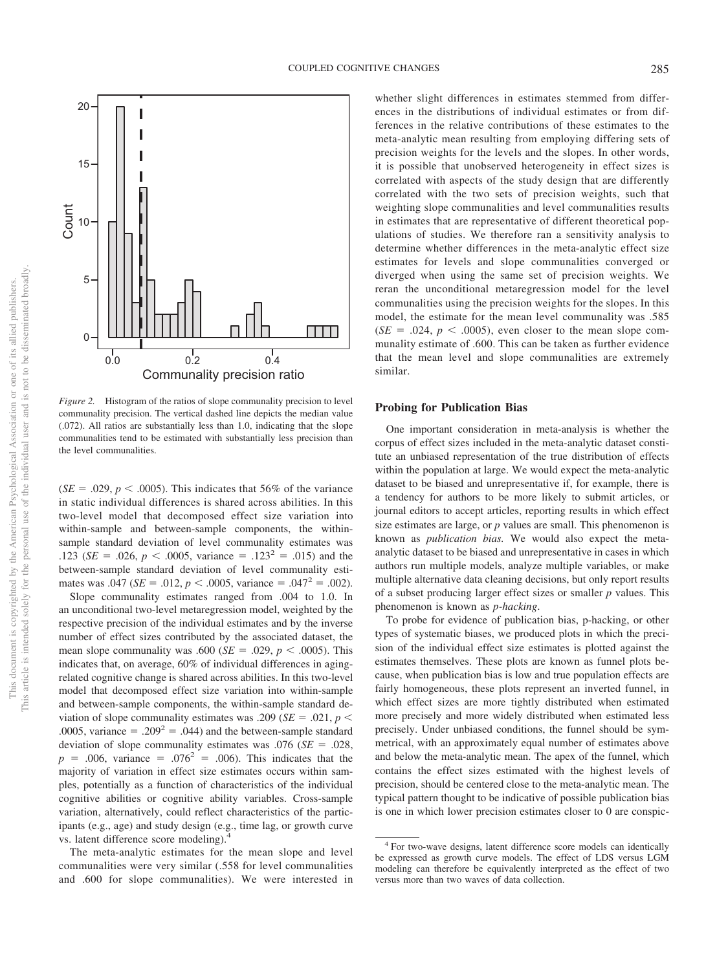

<span id="page-12-0"></span>*Figure 2.* Histogram of the ratios of slope communality precision to level communality precision. The vertical dashed line depicts the median value (.072). All ratios are substantially less than 1.0, indicating that the slope communalities tend to be estimated with substantially less precision than the level communalities.

 $(SE = .029, p < .0005)$ . This indicates that 56% of the variance in static individual differences is shared across abilities. In this two-level model that decomposed effect size variation into within-sample and between-sample components, the withinsample standard deviation of level communality estimates was .123 (*SE* = .026,  $p < .0005$ , variance = .123<sup>2</sup> = .015) and the between-sample standard deviation of level communality estimates was  $.047$  (*SE* = .012, *p* < .0005, variance = .047<sup>2</sup> = .002).

Slope communality estimates ranged from .004 to 1.0. In an unconditional two-level metaregression model, weighted by the respective precision of the individual estimates and by the inverse number of effect sizes contributed by the associated dataset, the mean slope communality was  $.600$  (*SE* =  $.029$ , *p* <  $.0005$ ). This indicates that, on average, 60% of individual differences in agingrelated cognitive change is shared across abilities. In this two-level model that decomposed effect size variation into within-sample and between-sample components, the within-sample standard deviation of slope communality estimates was .209 ( $SE = .021$ ,  $p <$ .0005, variance = .209<sup>2</sup> = .044) and the between-sample standard deviation of slope communality estimates was  $.076$  (*SE* =  $.028$ ,  $p = .006$ , variance = .076<sup>2</sup> = .006). This indicates that the majority of variation in effect size estimates occurs within samples, potentially as a function of characteristics of the individual cognitive abilities or cognitive ability variables. Cross-sample variation, alternatively, could reflect characteristics of the participants (e.g., age) and study design (e.g., time lag, or growth curve vs. latent difference score modeling).4

The meta-analytic estimates for the mean slope and level communalities were very similar (.558 for level communalities and .600 for slope communalities). We were interested in

whether slight differences in estimates stemmed from differences in the distributions of individual estimates or from differences in the relative contributions of these estimates to the meta-analytic mean resulting from employing differing sets of precision weights for the levels and the slopes. In other words, it is possible that unobserved heterogeneity in effect sizes is correlated with aspects of the study design that are differently correlated with the two sets of precision weights, such that weighting slope communalities and level communalities results in estimates that are representative of different theoretical populations of studies. We therefore ran a sensitivity analysis to determine whether differences in the meta-analytic effect size estimates for levels and slope communalities converged or diverged when using the same set of precision weights. We reran the unconditional metaregression model for the level communalities using the precision weights for the slopes. In this model, the estimate for the mean level communality was .585  $(SE = .024, p < .0005)$ , even closer to the mean slope communality estimate of .600. This can be taken as further evidence that the mean level and slope communalities are extremely similar.

#### **Probing for Publication Bias**

One important consideration in meta-analysis is whether the corpus of effect sizes included in the meta-analytic dataset constitute an unbiased representation of the true distribution of effects within the population at large. We would expect the meta-analytic dataset to be biased and unrepresentative if, for example, there is a tendency for authors to be more likely to submit articles, or journal editors to accept articles, reporting results in which effect size estimates are large, or *p* values are small. This phenomenon is known as *publication bias.* We would also expect the metaanalytic dataset to be biased and unrepresentative in cases in which authors run multiple models, analyze multiple variables, or make multiple alternative data cleaning decisions, but only report results of a subset producing larger effect sizes or smaller *p* values. This phenomenon is known as *p-hacking*.

To probe for evidence of publication bias, p-hacking, or other types of systematic biases, we produced plots in which the precision of the individual effect size estimates is plotted against the estimates themselves. These plots are known as funnel plots because, when publication bias is low and true population effects are fairly homogeneous, these plots represent an inverted funnel, in which effect sizes are more tightly distributed when estimated more precisely and more widely distributed when estimated less precisely. Under unbiased conditions, the funnel should be symmetrical, with an approximately equal number of estimates above and below the meta-analytic mean. The apex of the funnel, which contains the effect sizes estimated with the highest levels of precision, should be centered close to the meta-analytic mean. The typical pattern thought to be indicative of possible publication bias is one in which lower precision estimates closer to 0 are conspic-

<sup>4</sup> For two-wave designs, latent difference score models can identically be expressed as growth curve models. The effect of LDS versus LGM modeling can therefore be equivalently interpreted as the effect of two versus more than two waves of data collection.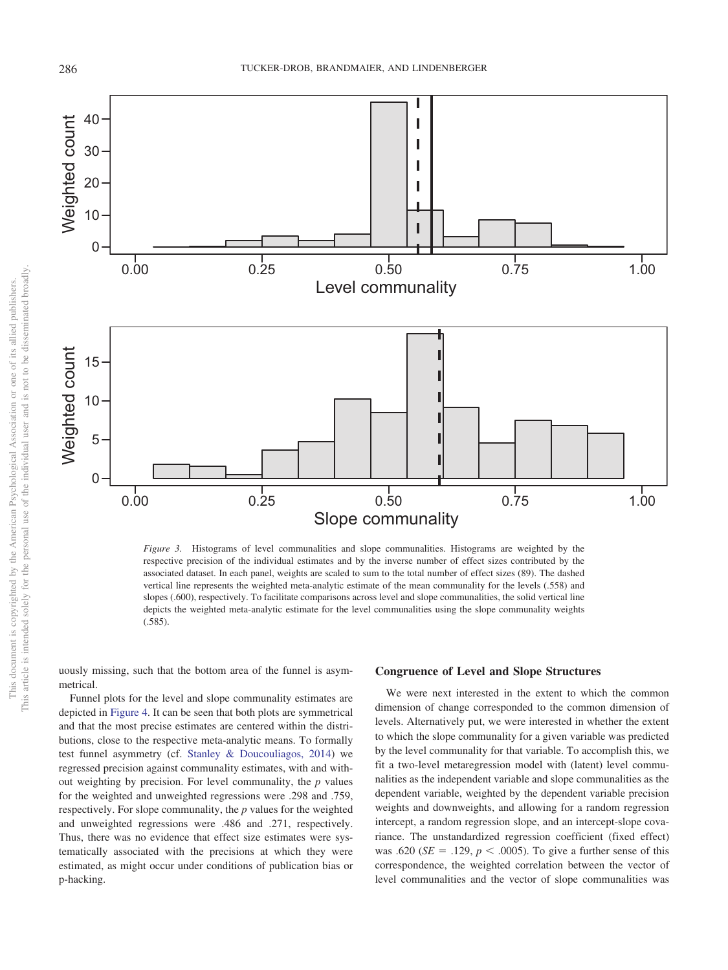

<span id="page-13-0"></span>*Figure 3.* Histograms of level communalities and slope communalities. Histograms are weighted by the respective precision of the individual estimates and by the inverse number of effect sizes contributed by the associated dataset. In each panel, weights are scaled to sum to the total number of effect sizes (89). The dashed vertical line represents the weighted meta-analytic estimate of the mean communality for the levels (.558) and slopes (.600), respectively. To facilitate comparisons across level and slope communalities, the solid vertical line depicts the weighted meta-analytic estimate for the level communalities using the slope communality weights (.585).

uously missing, such that the bottom area of the funnel is asymmetrical.

Funnel plots for the level and slope communality estimates are depicted in [Figure 4.](#page-14-0) It can be seen that both plots are symmetrical and that the most precise estimates are centered within the distributions, close to the respective meta-analytic means. To formally test funnel asymmetry (cf. [Stanley & Doucouliagos, 2014\)](#page-25-34) we regressed precision against communality estimates, with and without weighting by precision. For level communality, the *p* values for the weighted and unweighted regressions were .298 and .759, respectively. For slope communality, the *p* values for the weighted and unweighted regressions were .486 and .271, respectively. Thus, there was no evidence that effect size estimates were systematically associated with the precisions at which they were estimated, as might occur under conditions of publication bias or p-hacking.

#### **Congruence of Level and Slope Structures**

We were next interested in the extent to which the common dimension of change corresponded to the common dimension of levels. Alternatively put, we were interested in whether the extent to which the slope communality for a given variable was predicted by the level communality for that variable. To accomplish this, we fit a two-level metaregression model with (latent) level communalities as the independent variable and slope communalities as the dependent variable, weighted by the dependent variable precision weights and downweights, and allowing for a random regression intercept, a random regression slope, and an intercept-slope covariance. The unstandardized regression coefficient (fixed effect) was .620 ( $SE = .129$ ,  $p < .0005$ ). To give a further sense of this correspondence, the weighted correlation between the vector of level communalities and the vector of slope communalities was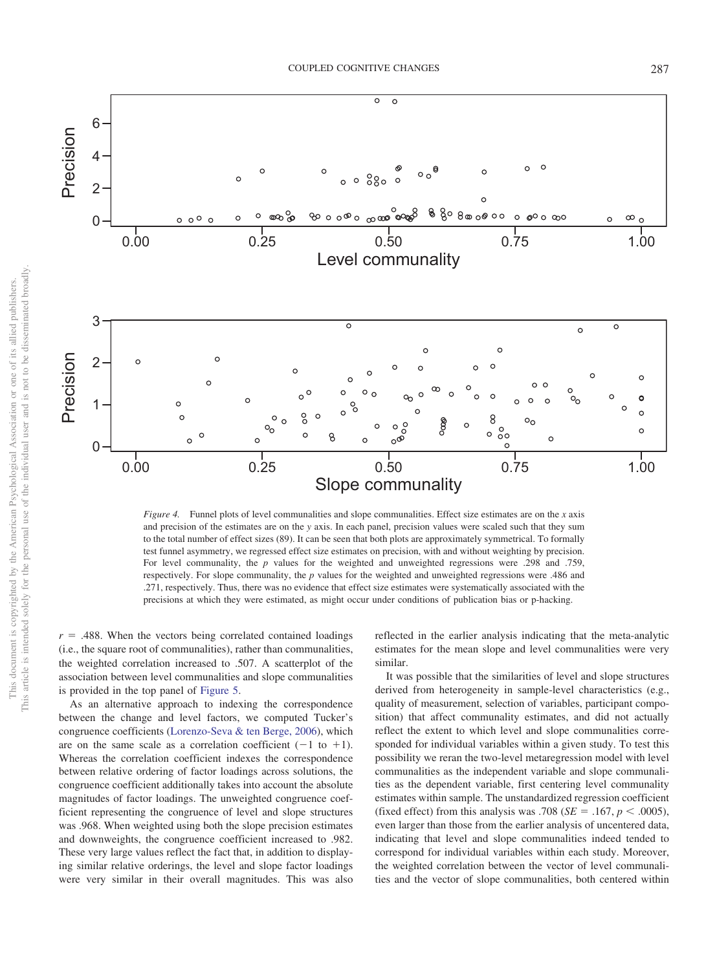

<span id="page-14-0"></span>*Figure 4.* Funnel plots of level communalities and slope communalities. Effect size estimates are on the *x* axis and precision of the estimates are on the *y* axis. In each panel, precision values were scaled such that they sum to the total number of effect sizes (89). It can be seen that both plots are approximately symmetrical. To formally test funnel asymmetry, we regressed effect size estimates on precision, with and without weighting by precision. For level communality, the *p* values for the weighted and unweighted regressions were .298 and .759, respectively. For slope communality, the *p* values for the weighted and unweighted regressions were .486 and .271, respectively. Thus, there was no evidence that effect size estimates were systematically associated with the precisions at which they were estimated, as might occur under conditions of publication bias or p-hacking.

 $r = .488$ . When the vectors being correlated contained loadings (i.e., the square root of communalities), rather than communalities, the weighted correlation increased to .507. A scatterplot of the association between level communalities and slope communalities is provided in the top panel of [Figure 5.](#page-15-0)

As an alternative approach to indexing the correspondence between the change and level factors, we computed Tucker's congruence coefficients [\(Lorenzo-Seva & ten Berge, 2006\)](#page-24-25), which are on the same scale as a correlation coefficient  $(-1 \text{ to } +1)$ . Whereas the correlation coefficient indexes the correspondence between relative ordering of factor loadings across solutions, the congruence coefficient additionally takes into account the absolute magnitudes of factor loadings. The unweighted congruence coefficient representing the congruence of level and slope structures was .968. When weighted using both the slope precision estimates and downweights, the congruence coefficient increased to .982. These very large values reflect the fact that, in addition to displaying similar relative orderings, the level and slope factor loadings were very similar in their overall magnitudes. This was also reflected in the earlier analysis indicating that the meta-analytic estimates for the mean slope and level communalities were very similar.

It was possible that the similarities of level and slope structures derived from heterogeneity in sample-level characteristics (e.g., quality of measurement, selection of variables, participant composition) that affect communality estimates, and did not actually reflect the extent to which level and slope communalities corresponded for individual variables within a given study. To test this possibility we reran the two-level metaregression model with level communalities as the independent variable and slope communalities as the dependent variable, first centering level communality estimates within sample. The unstandardized regression coefficient (fixed effect) from this analysis was .708 ( $SE = .167$ ,  $p < .0005$ ), even larger than those from the earlier analysis of uncentered data, indicating that level and slope communalities indeed tended to correspond for individual variables within each study. Moreover, the weighted correlation between the vector of level communalities and the vector of slope communalities, both centered within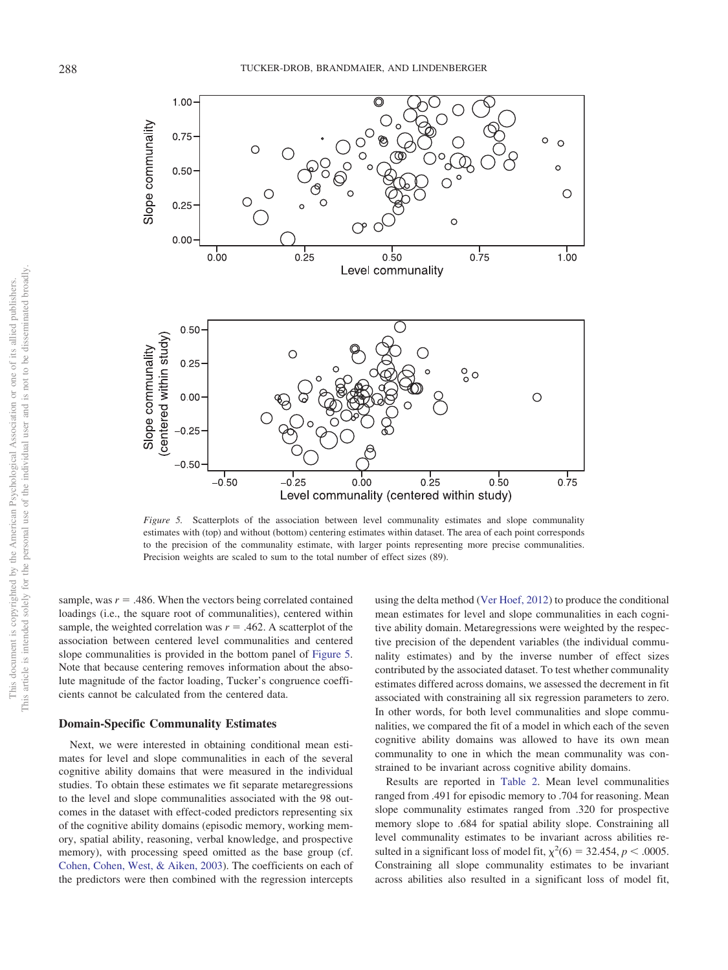

<span id="page-15-0"></span>*Figure 5.* Scatterplots of the association between level communality estimates and slope communality estimates with (top) and without (bottom) centering estimates within dataset. The area of each point corresponds to the precision of the communality estimate, with larger points representing more precise communalities. Precision weights are scaled to sum to the total number of effect sizes (89).

sample, was  $r = .486$ . When the vectors being correlated contained loadings (i.e., the square root of communalities), centered within sample, the weighted correlation was  $r = .462$ . A scatterplot of the association between centered level communalities and centered slope communalities is provided in the bottom panel of [Figure 5.](#page-15-0) Note that because centering removes information about the absolute magnitude of the factor loading, Tucker's congruence coefficients cannot be calculated from the centered data.

#### **Domain-Specific Communality Estimates**

Next, we were interested in obtaining conditional mean estimates for level and slope communalities in each of the several cognitive ability domains that were measured in the individual studies. To obtain these estimates we fit separate metaregressions to the level and slope communalities associated with the 98 outcomes in the dataset with effect-coded predictors representing six of the cognitive ability domains (episodic memory, working memory, spatial ability, reasoning, verbal knowledge, and prospective memory), with processing speed omitted as the base group (cf. [Cohen, Cohen, West, & Aiken, 2003\)](#page-23-27). The coefficients on each of the predictors were then combined with the regression intercepts

using the delta method [\(Ver Hoef, 2012\)](#page-26-11) to produce the conditional mean estimates for level and slope communalities in each cognitive ability domain. Metaregressions were weighted by the respective precision of the dependent variables (the individual communality estimates) and by the inverse number of effect sizes contributed by the associated dataset. To test whether communality estimates differed across domains, we assessed the decrement in fit associated with constraining all six regression parameters to zero. In other words, for both level communalities and slope communalities, we compared the fit of a model in which each of the seven cognitive ability domains was allowed to have its own mean communality to one in which the mean communality was constrained to be invariant across cognitive ability domains.

Results are reported in [Table 2.](#page-16-0) Mean level communalities ranged from .491 for episodic memory to .704 for reasoning. Mean slope communality estimates ranged from .320 for prospective memory slope to .684 for spatial ability slope. Constraining all level communality estimates to be invariant across abilities resulted in a significant loss of model fit,  $\chi^2(6) = 32.454$ ,  $p < .0005$ . Constraining all slope communality estimates to be invariant across abilities also resulted in a significant loss of model fit,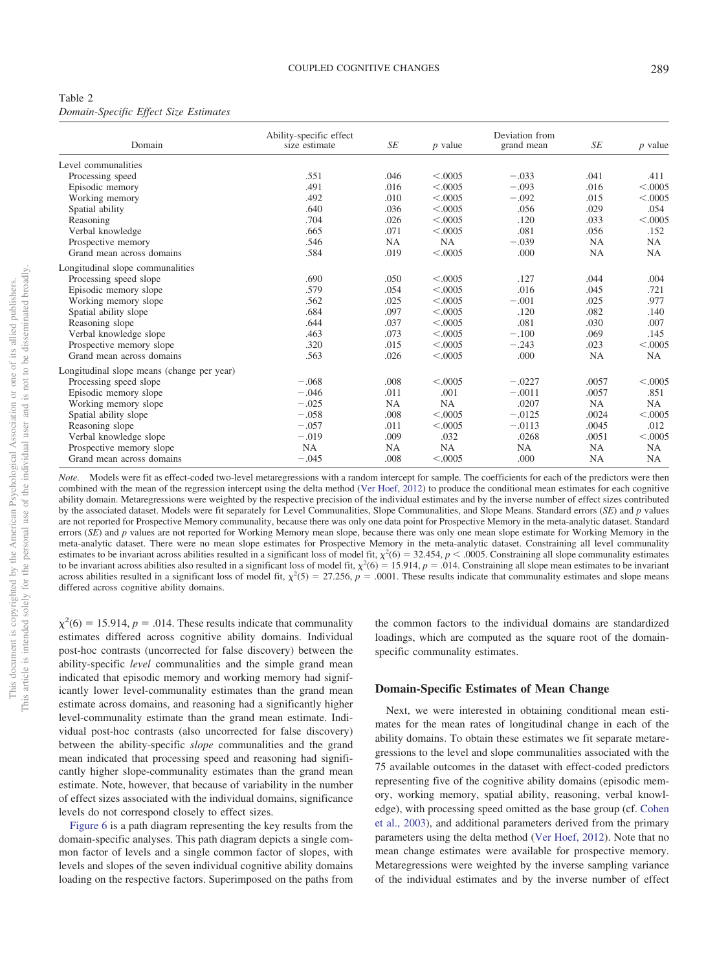<span id="page-16-0"></span>

| Table 2                               |  |  |
|---------------------------------------|--|--|
| Domain-Specific Effect Size Estimates |  |  |

|                                            | Ability-specific effect |           |           | Deviation from |           |           |
|--------------------------------------------|-------------------------|-----------|-----------|----------------|-----------|-----------|
| Domain                                     | size estimate           | SE        | $p$ value | grand mean     | SE        | $p$ value |
| Level communalities                        |                         |           |           |                |           |           |
| Processing speed                           | .551                    | .046      | < 0.0005  | $-.033$        | .041      | .411      |
| Episodic memory                            | .491                    | .016      | < .0005   | $-.093$        | .016      | < 0.0005  |
| Working memory                             | .492                    | .010      | < .0005   | $-.092$        | .015      | < 0.0005  |
| Spatial ability                            | .640                    | .036      | < 0.0005  | .056           | .029      | .054      |
| Reasoning                                  | .704                    | .026      | < .0005   | .120           | .033      | < 0.0005  |
| Verbal knowledge                           | .665                    | .071      | < .0005   | .081           | .056      | .152      |
| Prospective memory                         | .546                    | <b>NA</b> | NA        | $-.039$        | NA        | NA        |
| Grand mean across domains                  | .584                    | .019      | < .0005   | .000           | NA        | NA        |
| Longitudinal slope communalities           |                         |           |           |                |           |           |
| Processing speed slope                     | .690                    | .050      | < .0005   | .127           | .044      | .004      |
| Episodic memory slope                      | .579                    | .054      | < .0005   | .016           | .045      | .721      |
| Working memory slope                       | .562                    | .025      | < .0005   | $-.001$        | .025      | .977      |
| Spatial ability slope                      | .684                    | .097      | < .0005   | .120           | .082      | .140      |
| Reasoning slope                            | .644                    | .037      | < .0005   | .081           | .030      | .007      |
| Verbal knowledge slope                     | .463                    | .073      | < 0.0005  | $-.100$        | .069      | .145      |
| Prospective memory slope                   | .320                    | .015      | < 0.0005  | $-.243$        | .023      | < .0005   |
| Grand mean across domains                  | .563                    | .026      | < .0005   | .000           | NA        | NA        |
| Longitudinal slope means (change per year) |                         |           |           |                |           |           |
| Processing speed slope                     | $-.068$                 | .008      | < .0005   | $-.0227$       | .0057     | < .0005   |
| Episodic memory slope                      | $-.046$                 | .011      | .001      | $-.0011$       | .0057     | .851      |
| Working memory slope                       | $-.025$                 | <b>NA</b> | NA        | .0207          | NA        | NA.       |
| Spatial ability slope                      | $-.058$                 | .008      | < .0005   | $-.0125$       | .0024     | < .0005   |
| Reasoning slope                            | $-.057$                 | .011      | < .0005   | $-.0113$       | .0045     | .012      |
| Verbal knowledge slope                     | $-.019$                 | .009      | .032      | .0268          | .0051     | < 0.0005  |
| Prospective memory slope                   | <b>NA</b>               | NA        | NA        | <b>NA</b>      | NA        | NA        |
| Grand mean across domains                  | $-.045$                 | .008      | < .0005   | .000           | <b>NA</b> | <b>NA</b> |

This article is intended solely for the personal use of the individual user and is not to be disseminated broadly. This article is intended solely for the personal use of the individual user and is not to be disseminated broadly This document is copyrighted by the American Psychological Association or one of its allied publishers. This document is copyrighted by the American Psychological Association or one of its allied publishers.

*Note.* Models were fit as effect-coded two-level metaregressions with a random intercept for sample. The coefficients for each of the predictors were then combined with the mean of the regression intercept using the delta method [\(Ver Hoef, 2012\)](#page-26-11) to produce the conditional mean estimates for each cognitive ability domain. Metaregressions were weighted by the respective precision of the individual estimates and by the inverse number of effect sizes contributed by the associated dataset. Models were fit separately for Level Communalities, Slope Communalities, and Slope Means. Standard errors (*SE*) and *p* values are not reported for Prospective Memory communality, because there was only one data point for Prospective Memory in the meta-analytic dataset. Standard errors (*SE*) and *p* values are not reported for Working Memory mean slope, because there was only one mean slope estimate for Working Memory in the meta-analytic dataset. There were no mean slope estimates for Prospective Memory in the meta-analytic dataset. Constraining all level communality estimates to be invariant across abilities resulted in a significant loss of model fit,  $\chi^2(6) = 32.454$ ,  $p < .0005$ . Constraining all slope communality estimates to be invariant across abilities also resulted in a significant loss of model fit,  $\chi^2(6) = 15.914$ ,  $p = .014$ . Constraining all slope mean estimates to be invariant across abilities resulted in a significant loss of model fit,  $\chi^2(5) = 27.256$ ,  $p = .0001$ . These results indicate that communality estimates and slope means differed across cognitive ability domains.

 $\chi^2(6) = 15.914$ ,  $p = .014$ . These results indicate that communality estimates differed across cognitive ability domains. Individual post-hoc contrasts (uncorrected for false discovery) between the ability-specific *level* communalities and the simple grand mean indicated that episodic memory and working memory had significantly lower level-communality estimates than the grand mean estimate across domains, and reasoning had a significantly higher level-communality estimate than the grand mean estimate. Individual post-hoc contrasts (also uncorrected for false discovery) between the ability-specific *slope* communalities and the grand mean indicated that processing speed and reasoning had significantly higher slope-communality estimates than the grand mean estimate. Note, however, that because of variability in the number of effect sizes associated with the individual domains, significance levels do not correspond closely to effect sizes.

[Figure 6](#page-17-0) is a path diagram representing the key results from the domain-specific analyses. This path diagram depicts a single common factor of levels and a single common factor of slopes, with levels and slopes of the seven individual cognitive ability domains loading on the respective factors. Superimposed on the paths from the common factors to the individual domains are standardized loadings, which are computed as the square root of the domainspecific communality estimates.

#### **Domain-Specific Estimates of Mean Change**

Next, we were interested in obtaining conditional mean estimates for the mean rates of longitudinal change in each of the ability domains. To obtain these estimates we fit separate metaregressions to the level and slope communalities associated with the 75 available outcomes in the dataset with effect-coded predictors representing five of the cognitive ability domains (episodic memory, working memory, spatial ability, reasoning, verbal knowledge), with processing speed omitted as the base group (cf. [Cohen](#page-23-27) [et al., 2003\)](#page-23-27), and additional parameters derived from the primary parameters using the delta method [\(Ver Hoef, 2012\)](#page-26-11). Note that no mean change estimates were available for prospective memory. Metaregressions were weighted by the inverse sampling variance of the individual estimates and by the inverse number of effect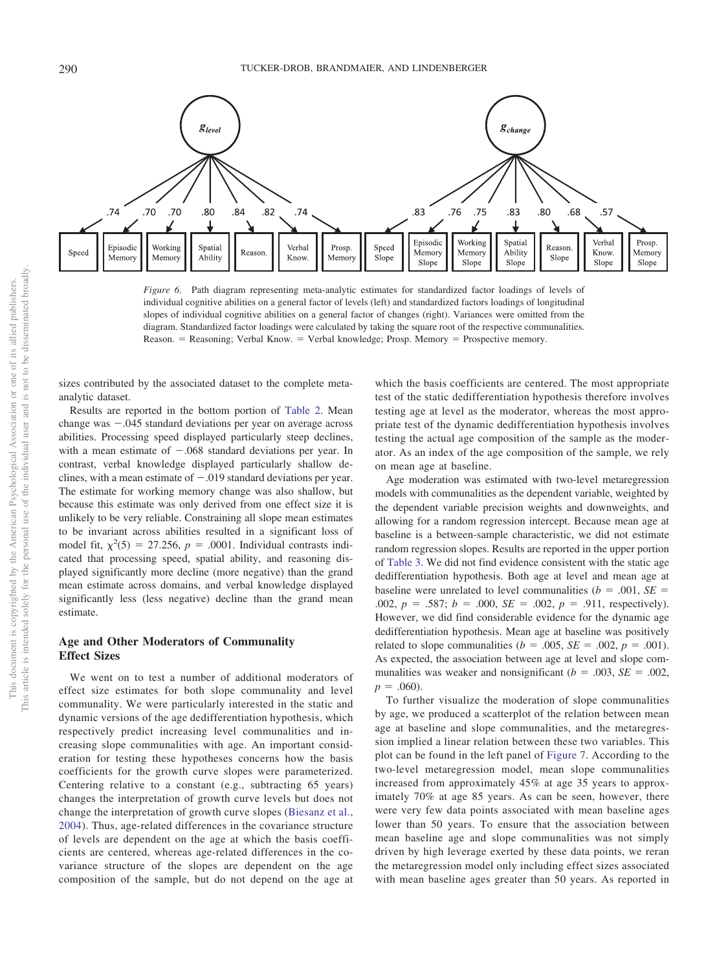

<span id="page-17-0"></span>*Figure 6.* Path diagram representing meta-analytic estimates for standardized factor loadings of levels of individual cognitive abilities on a general factor of levels (left) and standardized factors loadings of longitudinal slopes of individual cognitive abilities on a general factor of changes (right). Variances were omitted from the diagram. Standardized factor loadings were calculated by taking the square root of the respective communalities. Reason. = Reasoning; Verbal Know. = Verbal knowledge; Prosp. Memory = Prospective memory.

sizes contributed by the associated dataset to the complete metaanalytic dataset.

Results are reported in the bottom portion of [Table 2.](#page-16-0) Mean change was  $-.045$  standard deviations per year on average across abilities. Processing speed displayed particularly steep declines, with a mean estimate of  $-.068$  standard deviations per year. In contrast, verbal knowledge displayed particularly shallow declines, with a mean estimate of  $-.019$  standard deviations per year. The estimate for working memory change was also shallow, but because this estimate was only derived from one effect size it is unlikely to be very reliable. Constraining all slope mean estimates to be invariant across abilities resulted in a significant loss of model fit,  $\chi^2(5) = 27.256$ ,  $p = .0001$ . Individual contrasts indicated that processing speed, spatial ability, and reasoning displayed significantly more decline (more negative) than the grand mean estimate across domains, and verbal knowledge displayed significantly less (less negative) decline than the grand mean estimate.

# **Age and Other Moderators of Communality Effect Sizes**

We went on to test a number of additional moderators of effect size estimates for both slope communality and level communality. We were particularly interested in the static and dynamic versions of the age dedifferentiation hypothesis, which respectively predict increasing level communalities and increasing slope communalities with age. An important consideration for testing these hypotheses concerns how the basis coefficients for the growth curve slopes were parameterized. Centering relative to a constant (e.g., subtracting 65 years) changes the interpretation of growth curve levels but does not change the interpretation of growth curve slopes [\(Biesanz et al.,](#page-23-23) [2004\)](#page-23-23). Thus, age-related differences in the covariance structure of levels are dependent on the age at which the basis coefficients are centered, whereas age-related differences in the covariance structure of the slopes are dependent on the age composition of the sample, but do not depend on the age at

which the basis coefficients are centered. The most appropriate test of the static dedifferentiation hypothesis therefore involves testing age at level as the moderator, whereas the most appropriate test of the dynamic dedifferentiation hypothesis involves testing the actual age composition of the sample as the moderator. As an index of the age composition of the sample, we rely on mean age at baseline.

Age moderation was estimated with two-level metaregression models with communalities as the dependent variable, weighted by the dependent variable precision weights and downweights, and allowing for a random regression intercept. Because mean age at baseline is a between-sample characteristic, we did not estimate random regression slopes. Results are reported in the upper portion of [Table 3.](#page-18-0) We did not find evidence consistent with the static age dedifferentiation hypothesis. Both age at level and mean age at baseline were unrelated to level communalities ( $b = .001$ ,  $SE =$ .002,  $p = .587$ ;  $b = .000$ ,  $SE = .002$ ,  $p = .911$ , respectively). However, we did find considerable evidence for the dynamic age dedifferentiation hypothesis. Mean age at baseline was positively related to slope communalities ( $b = .005$ ,  $SE = .002$ ,  $p = .001$ ). As expected, the association between age at level and slope communalities was weaker and nonsignificant ( $b = .003$ ,  $SE = .002$ ,  $p = .060$ ).

To further visualize the moderation of slope communalities by age, we produced a scatterplot of the relation between mean age at baseline and slope communalities, and the metaregression implied a linear relation between these two variables. This plot can be found in the left panel of [Figure 7.](#page-18-1) According to the two-level metaregression model, mean slope communalities increased from approximately 45% at age 35 years to approximately 70% at age 85 years. As can be seen, however, there were very few data points associated with mean baseline ages lower than 50 years. To ensure that the association between mean baseline age and slope communalities was not simply driven by high leverage exerted by these data points, we reran the metaregression model only including effect sizes associated with mean baseline ages greater than 50 years. As reported in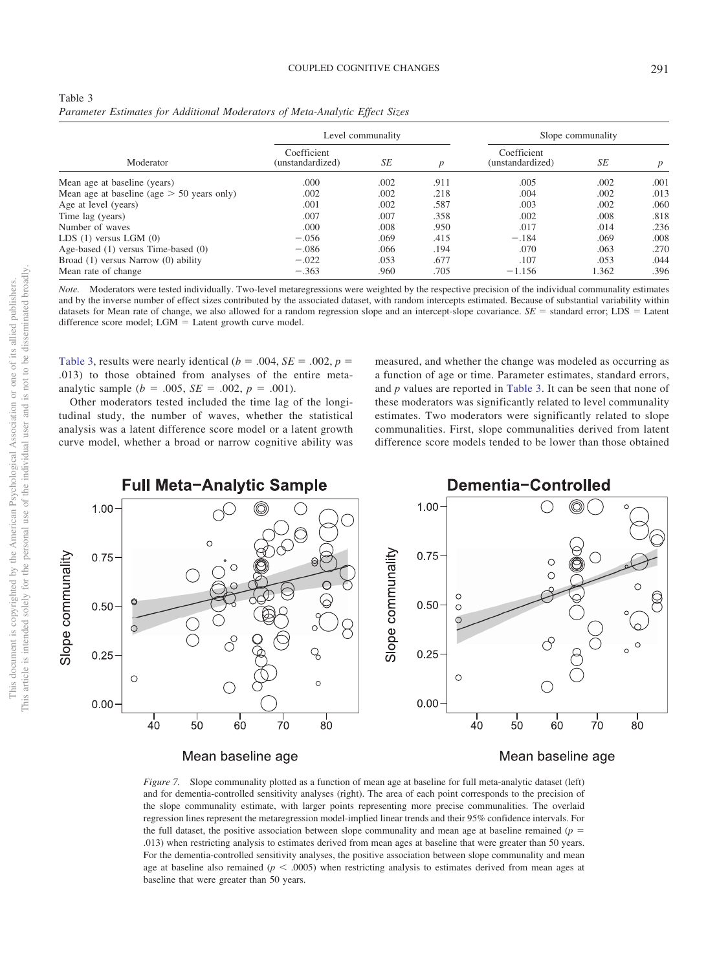<span id="page-18-0"></span>

| Table 3                                                                     |  |  |  |
|-----------------------------------------------------------------------------|--|--|--|
| Parameter Estimates for Additional Moderators of Meta-Analytic Effect Sizes |  |  |  |

|                                              |                                 | Level communality |                  | Slope communality               |       |                 |  |
|----------------------------------------------|---------------------------------|-------------------|------------------|---------------------------------|-------|-----------------|--|
| Moderator                                    | Coefficient<br>(unstandardized) | SE                | $\boldsymbol{D}$ | Coefficient<br>(unstandardized) | SE    | $p_{\parallel}$ |  |
| Mean age at baseline (years)                 | .000                            | .002              | .911             | .005                            | .002  | .001            |  |
| Mean age at baseline (age $>$ 50 years only) | .002                            | .002              | .218             | .004                            | .002  | .013            |  |
| Age at level (years)                         | .001                            | .002              | .587             | .003                            | .002  | .060            |  |
| Time lag (years)                             | .007                            | .007              | .358             | .002                            | .008  | .818            |  |
| Number of waves                              | .000                            | .008              | .950             | .017                            | .014  | .236            |  |
| LDS $(1)$ versus LGM $(0)$                   | $-.056$                         | .069              | .415             | $-.184$                         | .069  | .008            |  |
| Age-based (1) versus Time-based (0)          | $-.086$                         | .066              | .194             | .070                            | .063  | .270            |  |
| Broad (1) versus Narrow (0) ability          | $-.022$                         | .053              | .677             | .107                            | .053  | .044            |  |
| Mean rate of change                          | $-.363$                         | .960              | .705             | $-1.156$                        | 1.362 | .396            |  |

*Note.* Moderators were tested individually. Two-level metaregressions were weighted by the respective precision of the individual communality estimates and by the inverse number of effect sizes contributed by the associated dataset, with random intercepts estimated. Because of substantial variability within datasets for Mean rate of change, we also allowed for a random regression slope and an intercept-slope covariance.  $SE =$  standard error; LDS = Latent difference score model; LGM = Latent growth curve model.

[Table 3,](#page-18-0) results were nearly identical ( $b = .004$ ,  $SE = .002$ ,  $p =$ .013) to those obtained from analyses of the entire metaanalytic sample ( $b = .005$ ,  $SE = .002$ ,  $p = .001$ ).

Other moderators tested included the time lag of the longitudinal study, the number of waves, whether the statistical analysis was a latent difference score model or a latent growth curve model, whether a broad or narrow cognitive ability was

measured, and whether the change was modeled as occurring as a function of age or time. Parameter estimates, standard errors, and *p* values are reported in [Table 3.](#page-18-0) It can be seen that none of these moderators was significantly related to level communality estimates. Two moderators were significantly related to slope communalities. First, slope communalities derived from latent difference score models tended to be lower than those obtained



Mean baseline age

# Mean baseline age

<span id="page-18-1"></span>*Figure 7.* Slope communality plotted as a function of mean age at baseline for full meta-analytic dataset (left) and for dementia-controlled sensitivity analyses (right). The area of each point corresponds to the precision of the slope communality estimate, with larger points representing more precise communalities. The overlaid regression lines represent the metaregression model-implied linear trends and their 95% confidence intervals. For the full dataset, the positive association between slope communality and mean age at baseline remained ( $p =$ .013) when restricting analysis to estimates derived from mean ages at baseline that were greater than 50 years. For the dementia-controlled sensitivity analyses, the positive association between slope communality and mean age at baseline also remained  $(p < .0005)$  when restricting analysis to estimates derived from mean ages at baseline that were greater than 50 years.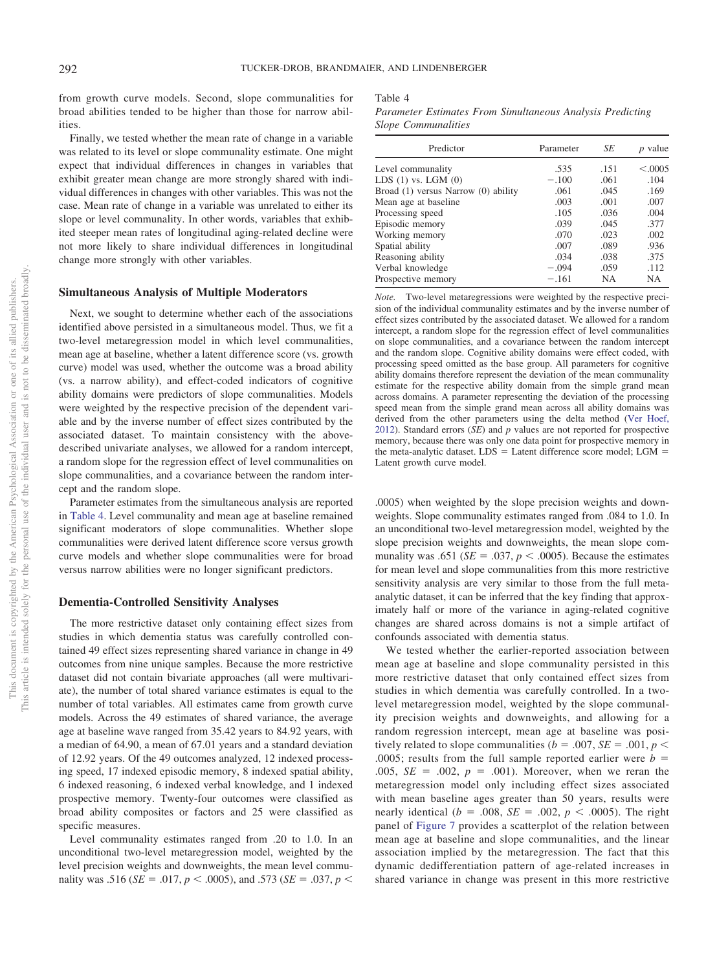from growth curve models. Second, slope communalities for broad abilities tended to be higher than those for narrow abilities.

Finally, we tested whether the mean rate of change in a variable was related to its level or slope communality estimate. One might expect that individual differences in changes in variables that exhibit greater mean change are more strongly shared with individual differences in changes with other variables. This was not the case. Mean rate of change in a variable was unrelated to either its slope or level communality. In other words, variables that exhibited steeper mean rates of longitudinal aging-related decline were not more likely to share individual differences in longitudinal change more strongly with other variables.

#### **Simultaneous Analysis of Multiple Moderators**

Next, we sought to determine whether each of the associations identified above persisted in a simultaneous model. Thus, we fit a two-level metaregression model in which level communalities, mean age at baseline, whether a latent difference score (vs. growth curve) model was used, whether the outcome was a broad ability (vs. a narrow ability), and effect-coded indicators of cognitive ability domains were predictors of slope communalities. Models were weighted by the respective precision of the dependent variable and by the inverse number of effect sizes contributed by the associated dataset. To maintain consistency with the abovedescribed univariate analyses, we allowed for a random intercept, a random slope for the regression effect of level communalities on slope communalities, and a covariance between the random intercept and the random slope.

Parameter estimates from the simultaneous analysis are reported in [Table 4.](#page-19-0) Level communality and mean age at baseline remained significant moderators of slope communalities. Whether slope communalities were derived latent difference score versus growth curve models and whether slope communalities were for broad versus narrow abilities were no longer significant predictors.

#### **Dementia-Controlled Sensitivity Analyses**

The more restrictive dataset only containing effect sizes from studies in which dementia status was carefully controlled contained 49 effect sizes representing shared variance in change in 49 outcomes from nine unique samples. Because the more restrictive dataset did not contain bivariate approaches (all were multivariate), the number of total shared variance estimates is equal to the number of total variables. All estimates came from growth curve models. Across the 49 estimates of shared variance, the average age at baseline wave ranged from 35.42 years to 84.92 years, with a median of 64.90, a mean of 67.01 years and a standard deviation of 12.92 years. Of the 49 outcomes analyzed, 12 indexed processing speed, 17 indexed episodic memory, 8 indexed spatial ability, 6 indexed reasoning, 6 indexed verbal knowledge, and 1 indexed prospective memory. Twenty-four outcomes were classified as broad ability composites or factors and 25 were classified as specific measures.

Level communality estimates ranged from .20 to 1.0. In an unconditional two-level metaregression model, weighted by the level precision weights and downweights, the mean level communality was .516 ( $SE = .017$ ,  $p < .0005$ ), and .573 ( $SE = .037$ ,  $p <$ 

<span id="page-19-0"></span>Table 4 *Parameter Estimates From Simultaneous Analysis Predicting Slope Communalities*

| Predictor                           | Parameter | SЕ   | value    |
|-------------------------------------|-----------|------|----------|
| Level communality                   | .535      | .151 | < 0.0005 |
| LDS $(1)$ vs. LGM $(0)$             | $-.100$   | .061 | .104     |
| Broad (1) versus Narrow (0) ability | .061      | .045 | .169     |
| Mean age at baseline                | .003      | .001 | .007     |
| Processing speed                    | .105      | .036 | .004     |
| Episodic memory                     | .039      | .045 | .377     |
| Working memory                      | .070      | .023 | .002     |
| Spatial ability                     | .007      | .089 | .936     |
| Reasoning ability                   | .034      | .038 | .375     |
| Verbal knowledge                    | $-.094$   | .059 | .112     |
| Prospective memory                  | $-.161$   | NΑ   | NA       |

*Note.* Two-level metaregressions were weighted by the respective precision of the individual communality estimates and by the inverse number of effect sizes contributed by the associated dataset. We allowed for a random intercept, a random slope for the regression effect of level communalities on slope communalities, and a covariance between the random intercept and the random slope. Cognitive ability domains were effect coded, with processing speed omitted as the base group. All parameters for cognitive ability domains therefore represent the deviation of the mean communality estimate for the respective ability domain from the simple grand mean across domains. A parameter representing the deviation of the processing speed mean from the simple grand mean across all ability domains was derived from the other parameters using the delta method [\(Ver Hoef,](#page-26-11) [2012\)](#page-26-11). Standard errors  $(SE)$  and  $p$  values are not reported for prospective memory, because there was only one data point for prospective memory in the meta-analytic dataset.  $LDS =$  Latent difference score model;  $LGM =$ Latent growth curve model.

.0005) when weighted by the slope precision weights and downweights. Slope communality estimates ranged from .084 to 1.0. In an unconditional two-level metaregression model, weighted by the slope precision weights and downweights, the mean slope communality was .651 ( $SE = .037$ ,  $p < .0005$ ). Because the estimates for mean level and slope communalities from this more restrictive sensitivity analysis are very similar to those from the full metaanalytic dataset, it can be inferred that the key finding that approximately half or more of the variance in aging-related cognitive changes are shared across domains is not a simple artifact of confounds associated with dementia status.

We tested whether the earlier-reported association between mean age at baseline and slope communality persisted in this more restrictive dataset that only contained effect sizes from studies in which dementia was carefully controlled. In a twolevel metaregression model, weighted by the slope communality precision weights and downweights, and allowing for a random regression intercept, mean age at baseline was positively related to slope communalities ( $b = .007$ ,  $SE = .001$ ,  $p <$ .0005; results from the full sample reported earlier were  $b =$  $.005, SE = .002, p = .001$ . Moreover, when we reran the metaregression model only including effect sizes associated with mean baseline ages greater than 50 years, results were nearly identical ( $b = .008$ ,  $SE = .002$ ,  $p < .0005$ ). The right panel of [Figure 7](#page-18-1) provides a scatterplot of the relation between mean age at baseline and slope communalities, and the linear association implied by the metaregression. The fact that this dynamic dedifferentiation pattern of age-related increases in shared variance in change was present in this more restrictive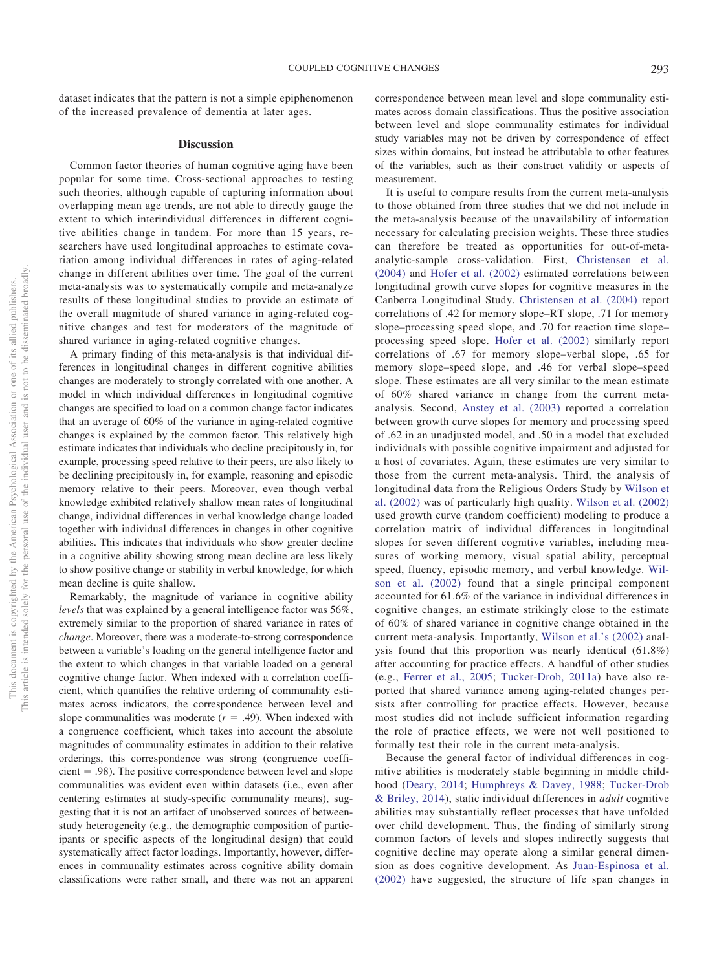dataset indicates that the pattern is not a simple epiphenomenon of the increased prevalence of dementia at later ages.

#### **Discussion**

Common factor theories of human cognitive aging have been popular for some time. Cross-sectional approaches to testing such theories, although capable of capturing information about overlapping mean age trends, are not able to directly gauge the extent to which interindividual differences in different cognitive abilities change in tandem. For more than 15 years, researchers have used longitudinal approaches to estimate covariation among individual differences in rates of aging-related change in different abilities over time. The goal of the current meta-analysis was to systematically compile and meta-analyze results of these longitudinal studies to provide an estimate of the overall magnitude of shared variance in aging-related cognitive changes and test for moderators of the magnitude of shared variance in aging-related cognitive changes.

A primary finding of this meta-analysis is that individual differences in longitudinal changes in different cognitive abilities changes are moderately to strongly correlated with one another. A model in which individual differences in longitudinal cognitive changes are specified to load on a common change factor indicates that an average of 60% of the variance in aging-related cognitive changes is explained by the common factor. This relatively high estimate indicates that individuals who decline precipitously in, for example, processing speed relative to their peers, are also likely to be declining precipitously in, for example, reasoning and episodic memory relative to their peers. Moreover, even though verbal knowledge exhibited relatively shallow mean rates of longitudinal change, individual differences in verbal knowledge change loaded together with individual differences in changes in other cognitive abilities. This indicates that individuals who show greater decline in a cognitive ability showing strong mean decline are less likely to show positive change or stability in verbal knowledge, for which mean decline is quite shallow.

Remarkably, the magnitude of variance in cognitive ability *levels* that was explained by a general intelligence factor was 56%, extremely similar to the proportion of shared variance in rates of *change*. Moreover, there was a moderate-to-strong correspondence between a variable's loading on the general intelligence factor and the extent to which changes in that variable loaded on a general cognitive change factor. When indexed with a correlation coefficient, which quantifies the relative ordering of communality estimates across indicators, the correspondence between level and slope communalities was moderate  $(r = .49)$ . When indexed with a congruence coefficient, which takes into account the absolute magnitudes of communality estimates in addition to their relative orderings, this correspondence was strong (congruence coeffi $cient = .98$ ). The positive correspondence between level and slope communalities was evident even within datasets (i.e., even after centering estimates at study-specific communality means), suggesting that it is not an artifact of unobserved sources of betweenstudy heterogeneity (e.g., the demographic composition of participants or specific aspects of the longitudinal design) that could systematically affect factor loadings. Importantly, however, differences in communality estimates across cognitive ability domain classifications were rather small, and there was not an apparent correspondence between mean level and slope communality estimates across domain classifications. Thus the positive association between level and slope communality estimates for individual study variables may not be driven by correspondence of effect sizes within domains, but instead be attributable to other features of the variables, such as their construct validity or aspects of measurement.

It is useful to compare results from the current meta-analysis to those obtained from three studies that we did not include in the meta-analysis because of the unavailability of information necessary for calculating precision weights. These three studies can therefore be treated as opportunities for out-of-metaanalytic-sample cross-validation. First, [Christensen et al.](#page-23-28) [\(2004\)](#page-23-28) and [Hofer et al. \(2002\)](#page-23-29) estimated correlations between longitudinal growth curve slopes for cognitive measures in the Canberra Longitudinal Study. [Christensen et al. \(2004\)](#page-23-28) report correlations of .42 for memory slope–RT slope, .71 for memory slope–processing speed slope, and .70 for reaction time slope– processing speed slope. [Hofer et al. \(2002\)](#page-23-29) similarly report correlations of .67 for memory slope–verbal slope, .65 for memory slope–speed slope, and .46 for verbal slope–speed slope. These estimates are all very similar to the mean estimate of 60% shared variance in change from the current metaanalysis. Second, [Anstey et al. \(2003\)](#page-22-0) reported a correlation between growth curve slopes for memory and processing speed of .62 in an unadjusted model, and .50 in a model that excluded individuals with possible cognitive impairment and adjusted for a host of covariates. Again, these estimates are very similar to those from the current meta-analysis. Third, the analysis of longitudinal data from the Religious Orders Study by [Wilson et](#page-26-7) [al. \(2002\)](#page-26-7) was of particularly high quality. [Wilson et al. \(2002\)](#page-26-7) used growth curve (random coefficient) modeling to produce a correlation matrix of individual differences in longitudinal slopes for seven different cognitive variables, including measures of working memory, visual spatial ability, perceptual speed, fluency, episodic memory, and verbal knowledge. [Wil](#page-26-7)[son et al. \(2002\)](#page-26-7) found that a single principal component accounted for 61.6% of the variance in individual differences in cognitive changes, an estimate strikingly close to the estimate of 60% of shared variance in cognitive change obtained in the current meta-analysis. Importantly, [Wilson et al.'s \(2002\)](#page-26-7) analysis found that this proportion was nearly identical (61.8%) after accounting for practice effects. A handful of other studies (e.g., [Ferrer et al., 2005;](#page-23-24) [Tucker-Drob, 2011a\)](#page-25-9) have also reported that shared variance among aging-related changes persists after controlling for practice effects. However, because most studies did not include sufficient information regarding the role of practice effects, we were not well positioned to formally test their role in the current meta-analysis.

Because the general factor of individual differences in cognitive abilities is moderately stable beginning in middle childhood [\(Deary, 2014;](#page-23-4) [Humphreys & Davey, 1988;](#page-24-14) [Tucker-Drob](#page-25-13) [& Briley, 2014\)](#page-25-13), static individual differences in *adult* cognitive abilities may substantially reflect processes that have unfolded over child development. Thus, the finding of similarly strong common factors of levels and slopes indirectly suggests that cognitive decline may operate along a similar general dimension as does cognitive development. As [Juan-Espinosa et al.](#page-24-18) [\(2002\)](#page-24-18) have suggested, the structure of life span changes in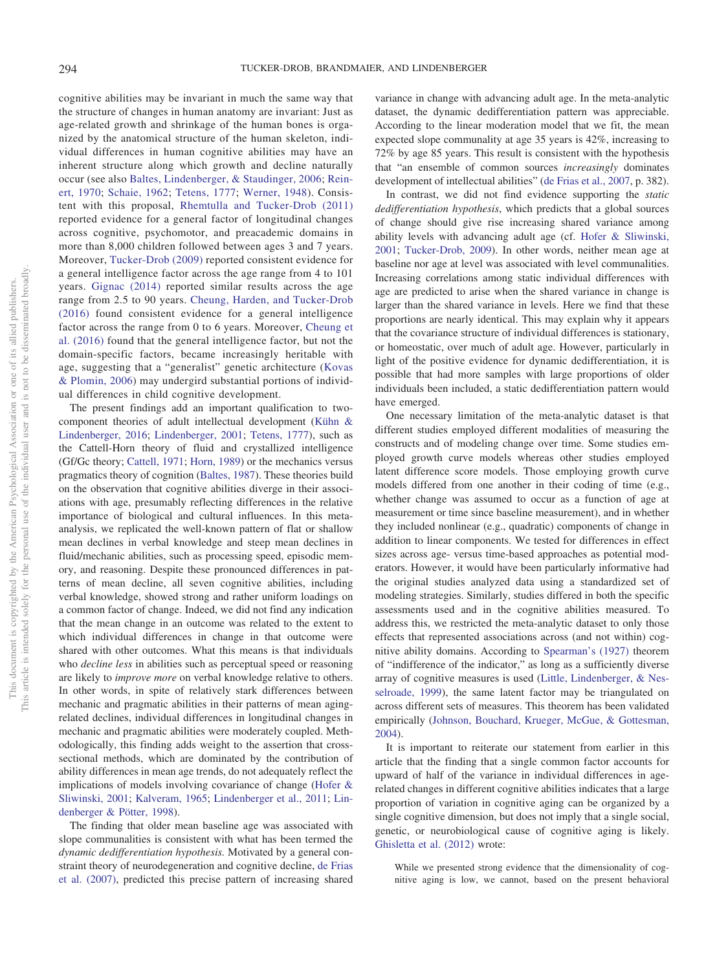cognitive abilities may be invariant in much the same way that the structure of changes in human anatomy are invariant: Just as age-related growth and shrinkage of the human bones is organized by the anatomical structure of the human skeleton, individual differences in human cognitive abilities may have an inherent structure along which growth and decline naturally occur (see also [Baltes, Lindenberger, & Staudinger, 2006;](#page-22-2) [Rein](#page-25-24)[ert, 1970;](#page-25-24) [Schaie, 1962;](#page-25-18) [Tetens, 1777;](#page-25-19) [Werner, 1948\)](#page-26-4). Consistent with this proposal, [Rhemtulla and Tucker-Drob \(2011\)](#page-25-35) reported evidence for a general factor of longitudinal changes across cognitive, psychomotor, and preacademic domains in more than 8,000 children followed between ages 3 and 7 years. Moreover, [Tucker-Drob \(2009\)](#page-25-16) reported consistent evidence for a general intelligence factor across the age range from 4 to 101 years. [Gignac \(2014\)](#page-23-30) reported similar results across the age range from 2.5 to 90 years. [Cheung, Harden, and Tucker-Drob](#page-23-31) [\(2016\)](#page-23-31) found consistent evidence for a general intelligence factor across the range from 0 to 6 years. Moreover, [Cheung et](#page-23-31) [al. \(2016\)](#page-23-31) found that the general intelligence factor, but not the domain-specific factors, became increasingly heritable with age, suggesting that a "generalist" genetic architecture [\(Kovas](#page-24-26) [& Plomin, 2006\)](#page-24-26) may undergird substantial portions of individual differences in child cognitive development.

The present findings add an important qualification to twocomponent theories of adult intellectual development [\(Kühn &](#page-24-27) [Lindenberger, 2016;](#page-24-27) [Lindenberger, 2001;](#page-24-28) [Tetens, 1777\)](#page-25-19), such as the Cattell-Horn theory of fluid and crystallized intelligence (Gf/Gc theory; [Cattell, 1971;](#page-23-32) [Horn, 1989\)](#page-24-29) or the mechanics versus pragmatics theory of cognition [\(Baltes, 1987\)](#page-22-5). These theories build on the observation that cognitive abilities diverge in their associations with age, presumably reflecting differences in the relative importance of biological and cultural influences. In this metaanalysis, we replicated the well-known pattern of flat or shallow mean declines in verbal knowledge and steep mean declines in fluid/mechanic abilities, such as processing speed, episodic memory, and reasoning. Despite these pronounced differences in patterns of mean decline, all seven cognitive abilities, including verbal knowledge, showed strong and rather uniform loadings on a common factor of change. Indeed, we did not find any indication that the mean change in an outcome was related to the extent to which individual differences in change in that outcome were shared with other outcomes. What this means is that individuals who *decline less* in abilities such as perceptual speed or reasoning are likely to *improve more* on verbal knowledge relative to others. In other words, in spite of relatively stark differences between mechanic and pragmatic abilities in their patterns of mean agingrelated declines, individual differences in longitudinal changes in mechanic and pragmatic abilities were moderately coupled. Methodologically, this finding adds weight to the assertion that crosssectional methods, which are dominated by the contribution of ability differences in mean age trends, do not adequately reflect the implications of models involving covariance of change [\(Hofer &](#page-24-7) [Sliwinski, 2001;](#page-24-7) [Kalveram, 1965;](#page-24-9) [Lindenberger et al., 2011;](#page-24-3) [Lin](#page-24-10)[denberger & Pötter, 1998\)](#page-24-10).

The finding that older mean baseline age was associated with slope communalities is consistent with what has been termed the *dynamic dedifferentiation hypothesis.* Motivated by a general constraint theory of neurodegeneration and cognitive decline, [de Frias](#page-23-17) [et al. \(2007\),](#page-23-17) predicted this precise pattern of increasing shared variance in change with advancing adult age. In the meta-analytic dataset, the dynamic dedifferentiation pattern was appreciable. According to the linear moderation model that we fit, the mean expected slope communality at age 35 years is 42%, increasing to 72% by age 85 years. This result is consistent with the hypothesis that "an ensemble of common sources *increasingly* dominates development of intellectual abilities" [\(de Frias et al., 2007,](#page-23-17) p. 382).

In contrast, we did not find evidence supporting the *static dedifferentiation hypothesis*, which predicts that a global sources of change should give rise increasing shared variance among ability levels with advancing adult age (cf. [Hofer & Sliwinski,](#page-24-7) [2001;](#page-24-7) [Tucker-Drob, 2009\)](#page-25-16). In other words, neither mean age at baseline nor age at level was associated with level communalities. Increasing correlations among static individual differences with age are predicted to arise when the shared variance in change is larger than the shared variance in levels. Here we find that these proportions are nearly identical. This may explain why it appears that the covariance structure of individual differences is stationary, or homeostatic, over much of adult age. However, particularly in light of the positive evidence for dynamic dedifferentiation, it is possible that had more samples with large proportions of older individuals been included, a static dedifferentiation pattern would have emerged.

One necessary limitation of the meta-analytic dataset is that different studies employed different modalities of measuring the constructs and of modeling change over time. Some studies employed growth curve models whereas other studies employed latent difference score models. Those employing growth curve models differed from one another in their coding of time (e.g., whether change was assumed to occur as a function of age at measurement or time since baseline measurement), and in whether they included nonlinear (e.g., quadratic) components of change in addition to linear components. We tested for differences in effect sizes across age- versus time-based approaches as potential moderators. However, it would have been particularly informative had the original studies analyzed data using a standardized set of modeling strategies. Similarly, studies differed in both the specific assessments used and in the cognitive abilities measured. To address this, we restricted the meta-analytic dataset to only those effects that represented associations across (and not within) cognitive ability domains. According to [Spearman's \(1927\)](#page-25-36) theorem of "indifference of the indicator," as long as a sufficiently diverse array of cognitive measures is used [\(Little, Lindenberger, & Nes](#page-24-30)[selroade, 1999\)](#page-24-30), the same latent factor may be triangulated on across different sets of measures. This theorem has been validated empirically [\(Johnson, Bouchard, Krueger, McGue, & Gottesman,](#page-24-31) [2004\)](#page-24-31).

It is important to reiterate our statement from earlier in this article that the finding that a single common factor accounts for upward of half of the variance in individual differences in agerelated changes in different cognitive abilities indicates that a large proportion of variation in cognitive aging can be organized by a single cognitive dimension, but does not imply that a single social, genetic, or neurobiological cause of cognitive aging is likely. [Ghisletta et al. \(2012\)](#page-23-3) wrote:

While we presented strong evidence that the dimensionality of cognitive aging is low, we cannot, based on the present behavioral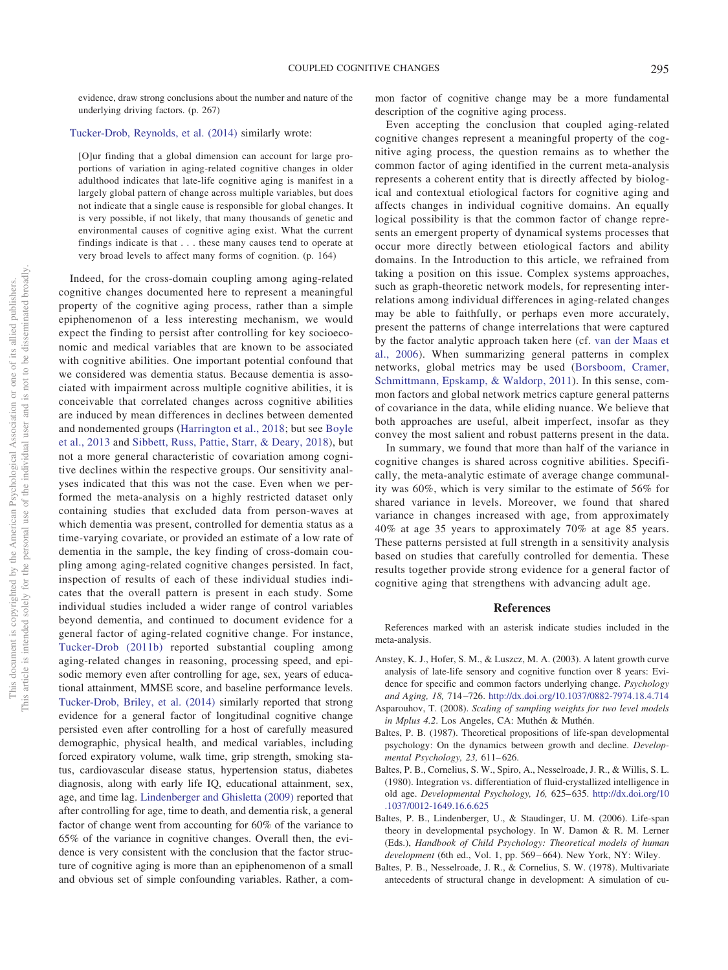evidence, draw strong conclusions about the number and nature of the underlying driving factors. (p. 267)

#### [Tucker-Drob, Reynolds, et al. \(2014\)](#page-25-33) similarly wrote:

[O]ur finding that a global dimension can account for large proportions of variation in aging-related cognitive changes in older adulthood indicates that late-life cognitive aging is manifest in a largely global pattern of change across multiple variables, but does not indicate that a single cause is responsible for global changes. It is very possible, if not likely, that many thousands of genetic and environmental causes of cognitive aging exist. What the current findings indicate is that... these many causes tend to operate at very broad levels to affect many forms of cognition. (p. 164)

Indeed, for the cross-domain coupling among aging-related cognitive changes documented here to represent a meaningful property of the cognitive aging process, rather than a simple epiphenomenon of a less interesting mechanism, we would expect the finding to persist after controlling for key socioeconomic and medical variables that are known to be associated with cognitive abilities. One important potential confound that we considered was dementia status. Because dementia is associated with impairment across multiple cognitive abilities, it is conceivable that correlated changes across cognitive abilities are induced by mean differences in declines between demented and nondemented groups [\(Harrington et al., 2018;](#page-23-33) but see [Boyle](#page-23-34) [et al., 2013](#page-23-34) and [Sibbett, Russ, Pattie, Starr, & Deary, 2018\)](#page-25-37), but not a more general characteristic of covariation among cognitive declines within the respective groups. Our sensitivity analyses indicated that this was not the case. Even when we performed the meta-analysis on a highly restricted dataset only containing studies that excluded data from person-waves at which dementia was present, controlled for dementia status as a time-varying covariate, or provided an estimate of a low rate of dementia in the sample, the key finding of cross-domain coupling among aging-related cognitive changes persisted. In fact, inspection of results of each of these individual studies indicates that the overall pattern is present in each study. Some individual studies included a wider range of control variables beyond dementia, and continued to document evidence for a general factor of aging-related cognitive change. For instance, [Tucker-Drob \(2011b\)](#page-25-14) reported substantial coupling among aging-related changes in reasoning, processing speed, and episodic memory even after controlling for age, sex, years of educational attainment, MMSE score, and baseline performance levels. [Tucker-Drob, Briley, et al. \(2014\)](#page-25-27) similarly reported that strong evidence for a general factor of longitudinal cognitive change persisted even after controlling for a host of carefully measured demographic, physical health, and medical variables, including forced expiratory volume, walk time, grip strength, smoking status, cardiovascular disease status, hypertension status, diabetes diagnosis, along with early life IQ, educational attainment, sex, age, and time lag. [Lindenberger and Ghisletta \(2009\)](#page-24-13) reported that after controlling for age, time to death, and dementia risk, a general factor of change went from accounting for 60% of the variance to 65% of the variance in cognitive changes. Overall then, the evidence is very consistent with the conclusion that the factor structure of cognitive aging is more than an epiphenomenon of a small and obvious set of simple confounding variables. Rather, a common factor of cognitive change may be a more fundamental description of the cognitive aging process.

Even accepting the conclusion that coupled aging-related cognitive changes represent a meaningful property of the cognitive aging process, the question remains as to whether the common factor of aging identified in the current meta-analysis represents a coherent entity that is directly affected by biological and contextual etiological factors for cognitive aging and affects changes in individual cognitive domains. An equally logical possibility is that the common factor of change represents an emergent property of dynamical systems processes that occur more directly between etiological factors and ability domains. In the Introduction to this article, we refrained from taking a position on this issue. Complex systems approaches, such as graph-theoretic network models, for representing interrelations among individual differences in aging-related changes may be able to faithfully, or perhaps even more accurately, present the patterns of change interrelations that were captured by the factor analytic approach taken here (cf. [van der Maas et](#page-26-3) [al., 2006\)](#page-26-3). When summarizing general patterns in complex networks, global metrics may be used [\(Borsboom, Cramer,](#page-23-35) [Schmittmann, Epskamp, & Waldorp, 2011\)](#page-23-35). In this sense, common factors and global network metrics capture general patterns of covariance in the data, while eliding nuance. We believe that both approaches are useful, albeit imperfect, insofar as they convey the most salient and robust patterns present in the data.

In summary, we found that more than half of the variance in cognitive changes is shared across cognitive abilities. Specifically, the meta-analytic estimate of average change communality was 60%, which is very similar to the estimate of 56% for shared variance in levels. Moreover, we found that shared variance in changes increased with age, from approximately 40% at age 35 years to approximately 70% at age 85 years. These patterns persisted at full strength in a sensitivity analysis based on studies that carefully controlled for dementia. These results together provide strong evidence for a general factor of cognitive aging that strengthens with advancing adult age.

#### **References**

References marked with an asterisk indicate studies included in the meta-analysis.

- <span id="page-22-0"></span>Anstey, K. J., Hofer, S. M., & Luszcz, M. A. (2003). A latent growth curve analysis of late-life sensory and cognitive function over 8 years: Evidence for specific and common factors underlying change. *Psychology and Aging, 18,* 714 –726. <http://dx.doi.org/10.1037/0882-7974.18.4.714>
- <span id="page-22-4"></span>Asparouhov, T. (2008). *Scaling of sampling weights for two level models in Mplus 4.2*. Los Angeles, CA: Muthén & Muthén.
- <span id="page-22-5"></span>Baltes, P. B. (1987). Theoretical propositions of life-span developmental psychology: On the dynamics between growth and decline. *Developmental Psychology, 23,* 611– 626.
- <span id="page-22-1"></span>Baltes, P. B., Cornelius, S. W., Spiro, A., Nesselroade, J. R., & Willis, S. L. (1980). Integration vs. differentiation of fluid-crystallized intelligence in old age. *Developmental Psychology, 16,* 625– 635. [http://dx.doi.org/10](http://dx.doi.org/10.1037/0012-1649.16.6.625) [.1037/0012-1649.16.6.625](http://dx.doi.org/10.1037/0012-1649.16.6.625)
- <span id="page-22-2"></span>Baltes, P. B., Lindenberger, U., & Staudinger, U. M. (2006). Life-span theory in developmental psychology. In W. Damon & R. M. Lerner (Eds.), *Handbook of Child Psychology: Theoretical models of human development* (6th ed., Vol. 1, pp. 569 – 664). New York, NY: Wiley.
- <span id="page-22-3"></span>Baltes, P. B., Nesselroade, J. R., & Cornelius, S. W. (1978). Multivariate antecedents of structural change in development: A simulation of cu-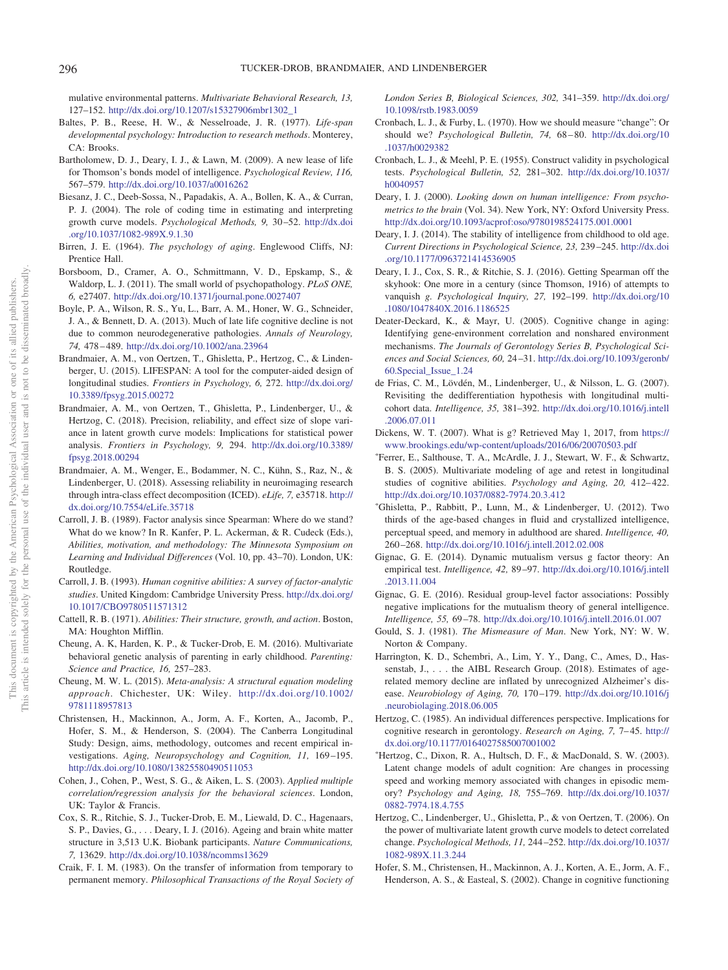mulative environmental patterns. *Multivariate Behavioral Research, 13,* 127–152. [http://dx.doi.org/10.1207/s15327906mbr1302\\_1](http://dx.doi.org/10.1207/s15327906mbr1302_1)

- <span id="page-23-5"></span>Baltes, P. B., Reese, H. W., & Nesselroade, J. R. (1977). *Life-span developmental psychology: Introduction to research methods*. Monterey, CA: Brooks.
- <span id="page-23-10"></span>Bartholomew, D. J., Deary, I. J., & Lawn, M. (2009). A new lease of life for Thomson's bonds model of intelligence. *Psychological Review, 116,* 567–579. <http://dx.doi.org/10.1037/a0016262>
- <span id="page-23-23"></span>Biesanz, J. C., Deeb-Sossa, N., Papadakis, A. A., Bollen, K. A., & Curran, P. J. (2004). The role of coding time in estimating and interpreting growth curve models. *Psychological Methods, 9,* 30 –52. [http://dx.doi](http://dx.doi.org/10.1037/1082-989X.9.1.30) [.org/10.1037/1082-989X.9.1.30](http://dx.doi.org/10.1037/1082-989X.9.1.30)
- <span id="page-23-0"></span>Birren, J. E. (1964). *The psychology of aging*. Englewood Cliffs, NJ: Prentice Hall.
- <span id="page-23-35"></span>Borsboom, D., Cramer, A. O., Schmittmann, V. D., Epskamp, S., & Waldorp, L. J. (2011). The small world of psychopathology. *PLoS ONE, 6,* e27407. <http://dx.doi.org/10.1371/journal.pone.0027407>
- <span id="page-23-34"></span>Boyle, P. A., Wilson, R. S., Yu, L., Barr, A. M., Honer, W. G., Schneider, J. A., & Bennett, D. A. (2013). Much of late life cognitive decline is not due to common neurodegenerative pathologies. *Annals of Neurology, 74,* 478 – 489. <http://dx.doi.org/10.1002/ana.23964>
- <span id="page-23-21"></span>Brandmaier, A. M., von Oertzen, T., Ghisletta, P., Hertzog, C., & Lindenberger, U. (2015). LIFESPAN: A tool for the computer-aided design of longitudinal studies. *Frontiers in Psychology, 6,* 272. [http://dx.doi.org/](http://dx.doi.org/10.3389/fpsyg.2015.00272) [10.3389/fpsyg.2015.00272](http://dx.doi.org/10.3389/fpsyg.2015.00272)
- <span id="page-23-20"></span>Brandmaier, A. M., von Oertzen, T., Ghisletta, P., Lindenberger, U., & Hertzog, C. (2018). Precision, reliability, and effect size of slope variance in latent growth curve models: Implications for statistical power analysis. *Frontiers in Psychology, 9,* 294. [http://dx.doi.org/10.3389/](http://dx.doi.org/10.3389/fpsyg.2018.00294) [fpsyg.2018.00294](http://dx.doi.org/10.3389/fpsyg.2018.00294)
- <span id="page-23-22"></span>Brandmaier, A. M., Wenger, E., Bodammer, N. C., Kühn, S., Raz, N., & Lindenberger, U. (2018). Assessing reliability in neuroimaging research through intra-class effect decomposition (ICED). *eLife, 7,* e35718. [http://](http://dx.doi.org/10.7554/eLife.35718) [dx.doi.org/10.7554/eLife.35718](http://dx.doi.org/10.7554/eLife.35718)
- <span id="page-23-7"></span>Carroll, J. B. (1989). Factor analysis since Spearman: Where do we stand? What do we know? In R. Kanfer, P. L. Ackerman, & R. Cudeck (Eds.), *Abilities, motivation, and methodology: The Minnesota Symposium on Learning and Individual Differences* (Vol. 10, pp. 43–70). London, UK: Routledge.
- <span id="page-23-9"></span>Carroll, J. B. (1993). *Human cognitive abilities: A survey of factor-analytic studies*. United Kingdom: Cambridge University Press. [http://dx.doi.org/](http://dx.doi.org/10.1017/CBO9780511571312) [10.1017/CBO9780511571312](http://dx.doi.org/10.1017/CBO9780511571312)
- <span id="page-23-32"></span>Cattell, R. B. (1971). *Abilities: Their structure, growth, and action*. Boston, MA: Houghton Mifflin.
- <span id="page-23-31"></span>Cheung, A. K, Harden, K. P., & Tucker-Drob, E. M. (2016). Multivariate behavioral genetic analysis of parenting in early childhood. *Parenting: Science and Practice, 16,* 257–283.
- <span id="page-23-19"></span>Cheung, M. W. L. (2015). *Meta-analysis: A structural equation modeling approach*. Chichester, UK: Wiley. [http://dx.doi.org/10.1002/](http://dx.doi.org/10.1002/9781118957813) [9781118957813](http://dx.doi.org/10.1002/9781118957813)
- <span id="page-23-28"></span>Christensen, H., Mackinnon, A., Jorm, A. F., Korten, A., Jacomb, P., Hofer, S. M., & Henderson, S. (2004). The Canberra Longitudinal Study: Design, aims, methodology, outcomes and recent empirical investigations. Aging, Neuropsychology and Cognition, 11, 169-195. <http://dx.doi.org/10.1080/13825580490511053>
- <span id="page-23-27"></span>Cohen, J., Cohen, P., West, S. G., & Aiken, L. S. (2003). *Applied multiple correlation/regression analysis for the behavioral sciences*. London, UK: Taylor & Francis.
- <span id="page-23-16"></span>Cox, S. R., Ritchie, S. J., Tucker-Drob, E. M., Liewald, D. C., Hagenaars, S. P., Davies, G.,... Deary, I. J. (2016). Ageing and brain white matter structure in 3,513 U.K. Biobank participants. *Nature Communications, 7,* 13629. <http://dx.doi.org/10.1038/ncomms13629>
- <span id="page-23-1"></span>Craik, F. I. M. (1983). On the transfer of information from temporary to permanent memory. *Philosophical Transactions of the Royal Society of*

*London Series B, Biological Sciences, 302,* 341–359. [http://dx.doi.org/](http://dx.doi.org/10.1098/rstb.1983.0059) [10.1098/rstb.1983.0059](http://dx.doi.org/10.1098/rstb.1983.0059)

- <span id="page-23-18"></span>Cronbach, L. J., & Furby, L. (1970). How we should measure "change": Or should we? *Psychological Bulletin, 74,* 68 – 80. [http://dx.doi.org/10](http://dx.doi.org/10.1037/h0029382) [.1037/h0029382](http://dx.doi.org/10.1037/h0029382)
- <span id="page-23-13"></span>Cronbach, L. J., & Meehl, P. E. (1955). Construct validity in psychological tests. *Psychological Bulletin, 52,* 281–302. [http://dx.doi.org/10.1037/](http://dx.doi.org/10.1037/h0040957) [h0040957](http://dx.doi.org/10.1037/h0040957)
- <span id="page-23-8"></span>Deary, I. J. (2000). *Looking down on human intelligence: From psychometrics to the brain* (Vol. 34). New York, NY: Oxford University Press. <http://dx.doi.org/10.1093/acprof:oso/9780198524175.001.0001>
- <span id="page-23-4"></span>Deary, I. J. (2014). The stability of intelligence from childhood to old age. *Current Directions in Psychological Science, 23,* 239 –245. [http://dx.doi](http://dx.doi.org/10.1177/0963721414536905) [.org/10.1177/0963721414536905](http://dx.doi.org/10.1177/0963721414536905)
- <span id="page-23-2"></span>Deary, I. J., Cox, S. R., & Ritchie, S. J. (2016). Getting Spearman off the skyhook: One more in a century (since Thomson, 1916) of attempts to vanquish *g. Psychological Inquiry, 27,* 192–199. [http://dx.doi.org/10](http://dx.doi.org/10.1080/1047840X.2016.1186525) [.1080/1047840X.2016.1186525](http://dx.doi.org/10.1080/1047840X.2016.1186525)
- <span id="page-23-6"></span>Deater-Deckard, K., & Mayr, U. (2005). Cognitive change in aging: Identifying gene-environment correlation and nonshared environment mechanisms. *The Journals of Gerontology Series B, Psychological Sciences and Social Sciences, 60,* 24 –31. [http://dx.doi.org/10.1093/geronb/](http://dx.doi.org/10.1093/geronb/60.Special_Issue_1.24) [60.Special\\_Issue\\_1.24](http://dx.doi.org/10.1093/geronb/60.Special_Issue_1.24)
- <span id="page-23-17"></span>de Frias, C. M., Lövdén, M., Lindenberger, U., & Nilsson, L. G. (2007). Revisiting the dedifferentiation hypothesis with longitudinal multicohort data. *Intelligence, 35,* 381–392. [http://dx.doi.org/10.1016/j.intell](http://dx.doi.org/10.1016/j.intell.2006.07.011) [.2006.07.011](http://dx.doi.org/10.1016/j.intell.2006.07.011)
- <span id="page-23-11"></span>Dickens, W. T. (2007). What is g? Retrieved May 1, 2017, from [https://](https://www.brookings.edu/wp-content/uploads/2016/06/20070503.pdf) [www.brookings.edu/wp-content/uploads/2016/06/20070503.pdf](https://www.brookings.edu/wp-content/uploads/2016/06/20070503.pdf)
- <span id="page-23-24"></span>- Ferrer, E., Salthouse, T. A., McArdle, J. J., Stewart, W. F., & Schwartz, B. S. (2005). Multivariate modeling of age and retest in longitudinal studies of cognitive abilities. *Psychology and Aging, 20, 412-422*. <http://dx.doi.org/10.1037/0882-7974.20.3.412>
- <span id="page-23-3"></span>- Ghisletta, P., Rabbitt, P., Lunn, M., & Lindenberger, U. (2012). Two thirds of the age-based changes in fluid and crystallized intelligence, perceptual speed, and memory in adulthood are shared. *Intelligence, 40,* 260 –268. <http://dx.doi.org/10.1016/j.intell.2012.02.008>
- <span id="page-23-30"></span>Gignac, G. E. (2014). Dynamic mutualism versus g factor theory: An empirical test. *Intelligence, 42,* 89 –97. [http://dx.doi.org/10.1016/j.intell](http://dx.doi.org/10.1016/j.intell.2013.11.004) [.2013.11.004](http://dx.doi.org/10.1016/j.intell.2013.11.004)
- <span id="page-23-14"></span>Gignac, G. E. (2016). Residual group-level factor associations: Possibly negative implications for the mutualism theory of general intelligence. *Intelligence, 55,* 69 –78. <http://dx.doi.org/10.1016/j.intell.2016.01.007>
- <span id="page-23-12"></span>Gould, S. J. (1981). *The Mismeasure of Man*. New York, NY: W. W. Norton & Company.
- <span id="page-23-33"></span>Harrington, K. D., Schembri, A., Lim, Y. Y., Dang, C., Ames, D., Hassenstab, J., . . . the AIBL Research Group. (2018). Estimates of agerelated memory decline are inflated by unrecognized Alzheimer's disease. *Neurobiology of Aging, 70,* 170 –179. [http://dx.doi.org/10.1016/j](http://dx.doi.org/10.1016/j.neurobiolaging.2018.06.005) [.neurobiolaging.2018.06.005](http://dx.doi.org/10.1016/j.neurobiolaging.2018.06.005)
- <span id="page-23-15"></span>Hertzog, C. (1985). An individual differences perspective. Implications for cognitive research in gerontology. *Research on Aging, 7,* 7– 45. [http://](http://dx.doi.org/10.1177/0164027585007001002) [dx.doi.org/10.1177/0164027585007001002](http://dx.doi.org/10.1177/0164027585007001002)
- <span id="page-23-25"></span>- Hertzog, C., Dixon, R. A., Hultsch, D. F., & MacDonald, S. W. (2003). Latent change models of adult cognition: Are changes in processing speed and working memory associated with changes in episodic memory? *Psychology and Aging, 18,* 755–769. [http://dx.doi.org/10.1037/](http://dx.doi.org/10.1037/0882-7974.18.4.755) [0882-7974.18.4.755](http://dx.doi.org/10.1037/0882-7974.18.4.755)
- <span id="page-23-26"></span>Hertzog, C., Lindenberger, U., Ghisletta, P., & von Oertzen, T. (2006). On the power of multivariate latent growth curve models to detect correlated change. *Psychological Methods, 11,* 244 –252. [http://dx.doi.org/10.1037/](http://dx.doi.org/10.1037/1082-989X.11.3.244) [1082-989X.11.3.244](http://dx.doi.org/10.1037/1082-989X.11.3.244)
- <span id="page-23-29"></span>Hofer, S. M., Christensen, H., Mackinnon, A. J., Korten, A. E., Jorm, A. F., Henderson, A. S., & Easteal, S. (2002). Change in cognitive functioning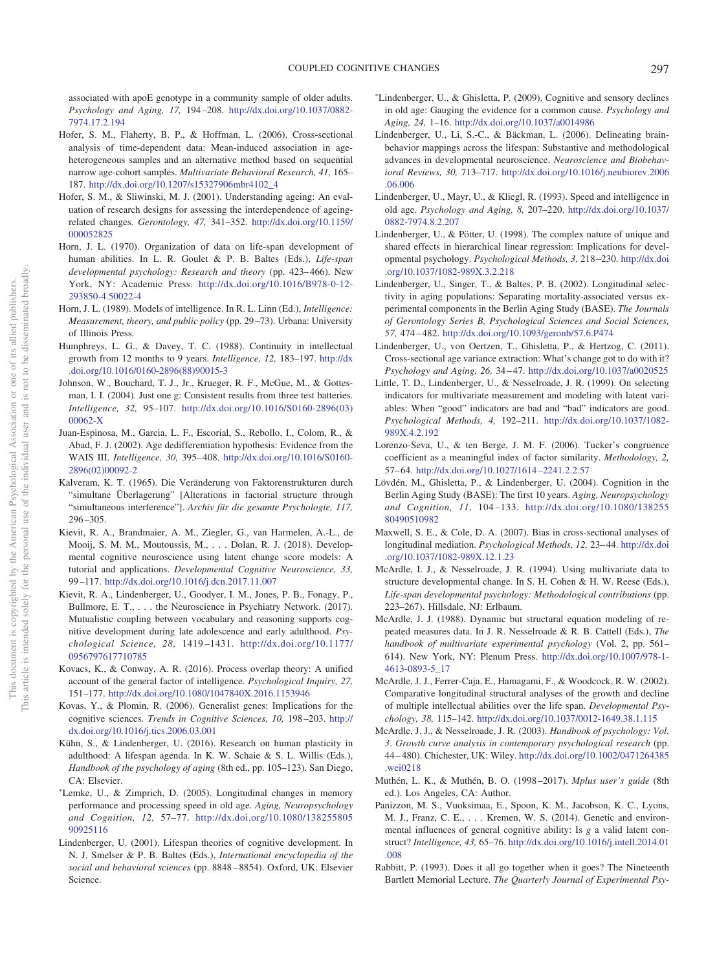associated with apoE genotype in a community sample of older adults. *Psychology and Aging, 17,* 194 –208. [http://dx.doi.org/10.1037/0882-](http://dx.doi.org/10.1037/0882-7974.17.2.194) [7974.17.2.194](http://dx.doi.org/10.1037/0882-7974.17.2.194)

- <span id="page-24-11"></span>Hofer, S. M., Flaherty, B. P., & Hoffman, L. (2006). Cross-sectional analysis of time-dependent data: Mean-induced association in ageheterogeneous samples and an alternative method based on sequential narrow age-cohort samples. *Multivariate Behavioral Research, 41,* 165– 187. [http://dx.doi.org/10.1207/s15327906mbr4102\\_4](http://dx.doi.org/10.1207/s15327906mbr4102_4)
- <span id="page-24-7"></span>Hofer, S. M., & Sliwinski, M. J. (2001). Understanding ageing: An evaluation of research designs for assessing the interdependence of ageingrelated changes. *Gerontology, 47,* 341–352. [http://dx.doi.org/10.1159/](http://dx.doi.org/10.1159/000052825) [000052825](http://dx.doi.org/10.1159/000052825)
- <span id="page-24-8"></span>Horn, J. L. (1970). Organization of data on life-span development of human abilities. In L. R. Goulet & P. B. Baltes (Eds.), *Life-span developmental psychology: Research and theory* (pp. 423– 466). New York, NY: Academic Press. [http://dx.doi.org/10.1016/B978-0-12-](http://dx.doi.org/10.1016/B978-0-12-293850-4.50022-4) [293850-4.50022-4](http://dx.doi.org/10.1016/B978-0-12-293850-4.50022-4)
- <span id="page-24-29"></span>Horn, J. L. (1989). Models of intelligence. In R. L. Linn (Ed.), *Intelligence: Measurement, theory, and public policy* (pp. 29 –73). Urbana: University of Illinois Press.
- <span id="page-24-14"></span>Humphreys, L. G., & Davey, T. C. (1988). Continuity in intellectual growth from 12 months to 9 years. *Intelligence, 12,* 183–197. [http://dx](http://dx.doi.org/10.1016/0160-2896%2888%2990015-3) [.doi.org/10.1016/0160-2896\(88\)90015-3](http://dx.doi.org/10.1016/0160-2896%2888%2990015-3)
- <span id="page-24-31"></span>Johnson, W., Bouchard, T. J., Jr., Krueger, R. F., McGue, M., & Gottesman, I. I. (2004). Just one g: Consistent results from three test batteries. *Intelligence, 32,* 95–107. [http://dx.doi.org/10.1016/S0160-2896\(03\)](http://dx.doi.org/10.1016/S0160-2896%2803%2900062-X) [00062-X](http://dx.doi.org/10.1016/S0160-2896%2803%2900062-X)
- <span id="page-24-18"></span>Juan-Espinosa, M., Garcia, L. F., Escorial, S., Rebollo, I., Colom, R., & Abad, F. J. (2002). Age dedifferentiation hypothesis: Evidence from the WAIS III. *Intelligence, 30,* 395– 408. [http://dx.doi.org/10.1016/S0160-](http://dx.doi.org/10.1016/S0160-2896%2802%2900092-2) [2896\(02\)00092-2](http://dx.doi.org/10.1016/S0160-2896%2802%2900092-2)
- <span id="page-24-9"></span>Kalveram, K. T. (1965). Die Veränderung von Faktorenstrukturen durch "simultane Überlagerung" [Alterations in factorial structure through "simultaneous interference"]. *Archiv für die gesamte Psychologie, 117,* 296 –305.
- <span id="page-24-15"></span>Kievit, R. A., Brandmaier, A. M., Ziegler, G., van Harmelen, A.-L., de Mooij, S. M. M., Moutoussis, M.,... Dolan, R. J. (2018). Developmental cognitive neuroscience using latent change score models: A tutorial and applications. *Developmental Cognitive Neuroscience, 33,* 99 –117. <http://dx.doi.org/10.1016/j.dcn.2017.11.007>
- <span id="page-24-20"></span>Kievit, R. A., Lindenberger, U., Goodyer, I. M., Jones, P. B., Fonagy, P., Bullmore, E. T., . . . the Neuroscience in Psychiatry Network. (2017). Mutualistic coupling between vocabulary and reasoning supports cognitive development during late adolescence and early adulthood. *Psychological Science, 28,* 1419 –1431. [http://dx.doi.org/10.1177/](http://dx.doi.org/10.1177/0956797617710785) [0956797617710785](http://dx.doi.org/10.1177/0956797617710785)
- <span id="page-24-16"></span>Kovacs, K., & Conway, A. R. (2016). Process overlap theory: A unified account of the general factor of intelligence. *Psychological Inquiry, 27,* 151–177. <http://dx.doi.org/10.1080/1047840X.2016.1153946>
- <span id="page-24-26"></span>Kovas, Y., & Plomin, R. (2006). Generalist genes: Implications for the cognitive sciences. *Trends in Cognitive Sciences, 10,* 198 –203. [http://](http://dx.doi.org/10.1016/j.tics.2006.03.001) [dx.doi.org/10.1016/j.tics.2006.03.001](http://dx.doi.org/10.1016/j.tics.2006.03.001)
- <span id="page-24-27"></span>Kühn, S., & Lindenberger, U. (2016). Research on human plasticity in adulthood: A lifespan agenda. In K. W. Schaie & S. L. Willis (Eds.), *Handbook of the psychology of aging* (8th ed., pp. 105–123). San Diego, CA: Elsevier.
- <span id="page-24-23"></span>- Lemke, U., & Zimprich, D. (2005). Longitudinal changes in memory performance and processing speed in old age. *Aging, Neuropsychology and Cognition, 12,* 57–77. [http://dx.doi.org/10.1080/138255805](http://dx.doi.org/10.1080/13825580590925116) [90925116](http://dx.doi.org/10.1080/13825580590925116)
- <span id="page-24-28"></span>Lindenberger, U. (2001). Lifespan theories of cognitive development. In N. J. Smelser & P. B. Baltes (Eds.), *International encyclopedia of the social and behavioral sciences* (pp. 8848 – 8854). Oxford, UK: Elsevier Science.
- <span id="page-24-13"></span>- Lindenberger, U., & Ghisletta, P. (2009). Cognitive and sensory declines in old age: Gauging the evidence for a common cause. *Psychology and Aging, 24,* 1–16. <http://dx.doi.org/10.1037/a0014986>
- <span id="page-24-5"></span>Lindenberger, U., Li, S.-C., & Bäckman, L. (2006). Delineating brainbehavior mappings across the lifespan: Substantive and methodological advances in developmental neuroscience. *Neuroscience and Biobehavioral Reviews, 30,* 713–717. [http://dx.doi.org/10.1016/j.neubiorev.2006](http://dx.doi.org/10.1016/j.neubiorev.2006.06.006) [.06.006](http://dx.doi.org/10.1016/j.neubiorev.2006.06.006)
- <span id="page-24-6"></span>Lindenberger, U., Mayr, U., & Kliegl, R. (1993). Speed and intelligence in old age. *Psychology and Aging, 8,* 207–220. [http://dx.doi.org/10.1037/](http://dx.doi.org/10.1037/0882-7974.8.2.207) [0882-7974.8.2.207](http://dx.doi.org/10.1037/0882-7974.8.2.207)
- <span id="page-24-10"></span>Lindenberger, U., & Pötter, U. (1998). The complex nature of unique and shared effects in hierarchical linear regression: Implications for developmental psychology. *Psychological Methods, 3,* 218 –230. [http://dx.doi](http://dx.doi.org/10.1037/1082-989X.3.2.218) [.org/10.1037/1082-989X.3.2.218](http://dx.doi.org/10.1037/1082-989X.3.2.218)
- <span id="page-24-0"></span>Lindenberger, U., Singer, T., & Baltes, P. B. (2002). Longitudinal selectivity in aging populations: Separating mortality-associated versus experimental components in the Berlin Aging Study (BASE). *The Journals of Gerontology Series B, Psychological Sciences and Social Sciences, 57,* 474 – 482. <http://dx.doi.org/10.1093/geronb/57.6.P474>
- <span id="page-24-3"></span>Lindenberger, U., von Oertzen, T., Ghisletta, P., & Hertzog, C. (2011). Cross-sectional age variance extraction: What's change got to do with it? *Psychology and Aging, 26,* 34 – 47. <http://dx.doi.org/10.1037/a0020525>
- <span id="page-24-30"></span>Little, T. D., Lindenberger, U., & Nesselroade, J. R. (1999). On selecting indicators for multivariate measurement and modeling with latent variables: When "good" indicators are bad and "bad" indicators are good. *Psychological Methods, 4,* 192–211. [http://dx.doi.org/10.1037/1082-](http://dx.doi.org/10.1037/1082-989X.4.2.192) [989X.4.2.192](http://dx.doi.org/10.1037/1082-989X.4.2.192)
- <span id="page-24-25"></span>Lorenzo-Seva, U., & ten Berge, J. M. F. (2006). Tucker's congruence coefficient as a meaningful index of factor similarity. *Methodology, 2,* 57– 64. [http://dx.doi.org/10.1027/1614 –2241.2.2.57](http://dx.doi.org/10.1027/1614-2241.2.2.57)
- <span id="page-24-1"></span>Lövdén, M., Ghisletta, P., & Lindenberger, U. (2004). Cognition in the Berlin Aging Study (BASE): The first 10 years. *Aging, Neuropsychology and Cognition, 11,* 104 –133. [http://dx.doi.org/10.1080/138255](http://dx.doi.org/10.1080/13825580490510982) [80490510982](http://dx.doi.org/10.1080/13825580490510982)
- <span id="page-24-12"></span>Maxwell, S. E., & Cole, D. A. (2007). Bias in cross-sectional analyses of longitudinal mediation. *Psychological Methods, 12,* 23– 44. [http://dx.doi](http://dx.doi.org/10.1037/1082-989X.12.1.23) [.org/10.1037/1082-989X.12.1.23](http://dx.doi.org/10.1037/1082-989X.12.1.23)
- <span id="page-24-21"></span>McArdle, I. J., & Nesselroade, J. R. (1994). Using multivariate data to structure developmental change. In S. H. Cohen & H. W. Reese (Eds.), *Life-span developmental psychology: Methodological contributions* (pp. 223–267). Hillsdale, NJ: Erlbaum.
- <span id="page-24-22"></span>McArdle, J. J. (1988). Dynamic but structural equation modeling of repeated measures data. In J. R. Nesselroade & R. B. Cattell (Eds.), *The handbook of multivariate experimental psychology* (Vol. 2, pp. 561– 614). New York, NY: Plenum Press. [http://dx.doi.org/10.1007/978-1-](http://dx.doi.org/10.1007/978-1-4613-0893-5_17) [4613-0893-5\\_17](http://dx.doi.org/10.1007/978-1-4613-0893-5_17)
- <span id="page-24-2"></span>McArdle, J. J., Ferrer-Caja, E., Hamagami, F., & Woodcock, R. W. (2002). Comparative longitudinal structural analyses of the growth and decline of multiple intellectual abilities over the life span. *Developmental Psychology, 38,* 115–142. <http://dx.doi.org/10.1037/0012-1649.38.1.115>
- <span id="page-24-19"></span>McArdle, J. J., & Nesselroade, J. R. (2003). *Handbook of psychology: Vol. 3*. *Growth curve analysis in contemporary psychological research* (pp. 44 – 480). Chichester, UK: Wiley. [http://dx.doi.org/10.1002/0471264385](http://dx.doi.org/10.1002/0471264385.wei0218) [.wei0218](http://dx.doi.org/10.1002/0471264385.wei0218)
- <span id="page-24-24"></span>Muthén, L. K., & Muthén, B. O. (1998 –2017). *Mplus user's guide* (8th ed.). Los Angeles, CA: Author.
- <span id="page-24-17"></span>Panizzon, M. S., Vuoksimaa, E., Spoon, K. M., Jacobson, K. C., Lyons, M. J., Franz, C. E.,... Kremen, W. S. (2014). Genetic and environmental influences of general cognitive ability: Is *g* a valid latent construct? *Intelligence, 43,* 65–76. [http://dx.doi.org/10.1016/j.intell.2014.01](http://dx.doi.org/10.1016/j.intell.2014.01.008) [.008](http://dx.doi.org/10.1016/j.intell.2014.01.008)
- <span id="page-24-4"></span>Rabbitt, P. (1993). Does it all go together when it goes? The Nineteenth Bartlett Memorial Lecture. *The Quarterly Journal of Experimental Psy-*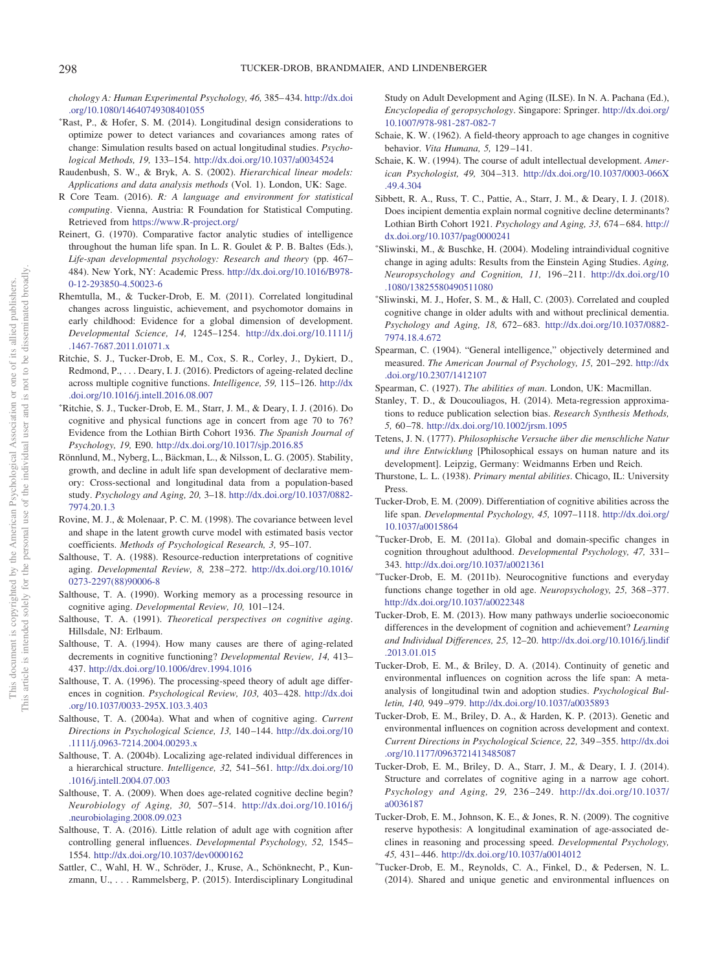*chology A: Human Experimental Psychology, 46,* 385– 434. [http://dx.doi](http://dx.doi.org/10.1080/14640749308401055) [.org/10.1080/14640749308401055](http://dx.doi.org/10.1080/14640749308401055)

- <span id="page-25-29"></span>- Rast, P., & Hofer, S. M. (2014). Longitudinal design considerations to optimize power to detect variances and covariances among rates of change: Simulation results based on actual longitudinal studies. *Psychological Methods, 19,* 133–154. <http://dx.doi.org/10.1037/a0034524>
- <span id="page-25-25"></span>Raudenbush, S. W., & Bryk, A. S. (2002). *Hierarchical linear models: Applications and data analysis methods* (Vol. 1). London, UK: Sage.
- <span id="page-25-31"></span>R Core Team. (2016). *R: A language and environment for statistical computing*. Vienna, Austria: R Foundation for Statistical Computing. Retrieved from <https://www.R-project.org/>
- <span id="page-25-24"></span>Reinert, G. (1970). Comparative factor analytic studies of intelligence throughout the human life span. In L. R. Goulet & P. B. Baltes (Eds.), *Life-span developmental psychology: Research and theory* (pp. 467– 484). New York, NY: Academic Press. [http://dx.doi.org/10.1016/B978-](http://dx.doi.org/10.1016/B978-0-12-293850-4.50023-6) [0-12-293850-4.50023-6](http://dx.doi.org/10.1016/B978-0-12-293850-4.50023-6)
- <span id="page-25-35"></span>Rhemtulla, M., & Tucker-Drob, E. M. (2011). Correlated longitudinal changes across linguistic, achievement, and psychomotor domains in early childhood: Evidence for a global dimension of development. *Developmental Science, 14,* 1245–1254. [http://dx.doi.org/10.1111/j](http://dx.doi.org/10.1111/j.1467-7687.2011.01071.x) [.1467-7687.2011.01071.x](http://dx.doi.org/10.1111/j.1467-7687.2011.01071.x)
- <span id="page-25-22"></span>Ritchie, S. J., Tucker-Drob, E. M., Cox, S. R., Corley, J., Dykiert, D., Redmond, P.,... Deary, I. J. (2016). Predictors of ageing-related decline across multiple cognitive functions. *Intelligence, 59,* 115–126. [http://dx](http://dx.doi.org/10.1016/j.intell.2016.08.007) [.doi.org/10.1016/j.intell.2016.08.007](http://dx.doi.org/10.1016/j.intell.2016.08.007)
- <span id="page-25-12"></span>- Ritchie, S. J., Tucker-Drob, E. M., Starr, J. M., & Deary, I. J. (2016). Do cognitive and physical functions age in concert from age 70 to 76? Evidence from the Lothian Birth Cohort 1936. *The Spanish Journal of Psychology, 19,* E90. <http://dx.doi.org/10.1017/sjp.2016.85>
- <span id="page-25-5"></span>Rönnlund, M., Nyberg, L., Bäckman, L., & Nilsson, L. G. (2005). Stability, growth, and decline in adult life span development of declarative memory: Cross-sectional and longitudinal data from a population-based study. *Psychology and Aging, 20,* 3–18. [http://dx.doi.org/10.1037/0882-](http://dx.doi.org/10.1037/0882-7974.20.1.3) [7974.20.1.3](http://dx.doi.org/10.1037/0882-7974.20.1.3)
- <span id="page-25-32"></span>Rovine, M. J., & Molenaar, P. C. M. (1998). The covariance between level and shape in the latent growth curve model with estimated basis vector coefficients. *Methods of Psychological Research, 3,* 95–107.
- <span id="page-25-8"></span>Salthouse, T. A. (1988). Resource-reduction interpretations of cognitive aging. *Developmental Review, 8,* 238 –272. [http://dx.doi.org/10.1016/](http://dx.doi.org/10.1016/0273-2297%2888%2990006-8) [0273-2297\(88\)90006-8](http://dx.doi.org/10.1016/0273-2297%2888%2990006-8)
- <span id="page-25-11"></span>Salthouse, T. A. (1990). Working memory as a processing resource in cognitive aging. *Developmental Review, 10,* 101–124.
- <span id="page-25-7"></span>Salthouse, T. A. (1991). *Theoretical perspectives on cognitive aging*. Hillsdale, NJ: Erlbaum.
- <span id="page-25-0"></span>Salthouse, T. A. (1994). How many causes are there of aging-related decrements in cognitive functioning? *Developmental Review, 14,* 413– 437. <http://dx.doi.org/10.1006/drev.1994.1016>
- <span id="page-25-10"></span>Salthouse, T. A. (1996). The processing-speed theory of adult age differences in cognition. *Psychological Review, 103,* 403– 428. [http://dx.doi](http://dx.doi.org/10.1037/0033-295X.103.3.403) [.org/10.1037/0033-295X.103.3.403](http://dx.doi.org/10.1037/0033-295X.103.3.403)
- <span id="page-25-1"></span>Salthouse, T. A. (2004a). What and when of cognitive aging. *Current Directions in Psychological Science, 13,* 140 –144. [http://dx.doi.org/10](http://dx.doi.org/10.1111/j.0963-7214.2004.00293.x) [.1111/j.0963-7214.2004.00293.x](http://dx.doi.org/10.1111/j.0963-7214.2004.00293.x)
- <span id="page-25-3"></span>Salthouse, T. A. (2004b). Localizing age-related individual differences in a hierarchical structure. *Intelligence, 32,* 541–561. [http://dx.doi.org/10](http://dx.doi.org/10.1016/j.intell.2004.07.003) [.1016/j.intell.2004.07.003](http://dx.doi.org/10.1016/j.intell.2004.07.003)
- <span id="page-25-2"></span>Salthouse, T. A. (2009). When does age-related cognitive decline begin? *Neurobiology of Aging, 30,* 507–514. [http://dx.doi.org/10.1016/j](http://dx.doi.org/10.1016/j.neurobiolaging.2008.09.023) [.neurobiolaging.2008.09.023](http://dx.doi.org/10.1016/j.neurobiolaging.2008.09.023)
- <span id="page-25-6"></span>Salthouse, T. A. (2016). Little relation of adult age with cognition after controlling general influences. *Developmental Psychology, 52,* 1545– 1554. <http://dx.doi.org/10.1037/dev0000162>
- <span id="page-25-30"></span>Sattler, C., Wahl, H. W., Schröder, J., Kruse, A., Schönknecht, P., Kunzmann, U.,... Rammelsberg, P. (2015). Interdisciplinary Longitudinal

Study on Adult Development and Aging (ILSE). In N. A. Pachana (Ed.), *Encyclopedia of geropsychology*. Singapore: Springer. [http://dx.doi.org/](http://dx.doi.org/10.1007/978-981-287-082-7) [10.1007/978-981-287-082-7](http://dx.doi.org/10.1007/978-981-287-082-7)

- <span id="page-25-18"></span>Schaie, K. W. (1962). A field-theory approach to age changes in cognitive behavior. *Vita Humana, 5,* 129 –141.
- <span id="page-25-4"></span>Schaie, K. W. (1994). The course of adult intellectual development. *American Psychologist, 49,* 304 –313. [http://dx.doi.org/10.1037/0003-066X](http://dx.doi.org/10.1037/0003-066X.49.4.304) [.49.4.304](http://dx.doi.org/10.1037/0003-066X.49.4.304)
- <span id="page-25-37"></span>Sibbett, R. A., Russ, T. C., Pattie, A., Starr, J. M., & Deary, I. J. (2018). Does incipient dementia explain normal cognitive decline determinants? Lothian Birth Cohort 1921. *Psychology and Aging, 33,* 674 – 684. [http://](http://dx.doi.org/10.1037/pag0000241) [dx.doi.org/10.1037/pag0000241](http://dx.doi.org/10.1037/pag0000241)
- <span id="page-25-26"></span>- Sliwinski, M., & Buschke, H. (2004). Modeling intraindividual cognitive change in aging adults: Results from the Einstein Aging Studies. *Aging, Neuropsychology and Cognition, 11,* 196 –211. [http://dx.doi.org/10](http://dx.doi.org/10.1080/13825580490511080) [.1080/13825580490511080](http://dx.doi.org/10.1080/13825580490511080)
- <span id="page-25-28"></span>- Sliwinski, M. J., Hofer, S. M., & Hall, C. (2003). Correlated and coupled cognitive change in older adults with and without preclinical dementia. *Psychology and Aging, 18,* 672– 683. [http://dx.doi.org/10.1037/0882-](http://dx.doi.org/10.1037/0882-7974.18.4.672) [7974.18.4.672](http://dx.doi.org/10.1037/0882-7974.18.4.672)
- <span id="page-25-15"></span>Spearman, C. (1904). "General intelligence," objectively determined and measured. *The American Journal of Psychology, 15,* 201–292. [http://dx](http://dx.doi.org/10.2307/1412107) [.doi.org/10.2307/1412107](http://dx.doi.org/10.2307/1412107)
- <span id="page-25-36"></span>Spearman, C. (1927). *The abilities of man*. London, UK: Macmillan.
- <span id="page-25-34"></span>Stanley, T. D., & Doucouliagos, H. (2014). Meta-regression approximations to reduce publication selection bias. *Research Synthesis Methods, 5,* 60 –78. <http://dx.doi.org/10.1002/jrsm.1095>
- <span id="page-25-19"></span>Tetens, J. N. (1777). *Philosophische Versuche über die menschliche Natur und ihre Entwicklung* [Philosophical essays on human nature and its development]. Leipzig, Germany: Weidmanns Erben und Reich.
- <span id="page-25-17"></span>Thurstone, L. L. (1938). *Primary mental abilities*. Chicago, IL: University Press.
- <span id="page-25-16"></span>Tucker-Drob, E. M. (2009). Differentiation of cognitive abilities across the life span. *Developmental Psychology, 45,* 1097–1118. [http://dx.doi.org/](http://dx.doi.org/10.1037/a0015864) [10.1037/a0015864](http://dx.doi.org/10.1037/a0015864)
- <span id="page-25-9"></span>- Tucker-Drob, E. M. (2011a). Global and domain-specific changes in cognition throughout adulthood. *Developmental Psychology, 47,* 331– 343. <http://dx.doi.org/10.1037/a0021361>
- <span id="page-25-14"></span>- Tucker-Drob, E. M. (2011b). Neurocognitive functions and everyday functions change together in old age. *Neuropsychology, 25,* 368 –377. <http://dx.doi.org/10.1037/a0022348>
- <span id="page-25-20"></span>Tucker-Drob, E. M. (2013). How many pathways underlie socioeconomic differences in the development of cognition and achievement? *Learning and Individual Differences, 25,* 12–20. [http://dx.doi.org/10.1016/j.lindif](http://dx.doi.org/10.1016/j.lindif.2013.01.015) [.2013.01.015](http://dx.doi.org/10.1016/j.lindif.2013.01.015)
- <span id="page-25-13"></span>Tucker-Drob, E. M., & Briley, D. A. (2014). Continuity of genetic and environmental influences on cognition across the life span: A metaanalysis of longitudinal twin and adoption studies. *Psychological Bulletin, 140,* 949 –979. <http://dx.doi.org/10.1037/a0035893>
- <span id="page-25-21"></span>Tucker-Drob, E. M., Briley, D. A., & Harden, K. P. (2013). Genetic and environmental influences on cognition across development and context. *Current Directions in Psychological Science, 22,* 349 –355. [http://dx.doi](http://dx.doi.org/10.1177/0963721413485087) [.org/10.1177/0963721413485087](http://dx.doi.org/10.1177/0963721413485087)
- <span id="page-25-27"></span>Tucker-Drob, E. M., Briley, D. A., Starr, J. M., & Deary, I. J. (2014). Structure and correlates of cognitive aging in a narrow age cohort. *Psychology and Aging, 29,* 236 –249. [http://dx.doi.org/10.1037/](http://dx.doi.org/10.1037/a0036187) [a0036187](http://dx.doi.org/10.1037/a0036187)
- <span id="page-25-23"></span>Tucker-Drob, E. M., Johnson, K. E., & Jones, R. N. (2009). The cognitive reserve hypothesis: A longitudinal examination of age-associated declines in reasoning and processing speed. *Developmental Psychology, 45,* 431– 446. <http://dx.doi.org/10.1037/a0014012>
- <span id="page-25-33"></span>- Tucker-Drob, E. M., Reynolds, C. A., Finkel, D., & Pedersen, N. L. (2014). Shared and unique genetic and environmental influences on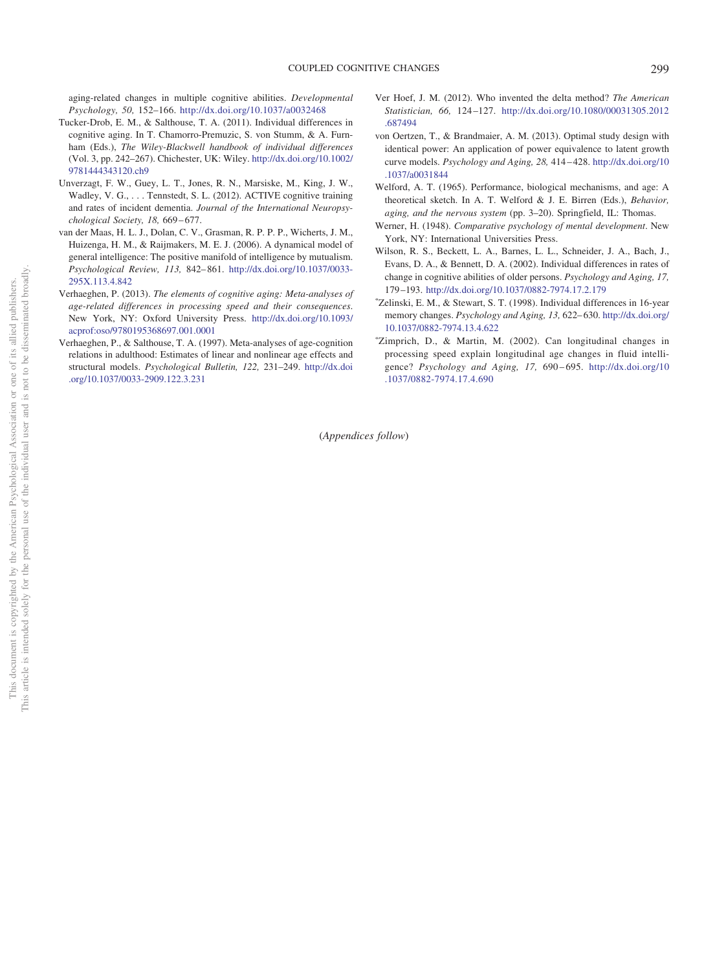aging-related changes in multiple cognitive abilities. *Developmental Psychology, 50,* 152–166. <http://dx.doi.org/10.1037/a0032468>

- <span id="page-26-2"></span>Tucker-Drob, E. M., & Salthouse, T. A. (2011). Individual differences in cognitive aging. In T. Chamorro-Premuzic, S. von Stumm, & A. Furnham (Eds.), *The Wiley-Blackwell handbook of individual differences* (Vol. 3, pp. 242–267). Chichester, UK: Wiley. [http://dx.doi.org/10.1002/](http://dx.doi.org/10.1002/9781444343120.ch9) [9781444343120.ch9](http://dx.doi.org/10.1002/9781444343120.ch9)
- <span id="page-26-9"></span>Unverzagt, F. W., Guey, L. T., Jones, R. N., Marsiske, M., King, J. W., Wadley, V. G., ... Tennstedt, S. L. (2012). ACTIVE cognitive training and rates of incident dementia. *Journal of the International Neuropsychological Society, 18,* 669 – 677.
- <span id="page-26-3"></span>van der Maas, H. L. J., Dolan, C. V., Grasman, R. P. P. P., Wicherts, J. M., Huizenga, H. M., & Raijmakers, M. E. J. (2006). A dynamical model of general intelligence: The positive manifold of intelligence by mutualism. *Psychological Review, 113,* 842– 861. [http://dx.doi.org/10.1037/0033-](http://dx.doi.org/10.1037/0033-295X.113.4.842) [295X.113.4.842](http://dx.doi.org/10.1037/0033-295X.113.4.842)
- <span id="page-26-5"></span>Verhaeghen, P. (2013). *The elements of cognitive aging: Meta-analyses of age-related differences in processing speed and their consequences*. New York, NY: Oxford University Press. [http://dx.doi.org/10.1093/](http://dx.doi.org/10.1093/acprof:oso/9780195368697.001.0001) [acprof:oso/9780195368697.001.0001](http://dx.doi.org/10.1093/acprof:oso/9780195368697.001.0001)
- <span id="page-26-0"></span>Verhaeghen, P., & Salthouse, T. A. (1997). Meta-analyses of age-cognition relations in adulthood: Estimates of linear and nonlinear age effects and structural models. *Psychological Bulletin, 122,* 231–249. [http://dx.doi](http://dx.doi.org/10.1037/0033-2909.122.3.231) [.org/10.1037/0033-2909.122.3.231](http://dx.doi.org/10.1037/0033-2909.122.3.231)
- <span id="page-26-11"></span>Ver Hoef, J. M. (2012). Who invented the delta method? *The American Statistician, 66,* 124 –127. [http://dx.doi.org/10.1080/00031305.2012](http://dx.doi.org/10.1080/00031305.2012.687494) [.687494](http://dx.doi.org/10.1080/00031305.2012.687494)
- <span id="page-26-8"></span>von Oertzen, T., & Brandmaier, A. M. (2013). Optimal study design with identical power: An application of power equivalence to latent growth curve models. *Psychology and Aging, 28,* 414 – 428. [http://dx.doi.org/10](http://dx.doi.org/10.1037/a0031844) [.1037/a0031844](http://dx.doi.org/10.1037/a0031844)
- <span id="page-26-1"></span>Welford, A. T. (1965). Performance, biological mechanisms, and age: A theoretical sketch. In A. T. Welford & J. E. Birren (Eds.), *Behavior, aging, and the nervous system* (pp. 3–20). Springfield, IL: Thomas.
- <span id="page-26-4"></span>Werner, H. (1948). *Comparative psychology of mental development*. New York, NY: International Universities Press.
- <span id="page-26-7"></span>Wilson, R. S., Beckett, L. A., Barnes, L. L., Schneider, J. A., Bach, J., Evans, D. A., & Bennett, D. A. (2002). Individual differences in rates of change in cognitive abilities of older persons. *Psychology and Aging, 17,* 179 –193. <http://dx.doi.org/10.1037/0882-7974.17.2.179>
- <span id="page-26-10"></span>- Zelinski, E. M., & Stewart, S. T. (1998). Individual differences in 16-year memory changes. *Psychology and Aging, 13,* 622– 630. [http://dx.doi.org/](http://dx.doi.org/10.1037/0882-7974.13.4.622) [10.1037/0882-7974.13.4.622](http://dx.doi.org/10.1037/0882-7974.13.4.622)
- <span id="page-26-6"></span>- Zimprich, D., & Martin, M. (2002). Can longitudinal changes in processing speed explain longitudinal age changes in fluid intelligence? *Psychology and Aging, 17,* 690 – 695. [http://dx.doi.org/10](http://dx.doi.org/10.1037/0882-7974.17.4.690) [.1037/0882-7974.17.4.690](http://dx.doi.org/10.1037/0882-7974.17.4.690)

(*Appendices follow*)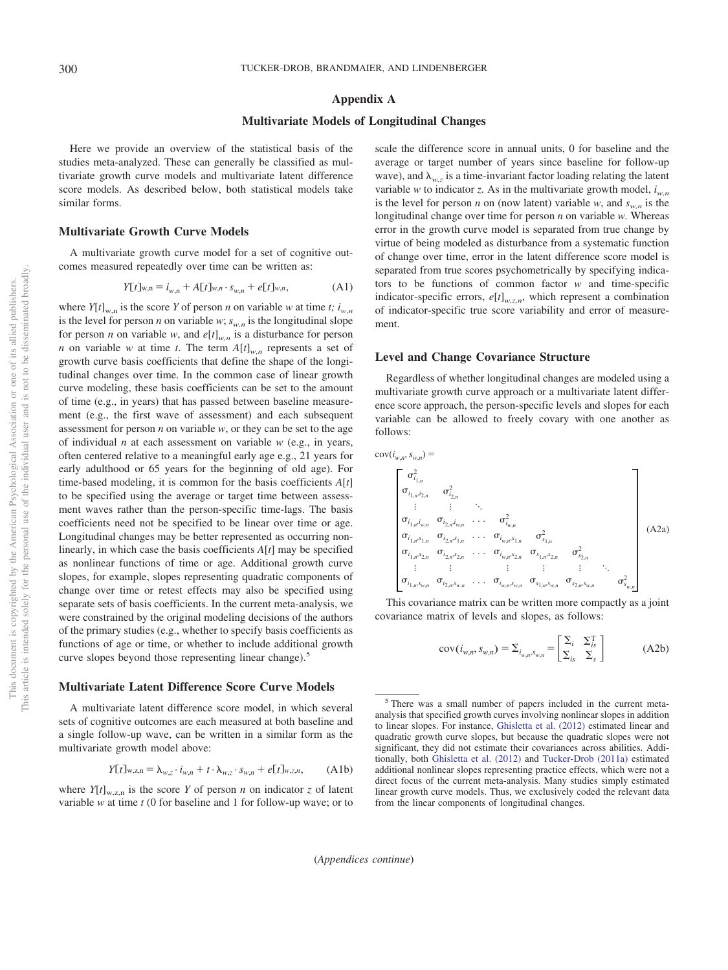#### <span id="page-27-0"></span>**Appendix A**

#### **Multivariate Models of Longitudinal Changes**

Here we provide an overview of the statistical basis of the studies meta-analyzed. These can generally be classified as multivariate growth curve models and multivariate latent difference score models. As described below, both statistical models take similar forms.

#### **Multivariate Growth Curve Models**

A multivariate growth curve model for a set of cognitive outcomes measured repeatedly over time can be written as:

$$
Y[t]_{w,n} = i_{w,n} + A[t]_{w,n} \cdot s_{w,n} + e[t]_{w,n},
$$
 (A1)

where  $Y[t]_{w,n}$  is the score *Y* of person *n* on variable *w* at time *t*;  $i_{w,n}$ is the level for person *n* on variable *w*;  $s_{w,n}$  is the longitudinal slope for person *n* on variable *w*, and  $e[t]_{w,n}$  is a disturbance for person *n* on variable *w* at time *t*. The term  $A[t]_{w,n}$  represents a set of growth curve basis coefficients that define the shape of the longitudinal changes over time. In the common case of linear growth curve modeling, these basis coefficients can be set to the amount of time (e.g., in years) that has passed between baseline measurement (e.g., the first wave of assessment) and each subsequent assessment for person *n* on variable *w*, or they can be set to the age of individual *n* at each assessment on variable *w* (e.g., in years, often centered relative to a meaningful early age e.g., 21 years for early adulthood or 65 years for the beginning of old age). For time-based modeling, it is common for the basis coefficients *A*[*t*] to be specified using the average or target time between assessment waves rather than the person-specific time-lags. The basis coefficients need not be specified to be linear over time or age. Longitudinal changes may be better represented as occurring nonlinearly, in which case the basis coefficients *A*[*t*] may be specified as nonlinear functions of time or age. Additional growth curve slopes, for example, slopes representing quadratic components of change over time or retest effects may also be specified using separate sets of basis coefficients. In the current meta-analysis, we were constrained by the original modeling decisions of the authors of the primary studies (e.g., whether to specify basis coefficients as functions of age or time, or whether to include additional growth curve slopes beyond those representing linear change).<sup>5</sup>

# **Multivariate Latent Difference Score Curve Models**

A multivariate latent difference score model, in which several sets of cognitive outcomes are each measured at both baseline and a single follow-up wave, can be written in a similar form as the multivariate growth model above:

$$
Y[t]_{w,z,n} = \lambda_{w,z} \cdot i_{w,n} + t \cdot \lambda_{w,z} \cdot s_{w,n} + e[t]_{w,z,n}, \quad (A1b)
$$

where  $Y[t]_{w,z,n}$  is the score *Y* of person *n* on indicator *z* of latent variable *w* at time *t* (0 for baseline and 1 for follow-up wave; or to

scale the difference score in annual units, 0 for baseline and the average or target number of years since baseline for follow-up wave), and  $\lambda_{w,z}$  is a time-invariant factor loading relating the latent variable *w* to indicator *z*. As in the multivariate growth model,  $i_{w,n}$ is the level for person *n* on (now latent) variable *w*, and  $s_{w,n}$  is the longitudinal change over time for person *n* on variable *w.* Whereas error in the growth curve model is separated from true change by virtue of being modeled as disturbance from a systematic function of change over time, error in the latent difference score model is separated from true scores psychometrically by specifying indicators to be functions of common factor *w* and time-specific indicator-specific errors,  $e[t]_{w,z,n}$ , which represent a combination of indicator-specific true score variability and error of measurement.

#### **Level and Change Covariance Structure**

Regardless of whether longitudinal changes are modeled using a multivariate growth curve approach or a multivariate latent difference score approach, the person-specific levels and slopes for each variable can be allowed to freely covary with one another as follows:

<span id="page-27-1"></span>
$$
cov(i_{w,n}, s_{w,n}) =
$$

$$
\begin{bmatrix}\n\sigma_{i_{1,n}}^{2} & \sigma_{i_{2,n}}^{2} & \sigma_{i_{2,n}}^{2} & \sigma_{i_{2,n}}^{2} & \sigma_{i_{2,n}}^{2} & \sigma_{i_{2,n}}^{2} & \sigma_{i_{2,n}}^{2} & \sigma_{i_{2,n}}^{2} & \sigma_{i_{2,n}}^{2} & \sigma_{i_{2,n}}^{2} & \sigma_{i_{2,n}}^{2} & \sigma_{i_{2,n}}^{2} & \sigma_{i_{2,n}}^{2} & \sigma_{i_{2,n}}^{2} & \sigma_{i_{2,n}}^{2} & \sigma_{i_{2,n}}^{2} & \sigma_{i_{2,n}}^{2} & \sigma_{i_{2,n}}^{2} & \sigma_{i_{2,n}}^{2} & \sigma_{i_{2,n}}^{2} & \sigma_{i_{2,n}}^{2} & \sigma_{i_{2,n}}^{2} & \sigma_{i_{2,n}}^{2} & \sigma_{i_{2,n}}^{2} & \sigma_{i_{2,n}}^{2} & \sigma_{i_{2,n}}^{2} & \sigma_{i_{2,n}}^{2} & \sigma_{i_{2,n}}^{2} & \sigma_{i_{2,n}}^{2} & \sigma_{i_{2,n}}^{2} & \sigma_{i_{2,n}}^{2} & \sigma_{i_{2,n}}^{2} & \sigma_{i_{2,n}}^{2} & \sigma_{i_{2,n}}^{2} & \sigma_{i_{2,n}}^{2} & \sigma_{i_{2,n}}^{2} & \sigma_{i_{2,n}}^{2} & \sigma_{i_{2,n}}^{2} & \sigma_{i_{2,n}}^{2} & \sigma_{i_{2,n}}^{2} & \sigma_{i_{2,n}}^{2} & \sigma_{i_{2,n}}^{2} & \sigma_{i_{2,n}}^{2} & \sigma_{i_{2,n}}^{2} & \sigma_{i_{2,n}}^{2} & \sigma_{i_{2,n}}^{2} & \sigma_{i_{2,n}}^{2} & \sigma_{i_{2,n}}^{2} & \sigma_{i_{2,n}}^{2} & \sigma_{i_{2,n}}^{2} & \sigma_{i_{2,n}}^{2} & \sigma_{i_{2,n}}^{2} & \sigma_{i_{2,n}}^{2} & \sigma_{i_{2,n}}^{2} & \sigma_{i_{2,n}}^{2} & \sigma_{i_{2,n}}^{2} & \sigma_{i_{2,n}}^{2} & \sigma_{i_{2,n}}^{2} & \sigma_{i_{2,n}}^{2} & \sigma_{i_{2,n}}^{2} & \sigma_{i_{2,n}}^{2} & \sigma_{i_{2,n}}^{2} & \sigma_{i_{2,n}}^{
$$

<span id="page-27-2"></span>This covariance matrix can be written more compactly as a joint covariance matrix of levels and slopes, as follows:

$$
cov(i_{w,n}, s_{w,n}) = \sum_{i_{w,n}, s_{w,n}} = \begin{bmatrix} \sum_i & \sum_i^T \\ \sum_{is} & \sum_s \end{bmatrix}
$$
 (A2b)

<sup>5</sup> There was a small number of papers included in the current metaanalysis that specified growth curves involving nonlinear slopes in addition to linear slopes. For instance, [Ghisletta et al. \(2012\)](#page-23-3) estimated linear and quadratic growth curve slopes, but because the quadratic slopes were not significant, they did not estimate their covariances across abilities. Additionally, both [Ghisletta et al. \(2012\)](#page-23-3) and [Tucker-Drob \(2011a\)](#page-25-9) estimated additional nonlinear slopes representing practice effects, which were not a direct focus of the current meta-analysis. Many studies simply estimated linear growth curve models. Thus, we exclusively coded the relevant data from the linear components of longitudinal changes.